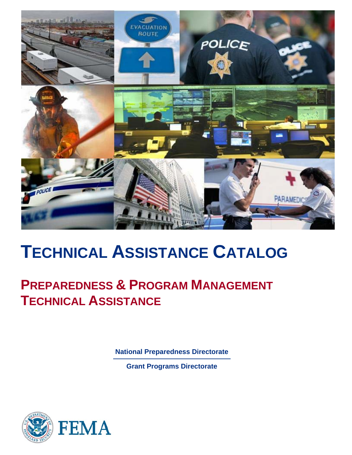

# **TECHNICAL ASSISTANCE CATALOG**

# **PREPAREDNESS & PROGRAM MANAGEMENT TECHNICAL ASSISTANCE**

**National Preparedness Directorate** 

**Grant Programs Directorate** 

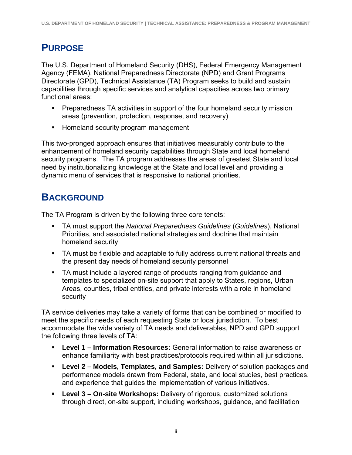### **PURPOSE**

The U.S. Department of Homeland Security (DHS), Federal Emergency Management Agency (FEMA), National Preparedness Directorate (NPD) and Grant Programs Directorate (GPD), Technical Assistance (TA) Program seeks to build and sustain capabilities through specific services and analytical capacities across two primary functional areas:

- **Preparedness TA activities in support of the four homeland security mission** areas (prevention, protection, response, and recovery)
- **Homeland security program management**

This two-pronged approach ensures that initiatives measurably contribute to the enhancement of homeland security capabilities through State and local homeland security programs. The TA program addresses the areas of greatest State and local need by institutionalizing knowledge at the State and local level and providing a dynamic menu of services that is responsive to national priorities.

### **BACKGROUND**

The TA Program is driven by the following three core tenets:

- TA must support the *National Preparedness Guidelines* (*Guidelines*), National Priorities, and associated national strategies and doctrine that maintain homeland security
- TA must be flexible and adaptable to fully address current national threats and the present day needs of homeland security personnel
- TA must include a layered range of products ranging from guidance and templates to specialized on-site support that apply to States, regions, Urban Areas, counties, tribal entities, and private interests with a role in homeland security

TA service deliveries may take a variety of forms that can be combined or modified to meet the specific needs of each requesting State or local jurisdiction. To best accommodate the wide variety of TA needs and deliverables, NPD and GPD support the following three levels of TA:

- **Level 1 Information Resources:** General information to raise awareness or enhance familiarity with best practices/protocols required within all jurisdictions.
- **Level 2 Models, Templates, and Samples:** Delivery of solution packages and performance models drawn from Federal, state, and local studies, best practices, and experience that guides the implementation of various initiatives.
- **Level 3 On-site Workshops:** Delivery of rigorous, customized solutions through direct, on-site support, including workshops, guidance, and facilitation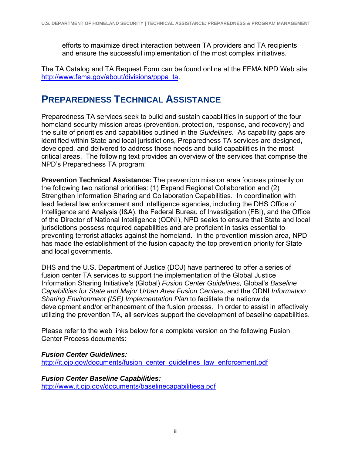efforts to maximize direct interaction between TA providers and TA recipients and ensure the successful implementation of the most complex initiatives.

The TA Catalog and TA Request Form can be found online at the FEMA NPD Web site: http://www.fema.gov/about/divisions/pppa\_ta.

### **PREPAREDNESS TECHNICAL ASSISTANCE**

Preparedness TA services seek to build and sustain capabilities in support of the four homeland security mission areas (prevention, protection, response, and recovery) and the suite of priorities and capabilities outlined in the *Guidelines*. As capability gaps are identified within State and local jurisdictions, Preparedness TA services are designed, developed, and delivered to address those needs and build capabilities in the most critical areas. The following text provides an overview of the services that comprise the NPD's Preparedness TA program:

**Prevention Technical Assistance:** The prevention mission area focuses primarily on the following two national priorities: (1) Expand Regional Collaboration and (2) Strengthen Information Sharing and Collaboration Capabilities. In coordination with lead federal law enforcement and intelligence agencies, including the DHS Office of Intelligence and Analysis (I&A), the Federal Bureau of Investigation (FBI), and the Office of the Director of National Intelligence (ODNI), NPD seeks to ensure that State and local jurisdictions possess required capabilities and are proficient in tasks essential to preventing terrorist attacks against the homeland. In the prevention mission area, NPD has made the establishment of the fusion capacity the top prevention priority for State and local governments.

DHS and the U.S. Department of Justice (DOJ) have partnered to offer a series of fusion center TA services to support the implementation of the Global Justice Information Sharing Initiative's (Global) *Fusion Center Guidelines,* Global's *Baseline Capabilities for State and Major Urban Area Fusion Centers,* and the ODNI *Information Sharing Environment (ISE) Implementation Plan* to facilitate the nationwide development and/or enhancement of the fusion process. In order to assist in effectively utilizing the prevention TA, all services support the development of baseline capabilities.

Please refer to the web links below for a complete version on the following Fusion Center Process documents:

#### *Fusion Center Guidelines:*

http://it.ojp.gov/documents/fusion\_center\_guidelines\_law\_enforcement.pdf

#### *Fusion Center Baseline Capabilities:*

http://www.it.ojp.gov/documents/baselinecapabilitiesa.pdf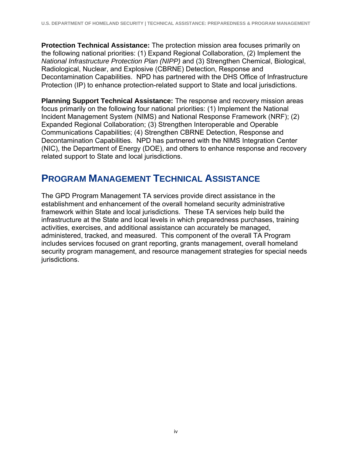**Protection Technical Assistance:** The protection mission area focuses primarily on the following national priorities: (1) Expand Regional Collaboration, (2) Implement the *National Infrastructure Protection Plan (NIPP)* and (3) Strengthen Chemical, Biological, Radiological, Nuclear, and Explosive (CBRNE) Detection, Response and Decontamination Capabilities. NPD has partnered with the DHS Office of Infrastructure Protection (IP) to enhance protection-related support to State and local jurisdictions.

**Planning Support Technical Assistance:** The response and recovery mission areas focus primarily on the following four national priorities: (1) Implement the National Incident Management System (NIMS) and National Response Framework (NRF); (2) Expanded Regional Collaboration; (3) Strengthen Interoperable and Operable Communications Capabilities; (4) Strengthen CBRNE Detection, Response and Decontamination Capabilities. NPD has partnered with the NIMS Integration Center (NIC), the Department of Energy (DOE), and others to enhance response and recovery related support to State and local jurisdictions.

### **PROGRAM MANAGEMENT TECHNICAL ASSISTANCE**

The GPD Program Management TA services provide direct assistance in the establishment and enhancement of the overall homeland security administrative framework within State and local jurisdictions. These TA services help build the infrastructure at the State and local levels in which preparedness purchases, training activities, exercises, and additional assistance can accurately be managed, administered, tracked, and measured. This component of the overall TA Program includes services focused on grant reporting, grants management, overall homeland security program management, and resource management strategies for special needs jurisdictions.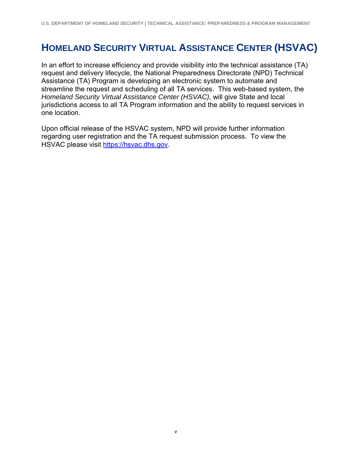### **HOMELAND SECURITY VIRTUAL ASSISTANCE CENTER (HSVAC)**

In an effort to increase efficiency and provide visibility into the technical assistance (TA) request and delivery lifecycle, the National Preparedness Directorate (NPD) Technical Assistance (TA) Program is developing an electronic system to automate and streamline the request and scheduling of all TA services. This web-based system, the *Homeland Security Virtual Assistance Center (HSVAC)*, will give State and local jurisdictions access to all TA Program information and the ability to request services in one location.

Upon official release of the HSVAC system, NPD will provide further information regarding user registration and the TA request submission process. To view the HSVAC please visit https://hsvac.dhs.gov.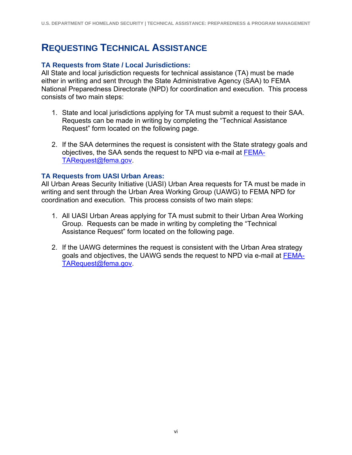### **REQUESTING TECHNICAL ASSISTANCE**

#### **TA Requests from State / Local Jurisdictions:**

All State and local jurisdiction requests for technical assistance (TA) must be made either in writing and sent through the State Administrative Agency (SAA) to FEMA National Preparedness Directorate (NPD) for coordination and execution. This process consists of two main steps:

- 1. State and local jurisdictions applying for TA must submit a request to their SAA. Requests can be made in writing by completing the "Technical Assistance Request" form located on the following page.
- 2. If the SAA determines the request is consistent with the State strategy goals and objectives, the SAA sends the request to NPD via e-mail at FEMA-TARequest@fema.gov.

#### **TA Requests from UASI Urban Areas:**

All Urban Areas Security Initiative (UASI) Urban Area requests for TA must be made in writing and sent through the Urban Area Working Group (UAWG) to FEMA NPD for coordination and execution. This process consists of two main steps:

- 1. All UASI Urban Areas applying for TA must submit to their Urban Area Working Group. Requests can be made in writing by completing the "Technical Assistance Request" form located on the following page.
- 2. If the UAWG determines the request is consistent with the Urban Area strategy goals and objectives, the UAWG sends the request to NPD via e-mail at FEMA-TARequest@fema.gov.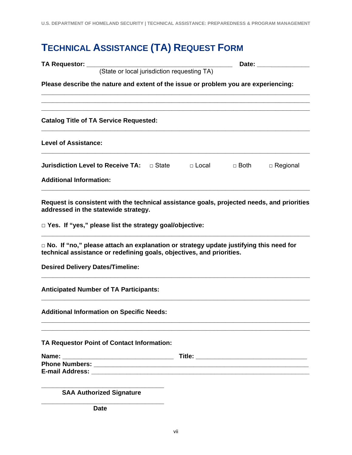## **TECHNICAL ASSISTANCE (TA) REQUEST FORM**

| TA Requestor: ____                                                                                                                 |                                                                                                                                                                                                                  |  |  |        | Date: the contract of the contract of the contract of the contract of the contract of the contract of the contract of the contract of the contract of the contract of the contract of the contract of the contract of the cont |  |
|------------------------------------------------------------------------------------------------------------------------------------|------------------------------------------------------------------------------------------------------------------------------------------------------------------------------------------------------------------|--|--|--------|--------------------------------------------------------------------------------------------------------------------------------------------------------------------------------------------------------------------------------|--|
| (State or local jurisdiction requesting TA)<br>Please describe the nature and extent of the issue or problem you are experiencing: |                                                                                                                                                                                                                  |  |  |        |                                                                                                                                                                                                                                |  |
|                                                                                                                                    | <b>Catalog Title of TA Service Requested:</b>                                                                                                                                                                    |  |  |        |                                                                                                                                                                                                                                |  |
| <b>Level of Assistance:</b>                                                                                                        |                                                                                                                                                                                                                  |  |  |        |                                                                                                                                                                                                                                |  |
| <b>Additional Information:</b>                                                                                                     | Jurisdiction Level to Receive TA: D State D D Local                                                                                                                                                              |  |  | □ Both | $\Box$ Regional                                                                                                                                                                                                                |  |
|                                                                                                                                    | Request is consistent with the technical assistance goals, projected needs, and priorities<br>addressed in the statewide strategy.<br>□ Yes. If "yes," please list the strategy goal/objective:                  |  |  |        |                                                                                                                                                                                                                                |  |
|                                                                                                                                    | $\Box$ No. If "no," please attach an explanation or strategy update justifying this need for<br>technical assistance or redefining goals, objectives, and priorities.<br><b>Desired Delivery Dates/Timeline:</b> |  |  |        |                                                                                                                                                                                                                                |  |
|                                                                                                                                    | <b>Anticipated Number of TA Participants:</b>                                                                                                                                                                    |  |  |        |                                                                                                                                                                                                                                |  |
|                                                                                                                                    | <b>Additional Information on Specific Needs:</b>                                                                                                                                                                 |  |  |        |                                                                                                                                                                                                                                |  |
|                                                                                                                                    | TA Requestor Point of Contact Information:                                                                                                                                                                       |  |  |        |                                                                                                                                                                                                                                |  |
|                                                                                                                                    |                                                                                                                                                                                                                  |  |  |        |                                                                                                                                                                                                                                |  |
|                                                                                                                                    | <b>SAA Authorized Signature</b>                                                                                                                                                                                  |  |  |        |                                                                                                                                                                                                                                |  |
|                                                                                                                                    | <b>Date</b>                                                                                                                                                                                                      |  |  |        |                                                                                                                                                                                                                                |  |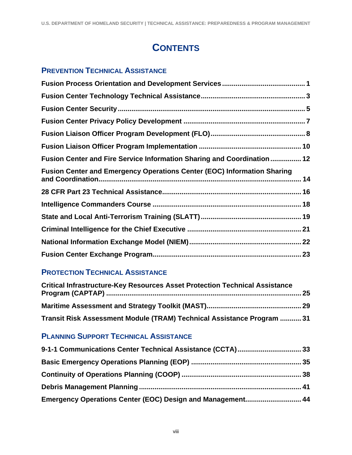### **CONTENTS**

### **PREVENTION TECHNICAL ASSISTANCE**

| Fusion Center and Fire Service Information Sharing and Coordination  12        |  |
|--------------------------------------------------------------------------------|--|
| <b>Fusion Center and Emergency Operations Center (EOC) Information Sharing</b> |  |
|                                                                                |  |
|                                                                                |  |
|                                                                                |  |
|                                                                                |  |
|                                                                                |  |
|                                                                                |  |

### **PROTECTION TECHNICAL ASSISTANCE**

| <b>Critical Infrastructure-Key Resources Asset Protection Technical Assistance</b> |  |
|------------------------------------------------------------------------------------|--|
|                                                                                    |  |
| Transit Risk Assessment Module (TRAM) Technical Assistance Program  31             |  |

### **PLANNING SUPPORT TECHNICAL ASSISTANCE**

| Emergency Operations Center (EOC) Design and Management 44 |  |
|------------------------------------------------------------|--|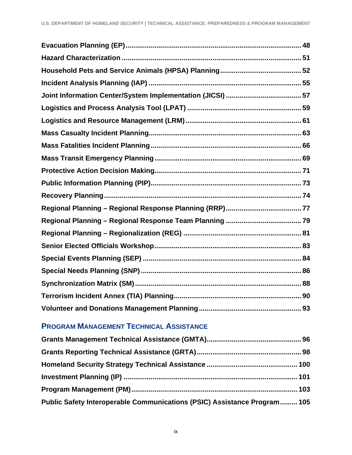### **PROGRAM MANAGEMENT TECHNICAL ASSISTANCE**

| Public Safety Interoperable Communications (PSIC) Assistance Program 105 |  |
|--------------------------------------------------------------------------|--|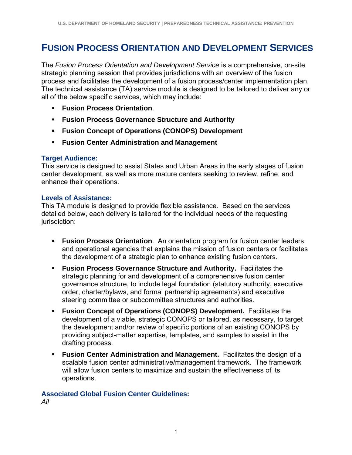### **FUSION PROCESS ORIENTATION AND DEVELOPMENT SERVICES**

The *Fusion Process Orientation and Development Service* is a comprehensive, on-site strategic planning session that provides jurisdictions with an overview of the fusion process and facilitates the development of a fusion process/center implementation plan. The technical assistance (TA) service module is designed to be tailored to deliver any or all of the below specific services, which may include:

- **Fusion Process Orientation**.
- **Fusion Process Governance Structure and Authority**
- **Fusion Concept of Operations (CONOPS) Development**
- **Fusion Center Administration and Management**

#### **Target Audience:**

This service is designed to assist States and Urban Areas in the early stages of fusion center development, as well as more mature centers seeking to review, refine, and enhance their operations.

#### **Levels of Assistance:**

This TA module is designed to provide flexible assistance. Based on the services detailed below, each delivery is tailored for the individual needs of the requesting jurisdiction:

- **Fusion Process Orientation**. An orientation program for fusion center leaders and operational agencies that explains the mission of fusion centers or facilitates the development of a strategic plan to enhance existing fusion centers.
- **Fusion Process Governance Structure and Authority. Facilitates the** strategic planning for and development of a comprehensive fusion center governance structure, to include legal foundation (statutory authority, executive order, charter/bylaws, and formal partnership agreements) and executive steering committee or subcommittee structures and authorities.
- **Fusion Concept of Operations (CONOPS) Development.** Facilitates the development of a viable, strategic CONOPS or tailored, as necessary, to target the development and/or review of specific portions of an existing CONOPS by providing subject-matter expertise, templates, and samples to assist in the drafting process.
- **Fusion Center Administration and Management.** Facilitates the design of a scalable fusion center administrative/management framework. The framework will allow fusion centers to maximize and sustain the effectiveness of its operations.

#### **Associated Global Fusion Center Guidelines:**

*All*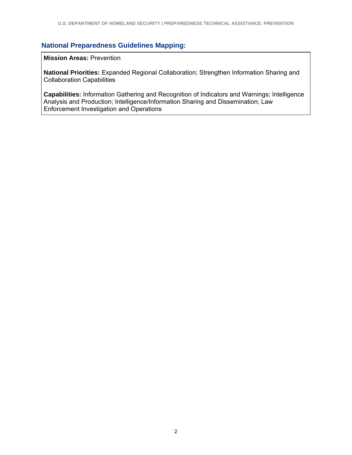#### **National Preparedness Guidelines Mapping:**

**Mission Areas:** Prevention

**National Priorities:** Expanded Regional Collaboration; Strengthen Information Sharing and Collaboration Capabilities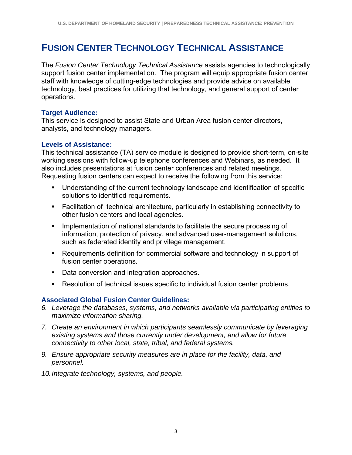### **FUSION CENTER TECHNOLOGY TECHNICAL ASSISTANCE**

The *Fusion Center Technology Technical Assistance* assists agencies to technologically support fusion center implementation. The program will equip appropriate fusion center staff with knowledge of cutting-edge technologies and provide advice on available technology, best practices for utilizing that technology, and general support of center operations.

#### **Target Audience:**

This service is designed to assist State and Urban Area fusion center directors, analysts, and technology managers.

#### **Levels of Assistance:**

This technical assistance (TA) service module is designed to provide short-term, on-site working sessions with follow-up telephone conferences and Webinars, as needed. It also includes presentations at fusion center conferences and related meetings. Requesting fusion centers can expect to receive the following from this service:

- Understanding of the current technology landscape and identification of specific solutions to identified requirements.
- Facilitation of technical architecture, particularly in establishing connectivity to other fusion centers and local agencies.
- **IMPLEMENT IMPLEMENTATION** of national standards to facilitate the secure processing of information, protection of privacy, and advanced user-management solutions, such as federated identity and privilege management.
- Requirements definition for commercial software and technology in support of fusion center operations.
- Data conversion and integration approaches.
- Resolution of technical issues specific to individual fusion center problems.

#### **Associated Global Fusion Center Guidelines:**

- *6. Leverage the databases, systems, and networks available via participating entities to maximize information sharing.*
- *7. Create an environment in which participants seamlessly communicate by leveraging existing systems and those currently under development, and allow for future connectivity to other local, state, tribal, and federal systems.*
- *9. Ensure appropriate security measures are in place for the facility, data, and personnel.*
- *10. Integrate technology, systems, and people.*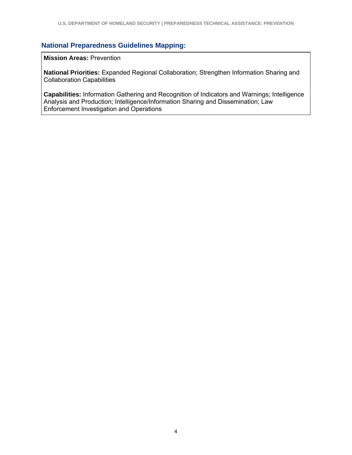#### **National Preparedness Guidelines Mapping:**

**Mission Areas:** Prevention

**National Priorities:** Expanded Regional Collaboration; Strengthen Information Sharing and Collaboration Capabilities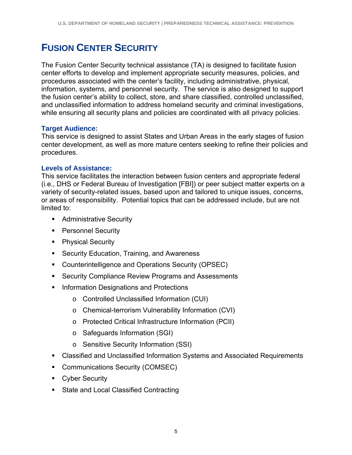### **FUSION CENTER SECURITY**

The Fusion Center Security technical assistance (TA) is designed to facilitate fusion center efforts to develop and implement appropriate security measures, policies, and procedures associated with the center's facility, including administrative, physical, information, systems, and personnel security. The service is also designed to support the fusion center's ability to collect, store, and share classified, controlled unclassified, and unclassified information to address homeland security and criminal investigations, while ensuring all security plans and policies are coordinated with all privacy policies.

#### **Target Audience:**

This service is designed to assist States and Urban Areas in the early stages of fusion center development, as well as more mature centers seeking to refine their policies and procedures.

#### **Levels of Assistance:**

This service facilitates the interaction between fusion centers and appropriate federal (i.e., DHS or Federal Bureau of Investigation [FBI]) or peer subject matter experts on a variety of security-related issues, based upon and tailored to unique issues, concerns, or areas of responsibility. Potential topics that can be addressed include, but are not limited to:

- **Administrative Security**
- **Personnel Security**
- Physical Security
- **Security Education, Training, and Awareness**
- Counterintelligence and Operations Security (OPSEC)
- **EXECURITY Compliance Review Programs and Assessments**
- **Information Designations and Protections** 
	- o Controlled Unclassified Information (CUI)
	- o Chemical-terrorism Vulnerability Information (CVI)
	- o Protected Critical Infrastructure Information (PCII)
	- o Safeguards Information (SGI)
	- o Sensitive Security Information (SSI)
- Classified and Unclassified Information Systems and Associated Requirements
- **Communications Security (COMSEC)**
- **Cyber Security**
- **State and Local Classified Contracting**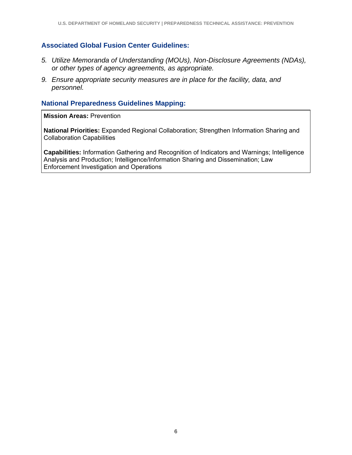#### **Associated Global Fusion Center Guidelines:**

- *5. Utilize Memoranda of Understanding (MOUs), Non-Disclosure Agreements (NDAs), or other types of agency agreements, as appropriate.*
- *9. Ensure appropriate security measures are in place for the facility, data, and personnel.*

#### **National Preparedness Guidelines Mapping:**

**Mission Areas:** Prevention

**National Priorities:** Expanded Regional Collaboration; Strengthen Information Sharing and Collaboration Capabilities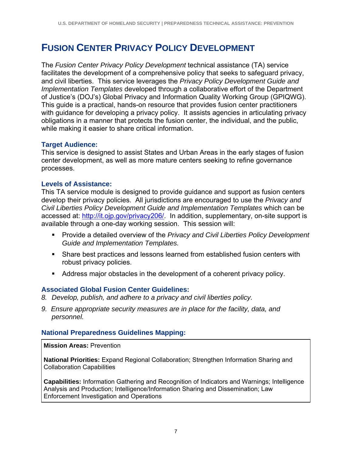### **FUSION CENTER PRIVACY POLICY DEVELOPMENT**

The *Fusion Center Privacy Policy Development* technical assistance (TA) service facilitates the development of a comprehensive policy that seeks to safeguard privacy, and civil liberties. This service leverages the *Privacy Policy Development Guide and Implementation Templates* developed through a collaborative effort of the Department of Justice's (DOJ's) Global Privacy and Information Quality Working Group (GPIQWG). This guide is a practical, hands-on resource that provides fusion center practitioners with guidance for developing a privacy policy. It assists agencies in articulating privacy obligations in a manner that protects the fusion center, the individual, and the public, while making it easier to share critical information.

#### **Target Audience:**

This service is designed to assist States and Urban Areas in the early stages of fusion center development, as well as more mature centers seeking to refine governance processes.

#### **Levels of Assistance:**

This TA service module is designed to provide guidance and support as fusion centers develop their privacy policies. All jurisdictions are encouraged to use the *Privacy and Civil Liberties Policy Development Guide and Implementation Templates* which can be accessed at: http://it.ojp.gov/privacy206/. In addition, supplementary, on-site support is available through a one-day working session. This session will:

- Provide a detailed overview of the *Privacy and Civil Liberties Policy Development Guide and Implementation Templates.*
- Share best practices and lessons learned from established fusion centers with robust privacy policies.
- Address major obstacles in the development of a coherent privacy policy.

#### **Associated Global Fusion Center Guidelines:**

- *8. Develop, publish, and adhere to a privacy and civil liberties policy.*
- *9. Ensure appropriate security measures are in place for the facility, data, and personnel.*

#### **National Preparedness Guidelines Mapping:**

**Mission Areas:** Prevention

**National Priorities:** Expand Regional Collaboration; Strengthen Information Sharing and Collaboration Capabilities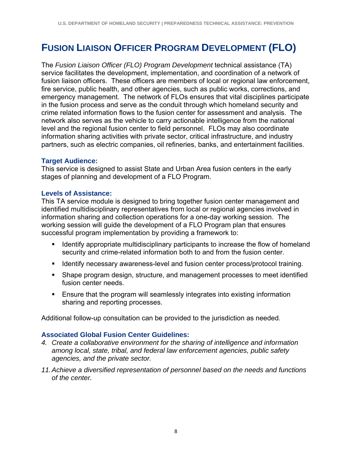### **FUSION LIAISON OFFICER PROGRAM DEVELOPMENT (FLO)**

The *Fusion Liaison Officer (FLO) Program Development* technical assistance (TA) service facilitates the development, implementation, and coordination of a network of fusion liaison officers. These officers are members of local or regional law enforcement, fire service, public health, and other agencies, such as public works, corrections, and emergency management. The network of FLOs ensures that vital disciplines participate in the fusion process and serve as the conduit through which homeland security and crime related information flows to the fusion center for assessment and analysis. The network also serves as the vehicle to carry actionable intelligence from the national level and the regional fusion center to field personnel. FLOs may also coordinate information sharing activities with private sector, critical infrastructure, and industry partners, such as electric companies, oil refineries, banks, and entertainment facilities.

#### **Target Audience:**

This service is designed to assist State and Urban Area fusion centers in the early stages of planning and development of a FLO Program.

#### **Levels of Assistance:**

This TA service module is designed to bring together fusion center management and identified multidisciplinary representatives from local or regional agencies involved in information sharing and collection operations for a one-day working session. The working session will guide the development of a FLO Program plan that ensures successful program implementation by providing a framework to:

- Identify appropriate multidisciplinary participants to increase the flow of homeland security and crime-related information both to and from the fusion center.
- **If Identify necessary awareness-level and fusion center process/protocol training.**
- Shape program design, structure, and management processes to meet identified fusion center needs.
- Ensure that the program will seamlessly integrates into existing information sharing and reporting processes.

Additional follow-up consultation can be provided to the jurisdiction as needed.

#### **Associated Global Fusion Center Guidelines:**

- *4. Create a collaborative environment for the sharing of intelligence and information among local, state, tribal, and federal law enforcement agencies, public safety agencies, and the private sector.*
- *11. Achieve a diversified representation of personnel based on the needs and functions of the center.*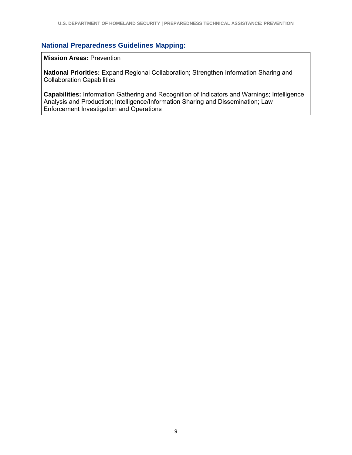#### **National Preparedness Guidelines Mapping:**

**Mission Areas:** Prevention

**National Priorities:** Expand Regional Collaboration; Strengthen Information Sharing and Collaboration Capabilities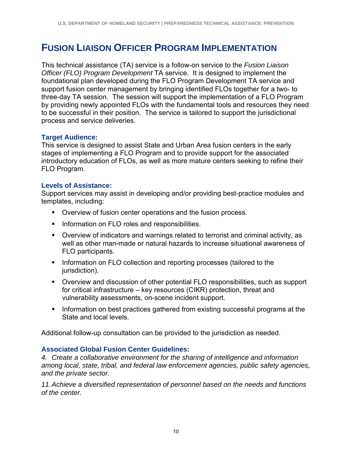### **FUSION LIAISON OFFICER PROGRAM IMPLEMENTATION**

This technical assistance (TA) service is a follow-on service to the *Fusion Liaison Officer (FLO) Program Development* TA service. It is designed to implement the foundational plan developed during the FLO Program Development TA service and support fusion center management by bringing identified FLOs together for a two- to three-day TA session. The session will support the implementation of a FLO Program by providing newly appointed FLOs with the fundamental tools and resources they need to be successful in their position. The service is tailored to support the jurisdictional process and service deliveries.

#### **Target Audience:**

This service is designed to assist State and Urban Area fusion centers in the early stages of implementing a FLO Program and to provide support for the associated introductory education of FLOs, as well as more mature centers seeking to refine their FLO Program.

#### **Levels of Assistance:**

Support services may assist in developing and/or providing best-practice modules and templates, including:

- Overview of fusion center operations and the fusion process.
- **Information on FLO roles and responsibilities.**
- Overview of indicators and warnings related to terrorist and criminal activity, as well as other man-made or natural hazards to increase situational awareness of FLO participants.
- **Information on FLO collection and reporting processes (tailored to the** jurisdiction).
- Overview and discussion of other potential FLO responsibilities, such as support for critical infrastructure – key resources (CIKR) protection, threat and vulnerability assessments, on-scene incident support.
- **Information on best practices gathered from existing successful programs at the** State and local levels.

Additional follow-up consultation can be provided to the jurisdiction as needed.

#### **Associated Global Fusion Center Guidelines:**

*4. Create a collaborative environment for the sharing of intelligence and information among local, state, tribal, and federal law enforcement agencies, public safety agencies, and the private sector.* 

*11. Achieve a diversified representation of personnel based on the needs and functions of the center.*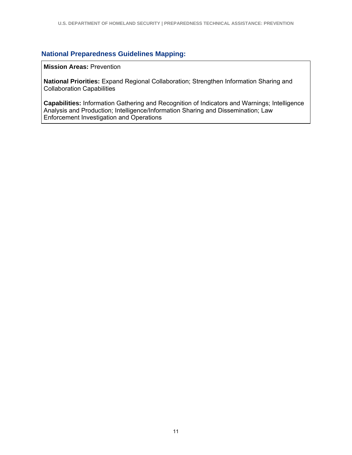#### **National Preparedness Guidelines Mapping:**

**Mission Areas:** Prevention

**National Priorities:** Expand Regional Collaboration; Strengthen Information Sharing and Collaboration Capabilities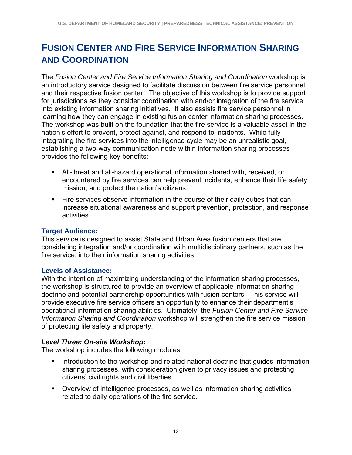### **FUSION CENTER AND FIRE SERVICE INFORMATION SHARING AND COORDINATION**

The *Fusion Center and Fire Service Information Sharing and Coordination* workshop is an introductory service designed to facilitate discussion between fire service personnel and their respective fusion center. The objective of this workshop is to provide support for jurisdictions as they consider coordination with and/or integration of the fire service into existing information sharing initiatives. It also assists fire service personnel in learning how they can engage in existing fusion center information sharing processes. The workshop was built on the foundation that the fire service is a valuable asset in the nation's effort to prevent, protect against, and respond to incidents. While fully integrating the fire services into the intelligence cycle may be an unrealistic goal, establishing a two-way communication node within information sharing processes provides the following key benefits:

- All-threat and all-hazard operational information shared with, received, or encountered by fire services can help prevent incidents, enhance their life safety mission, and protect the nation's citizens.
- Fire services observe information in the course of their daily duties that can increase situational awareness and support prevention, protection, and response activities.

#### **Target Audience:**

This service is designed to assist State and Urban Area fusion centers that are considering integration and/or coordination with multidisciplinary partners, such as the fire service, into their information sharing activities.

#### **Levels of Assistance:**

With the intention of maximizing understanding of the information sharing processes, the workshop is structured to provide an overview of applicable information sharing doctrine and potential partnership opportunities with fusion centers. This service will provide executive fire service officers an opportunity to enhance their department's operational information sharing abilities. Ultimately, the *Fusion Center and Fire Service Information Sharing and Coordination* workshop will strengthen the fire service mission of protecting life safety and property.

#### *Level Three: On-site Workshop:*

The workshop includes the following modules:

- Introduction to the workshop and related national doctrine that guides information sharing processes, with consideration given to privacy issues and protecting citizens' civil rights and civil liberties.
- Overview of intelligence processes, as well as information sharing activities related to daily operations of the fire service.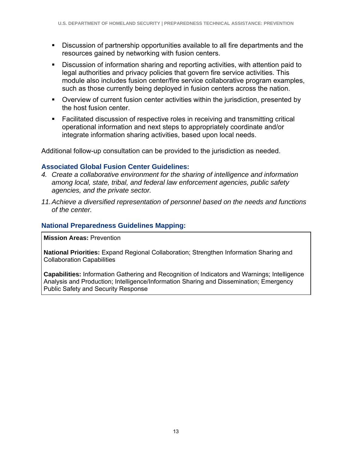- Discussion of partnership opportunities available to all fire departments and the resources gained by networking with fusion centers.
- Discussion of information sharing and reporting activities, with attention paid to legal authorities and privacy policies that govern fire service activities. This module also includes fusion center/fire service collaborative program examples, such as those currently being deployed in fusion centers across the nation.
- Overview of current fusion center activities within the jurisdiction, presented by the host fusion center.
- Facilitated discussion of respective roles in receiving and transmitting critical operational information and next steps to appropriately coordinate and/or integrate information sharing activities, based upon local needs.

Additional follow-up consultation can be provided to the jurisdiction as needed.

#### **Associated Global Fusion Center Guidelines:**

- *4. Create a collaborative environment for the sharing of intelligence and information among local, state, tribal, and federal law enforcement agencies, public safety agencies, and the private sector.*
- *11. Achieve a diversified representation of personnel based on the needs and functions of the center.*

#### **National Preparedness Guidelines Mapping:**

**Mission Areas:** Prevention

**National Priorities:** Expand Regional Collaboration; Strengthen Information Sharing and Collaboration Capabilities

**Capabilities:** Information Gathering and Recognition of Indicators and Warnings; Intelligence Analysis and Production; Intelligence/Information Sharing and Dissemination; Emergency Public Safety and Security Response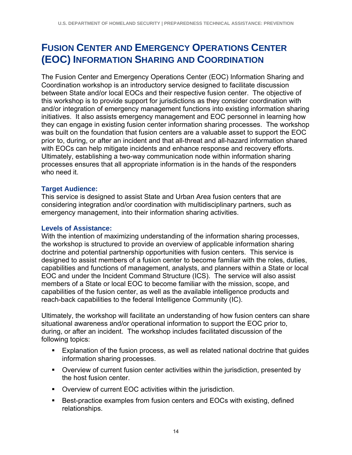### **FUSION CENTER AND EMERGENCY OPERATIONS CENTER (EOC) INFORMATION SHARING AND COORDINATION**

The Fusion Center and Emergency Operations Center (EOC) Information Sharing and Coordination workshop is an introductory service designed to facilitate discussion between State and/or local EOCs and their respective fusion center. The objective of this workshop is to provide support for jurisdictions as they consider coordination with and/or integration of emergency management functions into existing information sharing initiatives. It also assists emergency management and EOC personnel in learning how they can engage in existing fusion center information sharing processes. The workshop was built on the foundation that fusion centers are a valuable asset to support the EOC prior to, during, or after an incident and that all-threat and all-hazard information shared with EOCs can help mitigate incidents and enhance response and recovery efforts. Ultimately, establishing a two-way communication node within information sharing processes ensures that all appropriate information is in the hands of the responders who need it.

#### **Target Audience:**

This service is designed to assist State and Urban Area fusion centers that are considering integration and/or coordination with multidisciplinary partners, such as emergency management, into their information sharing activities.

#### **Levels of Assistance:**

With the intention of maximizing understanding of the information sharing processes, the workshop is structured to provide an overview of applicable information sharing doctrine and potential partnership opportunities with fusion centers. This service is designed to assist members of a fusion center to become familiar with the roles, duties, capabilities and functions of management, analysts, and planners within a State or local EOC and under the Incident Command Structure (ICS). The service will also assist members of a State or local EOC to become familiar with the mission, scope, and capabilities of the fusion center, as well as the available intelligence products and reach-back capabilities to the federal Intelligence Community (IC).

Ultimately, the workshop will facilitate an understanding of how fusion centers can share situational awareness and/or operational information to support the EOC prior to, during, or after an incident. The workshop includes facilitated discussion of the following topics:

- **Explanation of the fusion process, as well as related national doctrine that guides** information sharing processes.
- Overview of current fusion center activities within the jurisdiction, presented by the host fusion center.
- Overview of current EOC activities within the jurisdiction.
- Best-practice examples from fusion centers and EOCs with existing, defined relationships.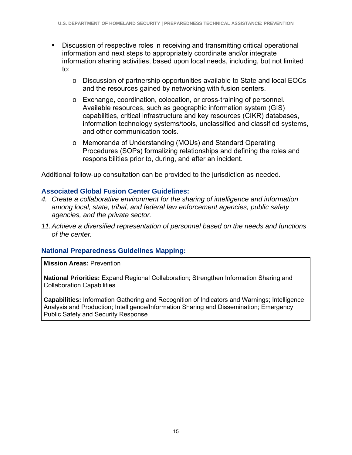- Discussion of respective roles in receiving and transmitting critical operational information and next steps to appropriately coordinate and/or integrate information sharing activities, based upon local needs, including, but not limited to:
	- o Discussion of partnership opportunities available to State and local EOCs and the resources gained by networking with fusion centers.
	- o Exchange, coordination, colocation, or cross-training of personnel. Available resources, such as geographic information system (GIS) capabilities, critical infrastructure and key resources (CIKR) databases, information technology systems/tools, unclassified and classified systems, and other communication tools.
	- o Memoranda of Understanding (MOUs) and Standard Operating Procedures (SOPs) formalizing relationships and defining the roles and responsibilities prior to, during, and after an incident.

Additional follow-up consultation can be provided to the jurisdiction as needed.

#### **Associated Global Fusion Center Guidelines:**

- *4. Create a collaborative environment for the sharing of intelligence and information among local, state, tribal, and federal law enforcement agencies, public safety agencies, and the private sector.*
- *11. Achieve a diversified representation of personnel based on the needs and functions of the center.*

#### **National Preparedness Guidelines Mapping:**

**Mission Areas:** Prevention

**National Priorities:** Expand Regional Collaboration; Strengthen Information Sharing and Collaboration Capabilities

**Capabilities:** Information Gathering and Recognition of Indicators and Warnings; Intelligence Analysis and Production; Intelligence/Information Sharing and Dissemination; Emergency Public Safety and Security Response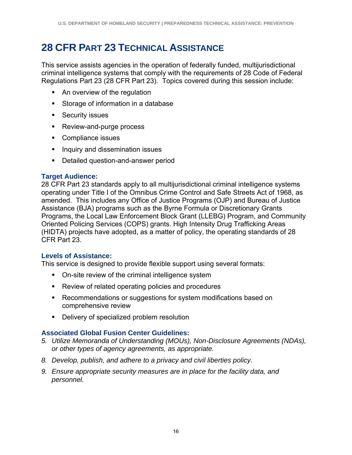### **28 CFR PART 23 TECHNICAL ASSISTANCE**

This service assists agencies in the operation of federally funded, multijurisdictional criminal intelligence systems that comply with the requirements of 28 Code of Federal Regulations Part 23 (28 CFR Part 23). Topics covered during this session include:

- An overview of the regulation
- Storage of information in a database
- **Security issues**
- **Review-and-purge process**
- Compliance issues
- **Inquiry and dissemination issues**
- **•** Detailed question-and-answer period

#### **Target Audience:**

28 CFR Part 23 standards apply to all multijurisdictional criminal intelligence systems operating under Title I of the Omnibus Crime Control and Safe Streets Act of 1968, as amended. This includes any Office of Justice Programs (OJP) and Bureau of Justice Assistance (BJA) programs such as the Byrne Formula or Discretionary Grants Programs, the Local Law Enforcement Block Grant (LLEBG) Program, and Community Oriented Policing Services (COPS) grants. High Intensity Drug Trafficking Areas (HIDTA) projects have adopted, as a matter of policy, the operating standards of 28 CFR Part 23.

#### **Levels of Assistance:**

This service is designed to provide flexible support using several formats:

- On-site review of the criminal intelligence system
- Review of related operating policies and procedures
- **Recommendations or suggestions for system modifications based on** comprehensive review
- **Delivery of specialized problem resolution**

#### **Associated Global Fusion Center Guidelines:**

- *5. Utilize Memoranda of Understanding (MOUs), Non-Disclosure Agreements (NDAs), or other types of agency agreements, as appropriate.*
- *8. Develop, publish, and adhere to a privacy and civil liberties policy.*
- *9. Ensure appropriate security measures are in place for the facility data, and personnel.*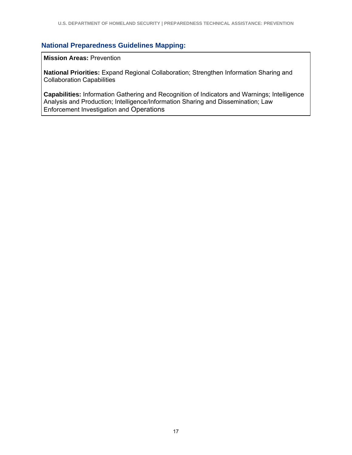#### **National Preparedness Guidelines Mapping:**

**Mission Areas:** Prevention

**National Priorities:** Expand Regional Collaboration; Strengthen Information Sharing and Collaboration Capabilities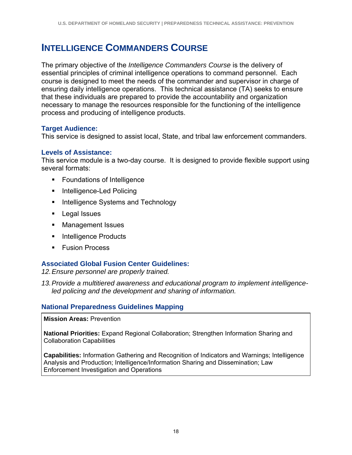### **INTELLIGENCE COMMANDERS COURSE**

The primary objective of the *Intelligence Commanders Course* is the delivery of essential principles of criminal intelligence operations to command personnel. Each course is designed to meet the needs of the commander and supervisor in charge of ensuring daily intelligence operations. This technical assistance (TA) seeks to ensure that these individuals are prepared to provide the accountability and organization necessary to manage the resources responsible for the functioning of the intelligence process and producing of intelligence products.

#### **Target Audience:**

This service is designed to assist local, State, and tribal law enforcement commanders.

#### **Levels of Assistance:**

This service module is a two-day course. It is designed to provide flexible support using several formats:

- **Foundations of Intelligence**
- Intelligence-Led Policing
- **Intelligence Systems and Technology**
- **Legal Issues**
- **Management Issues**
- **Intelligence Products**
- **Fusion Process**

#### **Associated Global Fusion Center Guidelines:**

*12. Ensure personnel are properly trained.* 

*13. Provide a multitiered awareness and educational program to implement intelligenceled policing and the development and sharing of information.* 

#### **National Preparedness Guidelines Mapping**

**Mission Areas:** Prevention

**National Priorities:** Expand Regional Collaboration; Strengthen Information Sharing and Collaboration Capabilities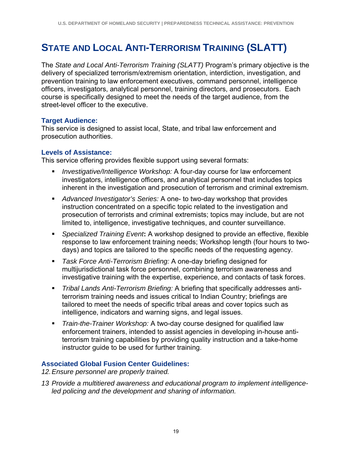### **STATE AND LOCAL ANTI-TERRORISM TRAINING (SLATT)**

The *State and Local Anti-Terrorism Training (SLATT)* Program's primary objective is the delivery of specialized terrorism/extremism orientation, interdiction, investigation, and prevention training to law enforcement executives, command personnel, intelligence officers, investigators, analytical personnel, training directors, and prosecutors. Each course is specifically designed to meet the needs of the target audience, from the street-level officer to the executive.

#### **Target Audience:**

This service is designed to assist local, State, and tribal law enforcement and prosecution authorities.

#### **Levels of Assistance:**

This service offering provides flexible support using several formats:

- *Investigative/Intelligence Workshop:* A four-day course for law enforcement investigators, intelligence officers, and analytical personnel that includes topics inherent in the investigation and prosecution of terrorism and criminal extremism.
- *Advanced Investigator's Series:* A one- to two-day workshop that provides instruction concentrated on a specific topic related to the investigation and prosecution of terrorists and criminal extremists; topics may include, but are not limited to, intelligence, investigative techniques, and counter surveillance.
- *Specialized Training Event***:** A workshop designed to provide an effective, flexible response to law enforcement training needs; Workshop length (four hours to twodays) and topics are tailored to the specific needs of the requesting agency.
- *Task Force Anti-Terrorism Briefing:* A one-day briefing designed for multijurisdictional task force personnel, combining terrorism awareness and investigative training with the expertise, experience, and contacts of task forces.
- *Tribal Lands Anti-Terrorism Briefing:* A briefing that specifically addresses antiterrorism training needs and issues critical to Indian Country; briefings are tailored to meet the needs of specific tribal areas and cover topics such as intelligence, indicators and warning signs, and legal issues.
- *Train-the-Trainer Workshop:* A two-day course designed for qualified law enforcement trainers, intended to assist agencies in developing in-house antiterrorism training capabilities by providing quality instruction and a take-home instructor guide to be used for further training.

#### **Associated Global Fusion Center Guidelines:**

*12. Ensure personnel are properly trained.* 

*13 Provide a multitiered awareness and educational program to implement intelligenceled policing and the development and sharing of information.*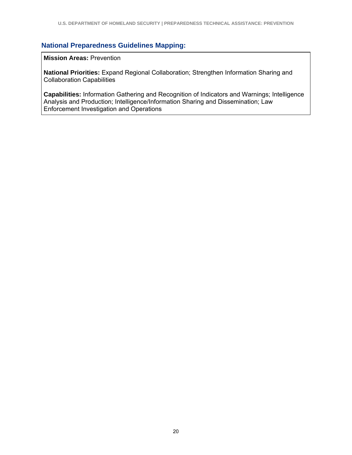#### **National Preparedness Guidelines Mapping:**

**Mission Areas:** Prevention

**National Priorities:** Expand Regional Collaboration; Strengthen Information Sharing and Collaboration Capabilities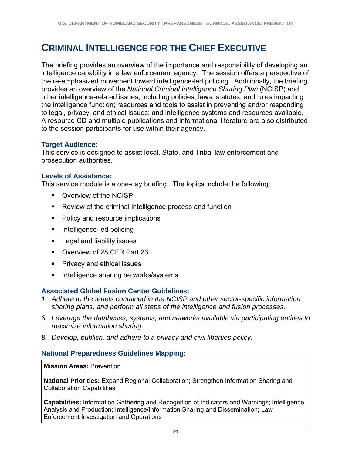### **CRIMINAL INTELLIGENCE FOR THE CHIEF EXECUTIVE**

The briefing provides an overview of the importance and responsibility of developing an intelligence capability in a law enforcement agency. The session offers a perspective of the re-emphasized movement toward intelligence-led policing. Additionally, the briefing provides an overview of the *National Criminal Intelligence Sharing Plan* (NCISP) and other intelligence-related issues, including policies, laws, statutes, and rules impacting the intelligence function; resources and tools to assist in preventing and/or responding to legal, privacy, and ethical issues; and intelligence systems and resources available. A resource CD and multiple publications and informational literature are also distributed to the session participants for use within their agency.

#### **Target Audience:**

This service is designed to assist local, State, and Tribal law enforcement and prosecution authorities.

#### **Levels of Assistance:**

This service module is a one-day briefing. The topics include the following:

- Overview of the NCISP
- **Review of the criminal intelligence process and function**
- Policy and resource implications
- Intelligence-led policing
- **Legal and liability issues**
- Overview of 28 CFR Part 23
- **Privacy and ethical issues**
- **Intelligence sharing networks/systems**

#### **Associated Global Fusion Center Guidelines:**

- *1. Adhere to the tenets contained in the NCISP and other sector-specific information sharing plans, and perform all steps of the intelligence and fusion processes.*
- *6. Leverage the databases, systems, and networks available via participating entities to maximize information sharing.*
- *8. Develop, publish, and adhere to a privacy and civil liberties policy.*

#### **National Preparedness Guidelines Mapping:**

#### **Mission Areas:** Prevention

**National Priorities:** Expand Regional Collaboration; Strengthen Information Sharing and Collaboration Capabilities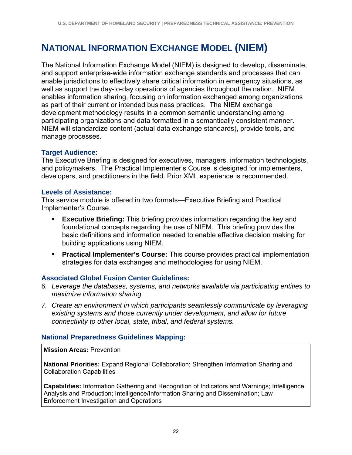### **NATIONAL INFORMATION EXCHANGE MODEL (NIEM)**

The National Information Exchange Model (NIEM) is designed to develop, disseminate, and support enterprise-wide information exchange standards and processes that can enable jurisdictions to effectively share critical information in emergency situations, as well as support the day-to-day operations of agencies throughout the nation. NIEM enables information sharing, focusing on information exchanged among organizations as part of their current or intended business practices. The NIEM exchange development methodology results in a common semantic understanding among participating organizations and data formatted in a semantically consistent manner. NIEM will standardize content (actual data exchange standards), provide tools, and manage processes.

#### **Target Audience:**

The Executive Briefing is designed for executives, managers, information technologists, and policymakers. The Practical Implementer's Course is designed for implementers, developers, and practitioners in the field. Prior XML experience is recommended.

#### **Levels of Assistance:**

This service module is offered in two formats—Executive Briefing and Practical Implementer's Course.

- **Executive Briefing:** This briefing provides information regarding the key and foundational concepts regarding the use of NIEM. This briefing provides the basic definitions and information needed to enable effective decision making for building applications using NIEM.
- **Practical Implementer's Course:** This course provides practical implementation strategies for data exchanges and methodologies for using NIEM.

#### **Associated Global Fusion Center Guidelines:**

- *6. Leverage the databases, systems, and networks available via participating entities to maximize information sharing.*
- *7. Create an environment in which participants seamlessly communicate by leveraging existing systems and those currently under development, and allow for future connectivity to other local, state, tribal, and federal systems.*

#### **National Preparedness Guidelines Mapping:**

**Mission Areas:** Prevention

**National Priorities:** Expand Regional Collaboration; Strengthen Information Sharing and Collaboration Capabilities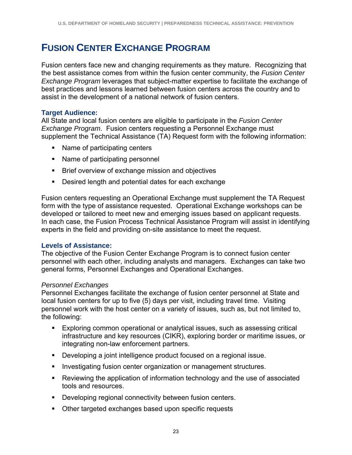### **FUSION CENTER EXCHANGE PROGRAM**

Fusion centers face new and changing requirements as they mature. Recognizing that the best assistance comes from within the fusion center community, the *Fusion Center Exchange Program* leverages that subject-matter expertise to facilitate the exchange of best practices and lessons learned between fusion centers across the country and to assist in the development of a national network of fusion centers.

#### **Target Audience:**

All State and local fusion centers are eligible to participate in the *Fusion Center Exchange Program*. Fusion centers requesting a Personnel Exchange must supplement the Technical Assistance (TA) Request form with the following information:

- Name of participating centers
- Name of participating personnel
- **Brief overview of exchange mission and objectives**
- **Desired length and potential dates for each exchange**

Fusion centers requesting an Operational Exchange must supplement the TA Request form with the type of assistance requested. Operational Exchange workshops can be developed or tailored to meet new and emerging issues based on applicant requests. In each case, the Fusion Process Technical Assistance Program will assist in identifying experts in the field and providing on-site assistance to meet the request.

#### **Levels of Assistance:**

The objective of the Fusion Center Exchange Program is to connect fusion center personnel with each other, including analysts and managers. Exchanges can take two general forms, Personnel Exchanges and Operational Exchanges.

#### *Personnel Exchanges*

Personnel Exchanges facilitate the exchange of fusion center personnel at State and local fusion centers for up to five (5) days per visit, including travel time. Visiting personnel work with the host center on a variety of issues, such as, but not limited to, the following:

- Exploring common operational or analytical issues, such as assessing critical infrastructure and key resources (CIKR), exploring border or maritime issues, or integrating non-law enforcement partners.
- Developing a joint intelligence product focused on a regional issue.
- **Investigating fusion center organization or management structures.**
- Reviewing the application of information technology and the use of associated tools and resources.
- **Developing regional connectivity between fusion centers.**
- **Other targeted exchanges based upon specific requests**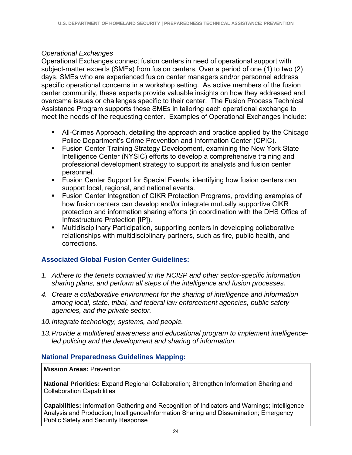#### *Operational Exchanges*

Operational Exchanges connect fusion centers in need of operational support with subject-matter experts (SMEs) from fusion centers. Over a period of one (1) to two (2) days, SMEs who are experienced fusion center managers and/or personnel address specific operational concerns in a workshop setting. As active members of the fusion center community, these experts provide valuable insights on how they addressed and overcame issues or challenges specific to their center. The Fusion Process Technical Assistance Program supports these SMEs in tailoring each operational exchange to meet the needs of the requesting center. Examples of Operational Exchanges include:

- All-Crimes Approach, detailing the approach and practice applied by the Chicago Police Department's Crime Prevention and Information Center (CPIC).
- **Fusion Center Training Strategy Development, examining the New York State** Intelligence Center (NYSIC) efforts to develop a comprehensive training and professional development strategy to support its analysts and fusion center personnel.
- **Fusion Center Support for Special Events, identifying how fusion centers can** support local, regional, and national events.
- **Fusion Center Integration of CIKR Protection Programs, providing examples of** how fusion centers can develop and/or integrate mutually supportive CIKR protection and information sharing efforts (in coordination with the DHS Office of Infrastructure Protection [IP]).
- Multidisciplinary Participation, supporting centers in developing collaborative relationships with multidisciplinary partners, such as fire, public health, and corrections.

#### **Associated Global Fusion Center Guidelines:**

- *1. Adhere to the tenets contained in the NCISP and other sector-specific information sharing plans, and perform all steps of the intelligence and fusion processes.*
- *4. Create a collaborative environment for the sharing of intelligence and information among local, state, tribal, and federal law enforcement agencies, public safety agencies, and the private sector.*
- *10. Integrate technology, systems, and people.*
- *13. Provide a multitiered awareness and educational program to implement intelligenceled policing and the development and sharing of information.*

#### **National Preparedness Guidelines Mapping:**

#### **Mission Areas:** Prevention

**National Priorities:** Expand Regional Collaboration; Strengthen Information Sharing and Collaboration Capabilities

**Capabilities:** Information Gathering and Recognition of Indicators and Warnings; Intelligence Analysis and Production; Intelligence/Information Sharing and Dissemination; Emergency Public Safety and Security Response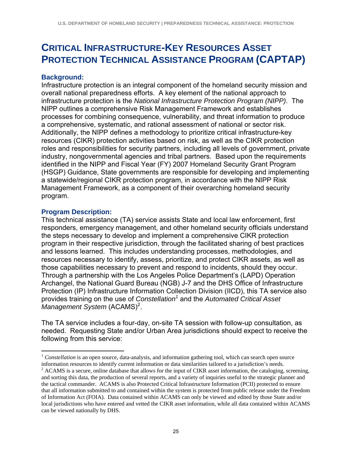### **CRITICAL INFRASTRUCTURE-KEY RESOURCES ASSET PROTECTION TECHNICAL ASSISTANCE PROGRAM (CAPTAP)**

#### **Background:**

Infrastructure protection is an integral component of the homeland security mission and overall national preparedness efforts. A key element of the national approach to infrastructure protection is the *National Infrastructure Protection Program (NIPP)*. The NIPP outlines a comprehensive Risk Management Framework and establishes processes for combining consequence, vulnerability, and threat information to produce a comprehensive, systematic, and rational assessment of national or sector risk. Additionally, the NIPP defines a methodology to prioritize critical infrastructure-key resources (CIKR) protection activities based on risk, as well as the CIKR protection roles and responsibilities for security partners, including all levels of government, private industry, nongovernmental agencies and tribal partners. Based upon the requirements identified in the NIPP and Fiscal Year (FY) 2007 Homeland Security Grant Program (HSGP) Guidance, State governments are responsible for developing and implementing a statewide/regional CIKR protection program, in accordance with the NIPP Risk Management Framework, as a component of their overarching homeland security program.

#### **Program Description:**

1

This technical assistance (TA) service assists State and local law enforcement, first responders, emergency management, and other homeland security officials understand the steps necessary to develop and implement a comprehensive CIKR protection program in their respective jurisdiction, through the facilitated sharing of best practices and lessons learned. This includes understanding processes, methodologies, and resources necessary to identify, assess, prioritize, and protect CIKR assets, as well as those capabilities necessary to prevent and respond to incidents, should they occur. Through a partnership with the Los Angeles Police Department's (LAPD) Operation Archangel, the National Guard Bureau (NGB) J-7 and the DHS Office of Infrastructure Protection (IP) Infrastructure Information Collection Division (IICD), this TA service also provides training on the use of *Constellation<sup>1</sup>* and the *Automated Critical Asset*  Management System (ACAMS)<sup>2</sup>.

The TA service includes a four-day, on-site TA session with follow-up consultation, as needed. Requesting State and/or Urban Area jurisdictions should expect to receive the following from this service:

<sup>&</sup>lt;sup>1</sup> *Constellation* is an open source, data-analysis, and information gathering tool, which can search open source information resources to identify current information or data similarities tailored to a jurisdiction's needs. 2

 $^2$  ACAMS is a secure, online database that allows for the input of CIKR asset information, the cataloging, screening, and sorting this data, the production of several reports, and a variety of inquiries useful to the strategic planner and the tactical commander. ACAMS is also Protected Critical Infrastructure Information (PCII) protected to ensure that all information submitted to and contained within the system is protected from public release under the Freedom of Information Act (FOIA). Data contained within ACAMS can only be viewed and edited by those State and/or local jurisdictions who have entered and vetted the CIKR asset information, while all data contained within ACAMS can be viewed nationally by DHS.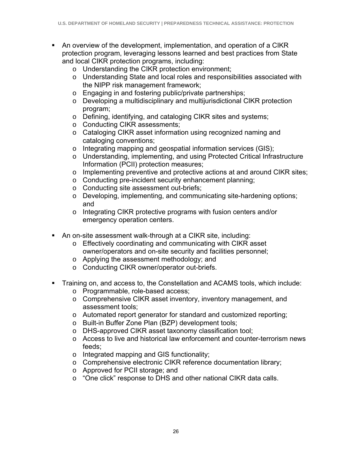- An overview of the development, implementation, and operation of a CIKR protection program, leveraging lessons learned and best practices from State and local CIKR protection programs, including:
	- o Understanding the CIKR protection environment;
	- o Understanding State and local roles and responsibilities associated with the NIPP risk management framework;
	- o Engaging in and fostering public/private partnerships;
	- o Developing a multidisciplinary and multijurisdictional CIKR protection program;
	- o Defining, identifying, and cataloging CIKR sites and systems;
	- o Conducting CIKR assessments;
	- o Cataloging CIKR asset information using recognized naming and cataloging conventions;
	- o Integrating mapping and geospatial information services (GIS);
	- o Understanding, implementing, and using Protected Critical Infrastructure Information (PCII) protection measures;
	- o Implementing preventive and protective actions at and around CIKR sites;
	- o Conducting pre-incident security enhancement planning;
	- o Conducting site assessment out-briefs;
	- o Developing, implementing, and communicating site-hardening options; and
	- o Integrating CIKR protective programs with fusion centers and/or emergency operation centers.
- An on-site assessment walk-through at a CIKR site, including:
	- o Effectively coordinating and communicating with CIKR asset owner/operators and on-site security and facilities personnel;
	- o Applying the assessment methodology; and
	- o Conducting CIKR owner/operator out-briefs.
- Training on, and access to, the Constellation and ACAMS tools, which include:
	- o Programmable, role-based access;
	- o Comprehensive CIKR asset inventory, inventory management, and assessment tools;
	- o Automated report generator for standard and customized reporting;
	- o Built-in Buffer Zone Plan (BZP) development tools;
	- o DHS-approved CIKR asset taxonomy classification tool;
	- o Access to live and historical law enforcement and counter-terrorism news feeds;
	- o Integrated mapping and GIS functionality;
	- o Comprehensive electronic CIKR reference documentation library;
	- o Approved for PCII storage; and
	- o "One click" response to DHS and other national CIKR data calls.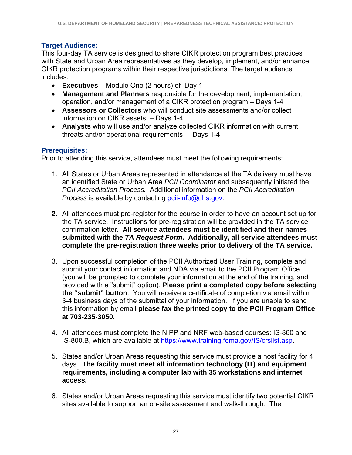### **Target Audience:**

This four-day TA service is designed to share CIKR protection program best practices with State and Urban Area representatives as they develop, implement, and/or enhance CIKR protection programs within their respective jurisdictions. The target audience includes:

- **Executives** Module One (2 hours) of Day 1
- **Management and Planners** responsible for the development, implementation, operation, and/or management of a CIKR protection program – Days 1-4
- **Assessors or Collectors** who will conduct site assessments and/or collect information on CIKR assets – Days 1-4
- **Analysts** who will use and/or analyze collected CIKR information with current threats and/or operational requirements – Days 1-4

## **Prerequisites:**

Prior to attending this service, attendees must meet the following requirements:

- 1. All States or Urban Areas represented in attendance at the TA delivery must have an identified State or Urban Area *PCII Coordinator* and subsequently initiated the *PCII Accreditation Process.* Additional information on the *PCII Accreditation Process is available by contacting pcii-info@dhs.gov.*
- **2.** All attendees must pre-register for the course in order to have an account set up for the TA service. Instructions for pre-registration will be provided in the TA service confirmation letter. **All service attendees must be identified and their names submitted with the** *TA Request Form***. Additionally, all service attendees must complete the pre-registration three weeks prior to delivery of the TA service.**
- 3. Upon successful completion of the PCII Authorized User Training, complete and submit your contact information and NDA via email to the PCII Program Office (you will be prompted to complete your information at the end of the training, and provided with a "submit" option). **Please print a completed copy before selecting the "submit" button**. You will receive a certificate of completion via email within 3-4 business days of the submittal of your information. If you are unable to send this information by email **please fax the printed copy to the PCII Program Office at 703-235-3050.**
- 4. All attendees must complete the NIPP and NRF web-based courses: IS-860 and IS-800.B, which are available at https://www.training.fema.gov/IS/crslist.asp.
- 5. States and/or Urban Areas requesting this service must provide a host facility for 4 days. **The facility must meet all information technology (IT) and equipment requirements, including a computer lab with 35 workstations and internet access.**
- 6. States and/or Urban Areas requesting this service must identify two potential CIKR sites available to support an on-site assessment and walk-through. The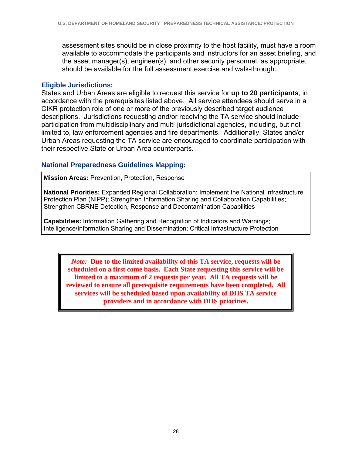assessment sites should be in close proximity to the host facility, must have a room available to accommodate the participants and instructors for an asset briefing, and the asset manager(s), engineer(s), and other security personnel, as appropriate, should be available for the full assessment exercise and walk-through.

#### **Eligible Jurisdictions:**

States and Urban Areas are eligible to request this service for **up to 20 participants**, in accordance with the prerequisites listed above. All service attendees should serve in a CIKR protection role of one or more of the previously described target audience descriptions. Jurisdictions requesting and/or receiving the TA service should include participation from multidisciplinary and multi-jurisdictional agencies, including, but not limited to, law enforcement agencies and fire departments. Additionally, States and/or Urban Areas requesting the TA service are encouraged to coordinate participation with their respective State or Urban Area counterparts.

#### **National Preparedness Guidelines Mapping:**

**Mission Areas:** Prevention, Protection, Response

**National Priorities:** Expanded Regional Collaboration; Implement the National Infrastructure Protection Plan (NIPP); Strengthen Information Sharing and Collaboration Capabilities; Strengthen CBRNE Detection, Response and Decontamination Capabilities

**Capabilities:** Information Gathering and Recognition of Indicators and Warnings; Intelligence/Information Sharing and Dissemination; Critical Infrastructure Protection

*Note:* **Due to the limited availability of this TA service, requests will be scheduled on a first come basis. Each State requesting this service will be limited to a maximum of 2 requests per year. All TA requests will be reviewed to ensure all prerequisite requirements have been completed. All services will be scheduled based upon availability of DHS TA service providers and in accordance with DHS priorities.**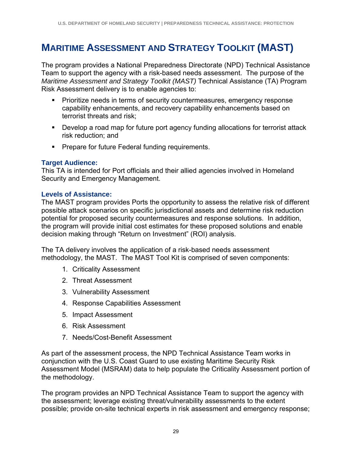# **MARITIME ASSESSMENT AND STRATEGY TOOLKIT (MAST)**

The program provides a National Preparedness Directorate (NPD) Technical Assistance Team to support the agency with a risk-based needs assessment. The purpose of the *Maritime Assessment and Strategy Toolkit (MAST)* Technical Assistance (TA) Program Risk Assessment delivery is to enable agencies to:

- **Prioritize needs in terms of security countermeasures, emergency response** capability enhancements, and recovery capability enhancements based on terrorist threats and risk;
- Develop a road map for future port agency funding allocations for terrorist attack risk reduction; and
- **Prepare for future Federal funding requirements.**

#### **Target Audience:**

This TA is intended for Port officials and their allied agencies involved in Homeland Security and Emergency Management.

#### **Levels of Assistance:**

The MAST program provides Ports the opportunity to assess the relative risk of different possible attack scenarios on specific jurisdictional assets and determine risk reduction potential for proposed security countermeasures and response solutions. In addition, the program will provide initial cost estimates for these proposed solutions and enable decision making through "Return on Investment" (ROI) analysis.

The TA delivery involves the application of a risk-based needs assessment methodology, the MAST. The MAST Tool Kit is comprised of seven components:

- 1. Criticality Assessment
- 2. Threat Assessment
- 3. Vulnerability Assessment
- 4. Response Capabilities Assessment
- 5. Impact Assessment
- 6. Risk Assessment
- 7. Needs/Cost-Benefit Assessment

As part of the assessment process, the NPD Technical Assistance Team works in conjunction with the U.S. Coast Guard to use existing Maritime Security Risk Assessment Model (MSRAM) data to help populate the Criticality Assessment portion of the methodology.

The program provides an NPD Technical Assistance Team to support the agency with the assessment; leverage existing threat/vulnerability assessments to the extent possible; provide on-site technical experts in risk assessment and emergency response;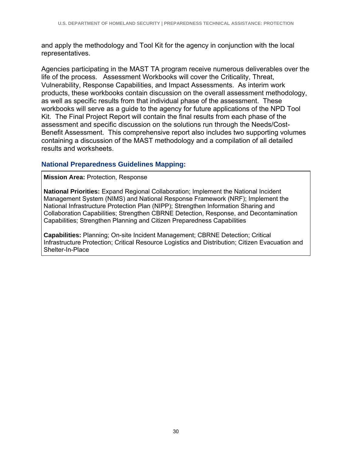and apply the methodology and Tool Kit for the agency in conjunction with the local representatives.

Agencies participating in the MAST TA program receive numerous deliverables over the life of the process. Assessment Workbooks will cover the Criticality, Threat, Vulnerability, Response Capabilities, and Impact Assessments. As interim work products, these workbooks contain discussion on the overall assessment methodology, as well as specific results from that individual phase of the assessment. These workbooks will serve as a guide to the agency for future applications of the NPD Tool Kit. The Final Project Report will contain the final results from each phase of the assessment and specific discussion on the solutions run through the Needs/Cost-Benefit Assessment. This comprehensive report also includes two supporting volumes containing a discussion of the MAST methodology and a compilation of all detailed results and worksheets.

#### **National Preparedness Guidelines Mapping:**

#### **Mission Area:** Protection, Response

**National Priorities:** Expand Regional Collaboration; Implement the National Incident Management System (NIMS) and National Response Framework (NRF); Implement the National Infrastructure Protection Plan (NIPP); Strengthen Information Sharing and Collaboration Capabilities; Strengthen CBRNE Detection, Response, and Decontamination Capabilities; Strengthen Planning and Citizen Preparedness Capabilities

**Capabilities:** Planning; On-site Incident Management; CBRNE Detection; Critical Infrastructure Protection; Critical Resource Logistics and Distribution; Citizen Evacuation and Shelter-In-Place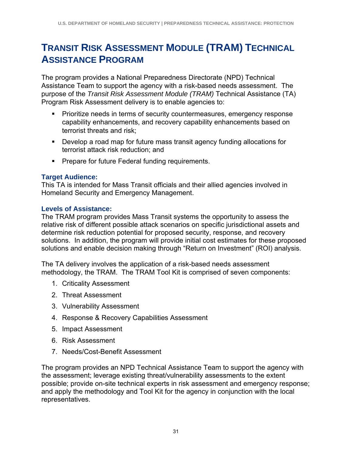# **TRANSIT RISK ASSESSMENT MODULE (TRAM) TECHNICAL ASSISTANCE PROGRAM**

The program provides a National Preparedness Directorate (NPD) Technical Assistance Team to support the agency with a risk-based needs assessment. The purpose of the *Transit Risk Assessment Module (TRAM)* Technical Assistance (TA) Program Risk Assessment delivery is to enable agencies to:

- **Prioritize needs in terms of security countermeasures, emergency response** capability enhancements, and recovery capability enhancements based on terrorist threats and risk;
- Develop a road map for future mass transit agency funding allocations for terrorist attack risk reduction; and
- **Prepare for future Federal funding requirements.**

### **Target Audience:**

This TA is intended for Mass Transit officials and their allied agencies involved in Homeland Security and Emergency Management.

#### **Levels of Assistance:**

The TRAM program provides Mass Transit systems the opportunity to assess the relative risk of different possible attack scenarios on specific jurisdictional assets and determine risk reduction potential for proposed security, response, and recovery solutions. In addition, the program will provide initial cost estimates for these proposed solutions and enable decision making through "Return on Investment" (ROI) analysis.

The TA delivery involves the application of a risk-based needs assessment methodology, the TRAM. The TRAM Tool Kit is comprised of seven components:

- 1. Criticality Assessment
- 2. Threat Assessment
- 3. Vulnerability Assessment
- 4. Response & Recovery Capabilities Assessment
- 5. Impact Assessment
- 6. Risk Assessment
- 7. Needs/Cost-Benefit Assessment

The program provides an NPD Technical Assistance Team to support the agency with the assessment; leverage existing threat/vulnerability assessments to the extent possible; provide on-site technical experts in risk assessment and emergency response; and apply the methodology and Tool Kit for the agency in conjunction with the local representatives.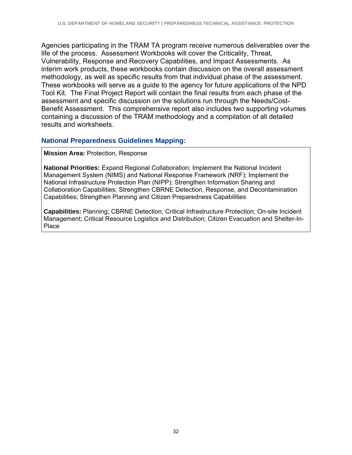Agencies participating in the TRAM TA program receive numerous deliverables over the life of the process. Assessment Workbooks will cover the Criticality, Threat, Vulnerability, Response and Recovery Capabilities, and Impact Assessments. As interim work products, these workbooks contain discussion on the overall assessment methodology, as well as specific results from that individual phase of the assessment. These workbooks will serve as a guide to the agency for future applications of the NPD Tool Kit. The Final Project Report will contain the final results from each phase of the assessment and specific discussion on the solutions run through the Needs/Cost-Benefit Assessment. This comprehensive report also includes two supporting volumes containing a discussion of the TRAM methodology and a compilation of all detailed results and worksheets.

#### **National Preparedness Guidelines Mapping:**

**Mission Area:** Protection, Response

**National Priorities:** Expand Regional Collaboration; Implement the National Incident Management System (NIMS) and National Response Framework (NRF); Implement the National Infrastructure Protection Plan (NIPP); Strengthen Information Sharing and Collaboration Capabilities; Strengthen CBRNE Detection, Response, and Decontamination Capabilities; Strengthen Planning and Citizen Preparedness Capabilities

**Capabilities:** Planning; CBRNE Detection; Critical Infrastructure Protection; On-site Incident Management; Critical Resource Logistics and Distribution; Citizen Evacuation and Shelter-In-Place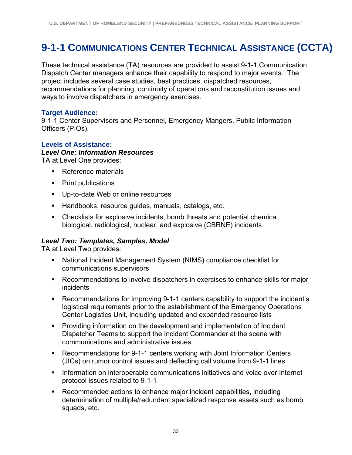# **9-1-1 COMMUNICATIONS CENTER TECHNICAL ASSISTANCE (CCTA)**

These technical assistance (TA) resources are provided to assist 9-1-1 Communication Dispatch Center managers enhance their capability to respond to major events. The project includes several case studies, best practices, dispatched resources, recommendations for planning, continuity of operations and reconstitution issues and ways to involve dispatchers in emergency exercises.

#### **Target Audience:**

9-1-1 Center Supervisors and Personnel, Emergency Mangers, Public Information Officers (PIOs).

#### **Levels of Assistance:**

#### *Level One: Information Resources*

TA at Level One provides:

- Reference materials
- Print publications
- **Up-to-date Web or online resources**
- Handbooks, resource guides, manuals, catalogs, etc.
- Checklists for explosive incidents, bomb threats and potential chemical, biological, radiological, nuclear, and explosive (CBRNE) incidents

#### *Level Two: Templates, Samples, Model*

TA at Level Two provides:

- National Incident Management System (NIMS) compliance checklist for communications supervisors
- Recommendations to involve dispatchers in exercises to enhance skills for major incidents
- Recommendations for improving 9-1-1 centers capability to support the incident's logistical requirements prior to the establishment of the Emergency Operations Center Logistics Unit, including updated and expanded resource lists
- **Providing information on the development and implementation of Incident** Dispatcher Teams to support the Incident Commander at the scene with communications and administrative issues
- Recommendations for 9-1-1 centers working with Joint Information Centers (JICs) on rumor control issues and deflecting call volume from 9-1-1 lines
- **Information on interoperable communications initiatives and voice over Internet** protocol issues related to 9-1-1
- Recommended actions to enhance major incident capabilities, including determination of multiple/redundant specialized response assets such as bomb squads, etc.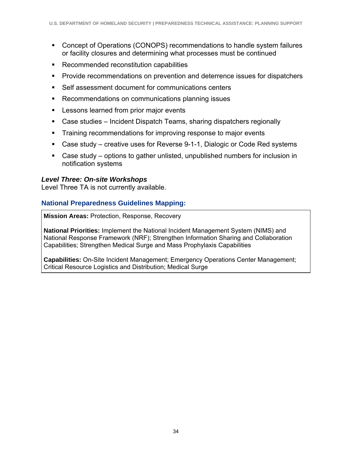- Concept of Operations (CONOPS) recommendations to handle system failures or facility closures and determining what processes must be continued
- Recommended reconstitution capabilities
- **Provide recommendations on prevention and deterrence issues for dispatchers**
- Self assessment document for communications centers
- Recommendations on communications planning issues
- **Lessons learned from prior major events**
- Case studies Incident Dispatch Teams, sharing dispatchers regionally
- **Training recommendations for improving response to major events**
- Case study creative uses for Reverse 9-1-1, Dialogic or Code Red systems
- Case study options to gather unlisted, unpublished numbers for inclusion in notification systems

#### *Level Three: On-site Workshops*

Level Three TA is not currently available.

### **National Preparedness Guidelines Mapping:**

**Mission Areas:** Protection, Response, Recovery

**National Priorities:** Implement the National Incident Management System (NIMS) and National Response Framework (NRF); Strengthen Information Sharing and Collaboration Capabilities; Strengthen Medical Surge and Mass Prophylaxis Capabilities

**Capabilities:** On-Site Incident Management; Emergency Operations Center Management; Critical Resource Logistics and Distribution; Medical Surge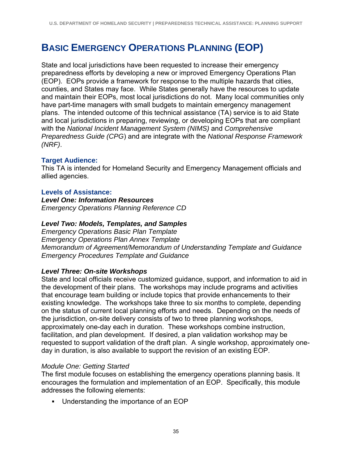# **BASIC EMERGENCY OPERATIONS PLANNING (EOP)**

State and local jurisdictions have been requested to increase their emergency preparedness efforts by developing a new or improved Emergency Operations Plan (EOP). EOPs provide a framework for response to the multiple hazards that cities, counties, and States may face. While States generally have the resources to update and maintain their EOPs, most local jurisdictions do not. Many local communities only have part-time managers with small budgets to maintain emergency management plans. The intended outcome of this technical assistance (TA) service is to aid State and local jurisdictions in preparing, reviewing, or developing EOPs that are compliant with the *National Incident Management System (NIMS)* and *Comprehensive Preparedness Guide (CPG*) and are integrate with the *National Response Framework (NRF)*.

#### **Target Audience:**

This TA is intended for Homeland Security and Emergency Management officials and allied agencies.

#### **Levels of Assistance:**

*Level One: Information Resources Emergency Operations Planning Reference CD* 

#### *Level Two: Models, Templates, and Samples*

*Emergency Operations Basic Plan Template Emergency Operations Plan Annex Template Memorandum of Agreement/Memorandum of Understanding Template and Guidance Emergency Procedures Template and Guidance* 

#### *Level Three: On-site Workshops*

State and local officials receive customized guidance, support, and information to aid in the development of their plans. The workshops may include programs and activities that encourage team building or include topics that provide enhancements to their existing knowledge. The workshops take three to six months to complete, depending on the status of current local planning efforts and needs. Depending on the needs of the jurisdiction, on-site delivery consists of two to three planning workshops, approximately one-day each in duration. These workshops combine instruction, facilitation, and plan development. If desired, a plan validation workshop may be requested to support validation of the draft plan. A single workshop, approximately oneday in duration, is also available to support the revision of an existing EOP.

#### *Module One: Getting Started*

The first module focuses on establishing the emergency operations planning basis. It encourages the formulation and implementation of an EOP. Specifically, this module addresses the following elements:

Understanding the importance of an EOP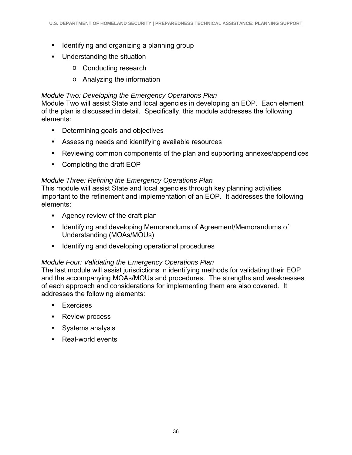- **IDENTIFY** Identifying and organizing a planning group
- **Understanding the situation** 
	- o Conducting research
	- o Analyzing the information

## *Module Two: Developing the Emergency Operations Plan*

Module Two will assist State and local agencies in developing an EOP. Each element of the plan is discussed in detail. Specifically, this module addresses the following elements:

- Determining goals and objectives
- Assessing needs and identifying available resources
- Reviewing common components of the plan and supporting annexes/appendices
- Completing the draft EOP

# *Module Three: Refining the Emergency Operations Plan*

This module will assist State and local agencies through key planning activities important to the refinement and implementation of an EOP. It addresses the following elements:

- Agency review of the draft plan
- **IDENTIFY 11 Identifying and developing Memorandums of Agreement/Memorandums of** Understanding (MOAs/MOUs)
- **IDENTIFY** 1 dentifying and developing operational procedures

# *Module Four: Validating the Emergency Operations Plan*

The last module will assist jurisdictions in identifying methods for validating their EOP and the accompanying MOAs/MOUs and procedures. The strengths and weaknesses of each approach and considerations for implementing them are also covered. It addresses the following elements:

- **Exercises**
- **Review process**
- Systems analysis
- Real-world events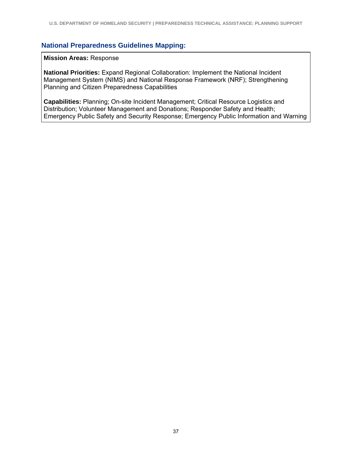#### **Mission Areas:** Response

**National Priorities:** Expand Regional Collaboration: Implement the National Incident Management System (NIMS) and National Response Framework (NRF); Strengthening Planning and Citizen Preparedness Capabilities

**Capabilities:** Planning; On-site Incident Management; Critical Resource Logistics and Distribution; Volunteer Management and Donations; Responder Safety and Health; Emergency Public Safety and Security Response; Emergency Public Information and Warning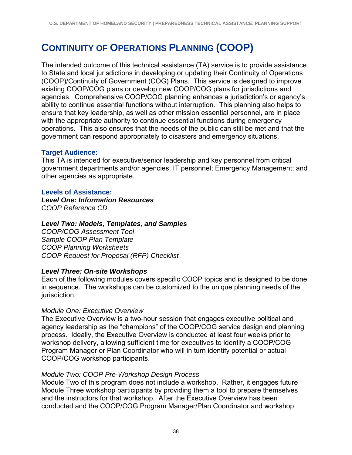# **CONTINUITY OF OPERATIONS PLANNING (COOP)**

The intended outcome of this technical assistance (TA) service is to provide assistance to State and local jurisdictions in developing or updating their Continuity of Operations (COOP)/Continuity of Government (COG) Plans. This service is designed to improve existing COOP/COG plans or develop new COOP/COG plans for jurisdictions and agencies. Comprehensive COOP/COG planning enhances a jurisdiction's or agency's ability to continue essential functions without interruption. This planning also helps to ensure that key leadership, as well as other mission essential personnel, are in place with the appropriate authority to continue essential functions during emergency operations. This also ensures that the needs of the public can still be met and that the government can respond appropriately to disasters and emergency situations.

#### **Target Audience:**

This TA is intended for executive/senior leadership and key personnel from critical government departments and/or agencies; IT personnel; Emergency Management; and other agencies as appropriate.

#### **Levels of Assistance:**

*Level One: Information Resources COOP Reference CD* 

#### *Level Two: Models, Templates, and Samples*

*COOP/COG Assessment Tool Sample COOP Plan Template COOP Planning Worksheets COOP Request for Proposal (RFP) Checklist* 

#### *Level Three: On-site Workshops*

Each of the following modules covers specific COOP topics and is designed to be done in sequence. The workshops can be customized to the unique planning needs of the jurisdiction.

#### *Module One: Executive Overview*

The Executive Overview is a two-hour session that engages executive political and agency leadership as the "champions" of the COOP/COG service design and planning process. Ideally, the Executive Overview is conducted at least four weeks prior to workshop delivery, allowing sufficient time for executives to identify a COOP/COG Program Manager or Plan Coordinator who will in turn identify potential or actual COOP/COG workshop participants.

#### *Module Two: COOP Pre-Workshop Design Process*

Module Two of this program does not include a workshop. Rather, it engages future Module Three workshop participants by providing them a tool to prepare themselves and the instructors for that workshop. After the Executive Overview has been conducted and the COOP/COG Program Manager/Plan Coordinator and workshop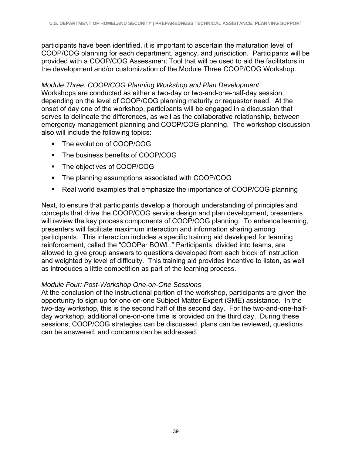participants have been identified, it is important to ascertain the maturation level of COOP/COG planning for each department, agency, and jurisdiction. Participants will be provided with a COOP/COG Assessment Tool that will be used to aid the facilitators in the development and/or customization of the Module Three COOP/COG Workshop.

*Module Three: COOP/COG Planning Workshop and Plan Development*  Workshops are conducted as either a two-day or two-and-one-half-day session, depending on the level of COOP/COG planning maturity or requestor need. At the onset of day one of the workshop, participants will be engaged in a discussion that serves to delineate the differences, as well as the collaborative relationship, between emergency management planning and COOP/COG planning. The workshop discussion also will include the following topics:

- The evolution of COOP/COG
- The business benefits of COOP/COG
- The objectives of COOP/COG
- **The planning assumptions associated with COOP/COG**
- Real world examples that emphasize the importance of COOP/COG planning

Next, to ensure that participants develop a thorough understanding of principles and concepts that drive the COOP/COG service design and plan development, presenters will review the key process components of COOP/COG planning. To enhance learning, presenters will facilitate maximum interaction and information sharing among participants. This interaction includes a specific training aid developed for learning reinforcement, called the "COOPer BOWL." Participants, divided into teams, are allowed to give group answers to questions developed from each block of instruction and weighted by level of difficulty. This training aid provides incentive to listen, as well as introduces a little competition as part of the learning process.

#### *Module Four: Post-Workshop One-on-One Sessions*

At the conclusion of the instructional portion of the workshop, participants are given the opportunity to sign up for one-on-one Subject Matter Expert (SME) assistance. In the two-day workshop, this is the second half of the second day. For the two-and-one-halfday workshop, additional one-on-one time is provided on the third day. During these sessions, COOP/COG strategies can be discussed, plans can be reviewed, questions can be answered, and concerns can be addressed.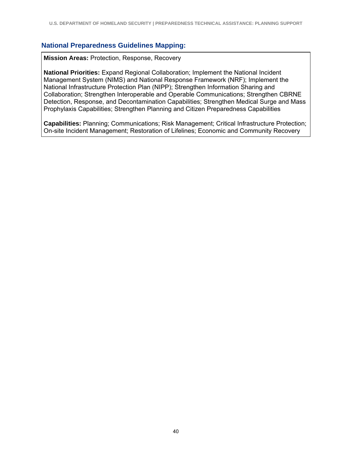**Mission Areas:** Protection, Response, Recovery

**National Priorities:** Expand Regional Collaboration; Implement the National Incident Management System (NIMS) and National Response Framework (NRF); Implement the National Infrastructure Protection Plan (NIPP); Strengthen Information Sharing and Collaboration; Strengthen Interoperable and Operable Communications; Strengthen CBRNE Detection, Response, and Decontamination Capabilities; Strengthen Medical Surge and Mass Prophylaxis Capabilities; Strengthen Planning and Citizen Preparedness Capabilities

**Capabilities:** Planning; Communications; Risk Management; Critical Infrastructure Protection; On-site Incident Management; Restoration of Lifelines; Economic and Community Recovery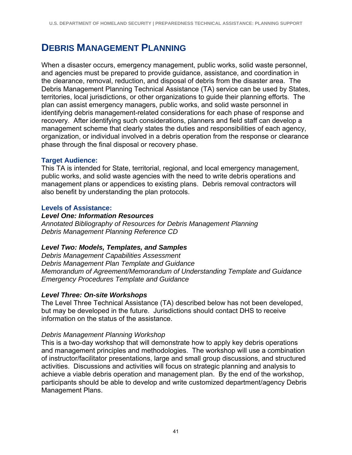# **DEBRIS MANAGEMENT PLANNING**

When a disaster occurs, emergency management, public works, solid waste personnel, and agencies must be prepared to provide guidance, assistance, and coordination in the clearance, removal, reduction, and disposal of debris from the disaster area. The Debris Management Planning Technical Assistance (TA) service can be used by States, territories, local jurisdictions, or other organizations to guide their planning efforts. The plan can assist emergency managers, public works, and solid waste personnel in identifying debris management-related considerations for each phase of response and recovery. After identifying such considerations, planners and field staff can develop a management scheme that clearly states the duties and responsibilities of each agency, organization, or individual involved in a debris operation from the response or clearance phase through the final disposal or recovery phase.

#### **Target Audience:**

This TA is intended for State, territorial, regional, and local emergency management, public works, and solid waste agencies with the need to write debris operations and management plans or appendices to existing plans. Debris removal contractors will also benefit by understanding the plan protocols.

#### **Levels of Assistance:**

#### *Level One: Information Resources*

*Annotated Bibliography of Resources for Debris Management Planning Debris Management Planning Reference CD* 

### *Level Two: Models, Templates, and Samples*

*Debris Management Capabilities Assessment Debris Management Plan Template and Guidance Memorandum of Agreement/Memorandum of Understanding Template and Guidance Emergency Procedures Template and Guidance* 

#### *Level Three: On-site Workshops*

The Level Three Technical Assistance (TA) described below has not been developed, but may be developed in the future. Jurisdictions should contact DHS to receive information on the status of the assistance.

#### *Debris Management Planning Workshop*

This is a two-day workshop that will demonstrate how to apply key debris operations and management principles and methodologies. The workshop will use a combination of instructor/facilitator presentations, large and small group discussions, and structured activities. Discussions and activities will focus on strategic planning and analysis to achieve a viable debris operation and management plan. By the end of the workshop, participants should be able to develop and write customized department/agency Debris Management Plans.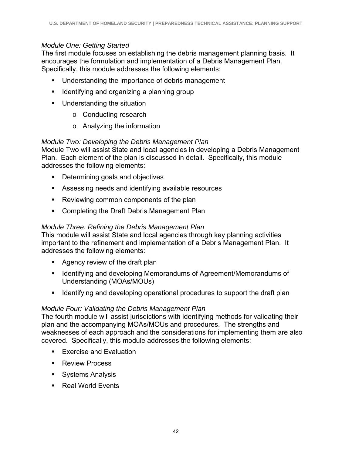### *Module One: Getting Started*

The first module focuses on establishing the debris management planning basis. It encourages the formulation and implementation of a Debris Management Plan. Specifically, this module addresses the following elements:

- **Understanding the importance of debris management**
- **I** Identifying and organizing a planning group
- **Understanding the situation** 
	- o Conducting research
	- o Analyzing the information

#### *Module Two: Developing the Debris Management Plan*

Module Two will assist State and local agencies in developing a Debris Management Plan. Each element of the plan is discussed in detail. Specifically, this module addresses the following elements:

- **•** Determining goals and objectives
- Assessing needs and identifying available resources
- **Reviewing common components of the plan**
- Completing the Draft Debris Management Plan

#### *Module Three: Refining the Debris Management Plan*

This module will assist State and local agencies through key planning activities important to the refinement and implementation of a Debris Management Plan. It addresses the following elements:

- Agency review of the draft plan
- **If Identifying and developing Memorandums of Agreement/Memorandums of** Understanding (MOAs/MOUs)
- Identifying and developing operational procedures to support the draft plan

#### *Module Four: Validating the Debris Management Plan*

The fourth module will assist jurisdictions with identifying methods for validating their plan and the accompanying MOAs/MOUs and procedures. The strengths and weaknesses of each approach and the considerations for implementing them are also covered. Specifically, this module addresses the following elements:

- **Exercise and Evaluation**
- **Review Process**
- **Systems Analysis**
- Real World Events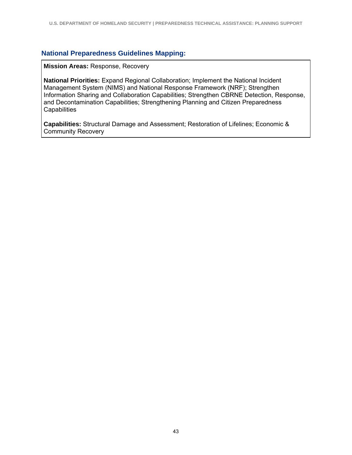**Mission Areas:** Response, Recovery

**National Priorities:** Expand Regional Collaboration; Implement the National Incident Management System (NIMS) and National Response Framework (NRF); Strengthen Information Sharing and Collaboration Capabilities; Strengthen CBRNE Detection, Response, and Decontamination Capabilities; Strengthening Planning and Citizen Preparedness **Capabilities** 

**Capabilities:** Structural Damage and Assessment; Restoration of Lifelines; Economic & Community Recovery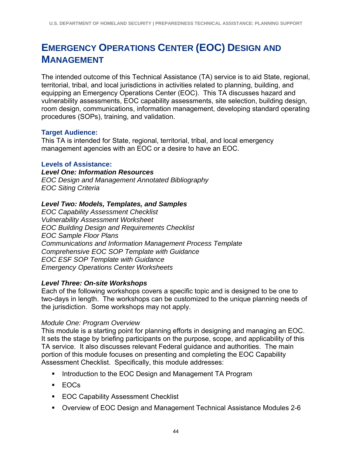# **EMERGENCY OPERATIONS CENTER (EOC) DESIGN AND MANAGEMENT**

The intended outcome of this Technical Assistance (TA) service is to aid State, regional, territorial, tribal, and local jurisdictions in activities related to planning, building, and equipping an Emergency Operations Center (EOC). This TA discusses hazard and vulnerability assessments, EOC capability assessments, site selection, building design, room design, communications, information management, developing standard operating procedures (SOPs), training, and validation.

#### **Target Audience:**

This TA is intended for State, regional, territorial, tribal, and local emergency management agencies with an EOC or a desire to have an EOC.

#### **Levels of Assistance:**

*Level One: Information Resources* 

*EOC Design and Management Annotated Bibliography EOC Siting Criteria* 

#### *Level Two: Models, Templates, and Samples*

*EOC Capability Assessment Checklist Vulnerability Assessment Worksheet EOC Building Design and Requirements Checklist EOC Sample Floor Plans Communications and Information Management Process Template Comprehensive EOC SOP Template with Guidance EOC ESF SOP Template with Guidance Emergency Operations Center Worksheets* 

#### *Level Three: On-site Workshops*

Each of the following workshops covers a specific topic and is designed to be one to two-days in length. The workshops can be customized to the unique planning needs of the jurisdiction. Some workshops may not apply.

#### *Module One: Program Overview*

This module is a starting point for planning efforts in designing and managing an EOC. It sets the stage by briefing participants on the purpose, scope, and applicability of this TA service. It also discusses relevant Federal guidance and authorities. The main portion of this module focuses on presenting and completing the EOC Capability Assessment Checklist. Specifically, this module addresses:

- **Introduction to the EOC Design and Management TA Program**
- EOCs
- **EOC Capability Assessment Checklist**
- Overview of EOC Design and Management Technical Assistance Modules 2-6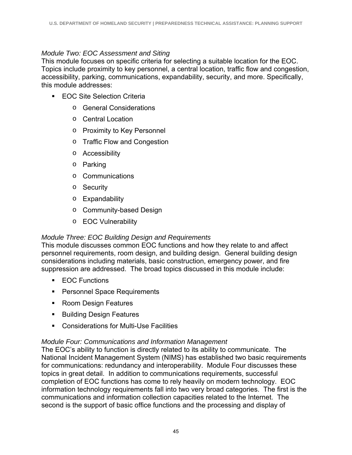#### *Module Two: EOC Assessment and Siting*

This module focuses on specific criteria for selecting a suitable location for the EOC. Topics include proximity to key personnel, a central location, traffic flow and congestion, accessibility, parking, communications, expandability, security, and more. Specifically, this module addresses:

- **EOC Site Selection Criteria** 
	- o General Considerations
	- o Central Location
	- o Proximity to Key Personnel
	- o Traffic Flow and Congestion
	- o Accessibility
	- o Parking
	- o Communications
	- o Security
	- o Expandability
	- o Community-based Design
	- o EOC Vulnerability

#### *Module Three: EOC Building Design and Requirements*

This module discusses common EOC functions and how they relate to and affect personnel requirements, room design, and building design. General building design considerations including materials, basic construction, emergency power, and fire suppression are addressed. The broad topics discussed in this module include:

- **EOC** Functions
- **Personnel Space Requirements**
- **Room Design Features**
- Building Design Features
- Considerations for Multi-Use Facilities

#### *Module Four: Communications and Information Management*

The EOC's ability to function is directly related to its ability to communicate. The National Incident Management System (NIMS) has established two basic requirements for communications: redundancy and interoperability. Module Four discusses these topics in great detail. In addition to communications requirements, successful completion of EOC functions has come to rely heavily on modern technology. EOC information technology requirements fall into two very broad categories. The first is the communications and information collection capacities related to the Internet. The second is the support of basic office functions and the processing and display of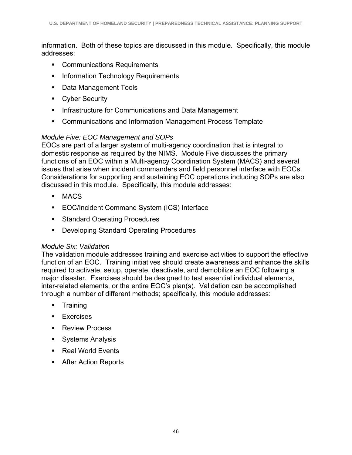information. Both of these topics are discussed in this module. Specifically, this module addresses:

- **Communications Requirements**
- **Information Technology Requirements**
- **Data Management Tools**
- **Cyber Security**
- **Infrastructure for Communications and Data Management**
- Communications and Information Management Process Template

### *Module Five: EOC Management and SOPs*

EOCs are part of a larger system of multi-agency coordination that is integral to domestic response as required by the NIMS. Module Five discusses the primary functions of an EOC within a Multi-agency Coordination System (MACS) and several issues that arise when incident commanders and field personnel interface with EOCs. Considerations for supporting and sustaining EOC operations including SOPs are also discussed in this module. Specifically, this module addresses:

- MACS
- EOC/Incident Command System (ICS) Interface
- **Standard Operating Procedures**
- **Developing Standard Operating Procedures**

#### *Module Six: Validation*

The validation module addresses training and exercise activities to support the effective function of an EOC. Training initiatives should create awareness and enhance the skills required to activate, setup, operate, deactivate, and demobilize an EOC following a major disaster. Exercises should be designed to test essential individual elements, inter-related elements, or the entire EOC's plan(s). Validation can be accomplished through a number of different methods; specifically, this module addresses:

- **Training**
- **Exercises**
- Review Process
- **Systems Analysis**
- Real World Events
- After Action Reports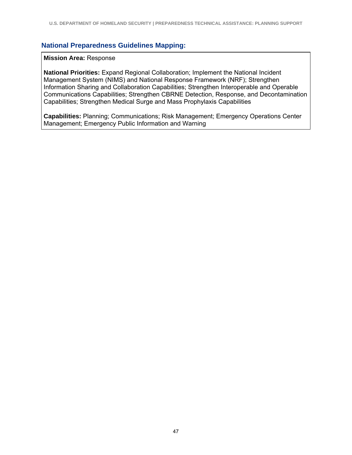#### **Mission Area:** Response

**National Priorities:** Expand Regional Collaboration; Implement the National Incident Management System (NIMS) and National Response Framework (NRF); Strengthen Information Sharing and Collaboration Capabilities; Strengthen Interoperable and Operable Communications Capabilities; Strengthen CBRNE Detection, Response, and Decontamination Capabilities; Strengthen Medical Surge and Mass Prophylaxis Capabilities

**Capabilities:** Planning; Communications; Risk Management; Emergency Operations Center Management; Emergency Public Information and Warning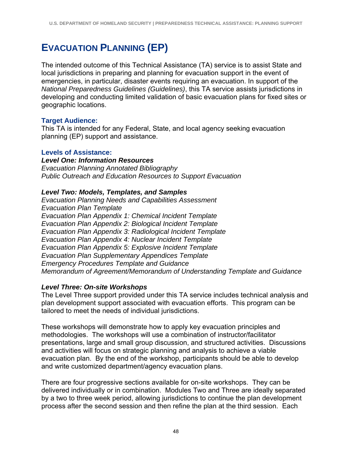# **EVACUATION PLANNING (EP)**

The intended outcome of this Technical Assistance (TA) service is to assist State and local jurisdictions in preparing and planning for evacuation support in the event of emergencies, in particular, disaster events requiring an evacuation. In support of the *National Preparedness Guidelines (Guidelines)*, this TA service assists jurisdictions in developing and conducting limited validation of basic evacuation plans for fixed sites or geographic locations.

### **Target Audience:**

This TA is intended for any Federal, State, and local agency seeking evacuation planning (EP) support and assistance.

#### **Levels of Assistance:**

*Level One: Information Resources Evacuation Planning Annotated Bibliography Public Outreach and Education Resources to Support Evacuation* 

#### *Level Two: Models, Templates, and Samples*

*Evacuation Planning Needs and Capabilities Assessment Evacuation Plan Template Evacuation Plan Appendix 1: Chemical Incident Template Evacuation Plan Appendix 2: Biological Incident Template Evacuation Plan Appendix 3: Radiological Incident Template Evacuation Plan Appendix 4: Nuclear Incident Template Evacuation Plan Appendix 5: Explosive Incident Template Evacuation Plan Supplementary Appendices Template Emergency Procedures Template and Guidance Memorandum of Agreement/Memorandum of Understanding Template and Guidance* 

### *Level Three: On-site Workshops*

The Level Three support provided under this TA service includes technical analysis and plan development support associated with evacuation efforts. This program can be tailored to meet the needs of individual jurisdictions.

These workshops will demonstrate how to apply key evacuation principles and methodologies. The workshops will use a combination of instructor/facilitator presentations, large and small group discussion, and structured activities. Discussions and activities will focus on strategic planning and analysis to achieve a viable evacuation plan. By the end of the workshop, participants should be able to develop and write customized department/agency evacuation plans.

There are four progressive sections available for on-site workshops. They can be delivered individually or in combination. Modules Two and Three are ideally separated by a two to three week period, allowing jurisdictions to continue the plan development process after the second session and then refine the plan at the third session. Each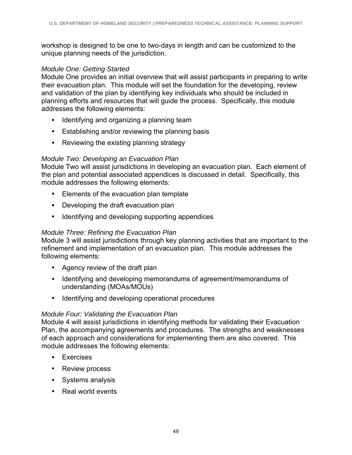workshop is designed to be one to two-days in length and can be customized to the unique planning needs of the jurisdiction.

#### *Module One: Getting Started*

Module One provides an initial overview that will assist participants in preparing to write their evacuation plan. This module will set the foundation for the developing, review and validation of the plan by identifying key individuals who should be included in planning efforts and resources that will guide the process. Specifically, this module addresses the following elements:

- **IDENTIFY 19 In An and Symbol and Symbol and Symbol and Symbol and Symbol Exam**
- **Establishing and/or reviewing the planning basis**
- Reviewing the existing planning strategy

### *Module Two: Developing an Evacuation Plan*

Module Two will assist jurisdictions in developing an evacuation plan. Each element of the plan and potential associated appendices is discussed in detail. Specifically, this module addresses the following elements:

- **Elements of the evacuation plan template**
- **•** Developing the draft evacuation plan
- **IDENTIFY 1** Identifying and developing supporting appendices

### *Module Three: Refining the Evacuation Plan*

Module 3 will assist jurisdictions through key planning activities that are important to the refinement and implementation of an evacuation plan. This module addresses the following elements:

- **Agency review of the draft plan**
- Intertuality and developing memorandums of agreement/memorandums of understanding (MOAs/MOUs)
- **IDENTIFY** Identifying and developing operational procedures

### *Module Four: Validating the Evacuation Plan*

Module 4 will assist jurisdictions in identifying methods for validating their Evacuation Plan, the accompanying agreements and procedures. The strengths and weaknesses of each approach and considerations for implementing them are also covered. This module addresses the following elements:

- **Exercises**
- Review process
- **Systems analysis**
- Real world events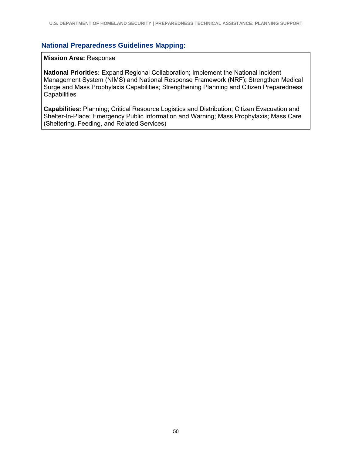#### **Mission Area:** Response

**National Priorities:** Expand Regional Collaboration; Implement the National Incident Management System (NIMS) and National Response Framework (NRF); Strengthen Medical Surge and Mass Prophylaxis Capabilities; Strengthening Planning and Citizen Preparedness **Capabilities** 

**Capabilities:** Planning; Critical Resource Logistics and Distribution; Citizen Evacuation and Shelter-In-Place; Emergency Public Information and Warning; Mass Prophylaxis; Mass Care (Sheltering, Feeding, and Related Services)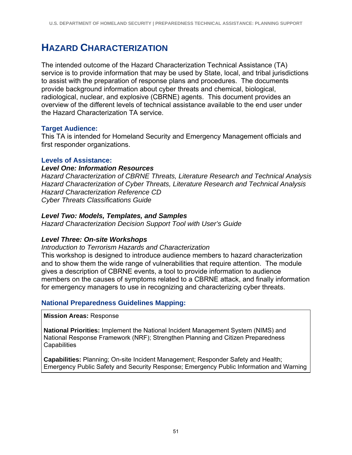# **HAZARD CHARACTERIZATION**

The intended outcome of the Hazard Characterization Technical Assistance (TA) service is to provide information that may be used by State, local, and tribal jurisdictions to assist with the preparation of response plans and procedures. The documents provide background information about cyber threats and chemical, biological, radiological, nuclear, and explosive (CBRNE) agents. This document provides an overview of the different levels of technical assistance available to the end user under the Hazard Characterization TA service.

#### **Target Audience:**

This TA is intended for Homeland Security and Emergency Management officials and first responder organizations.

#### **Levels of Assistance:**

#### *Level One: Information Resources*

*Hazard Characterization of CBRNE Threats, Literature Research and Technical Analysis Hazard Characterization of Cyber Threats, Literature Research and Technical Analysis Hazard Characterization Reference CD Cyber Threats Classifications Guide* 

#### *Level Two: Models, Templates, and Samples*

*Hazard Characterization Decision Support Tool with User's Guide* 

#### *Level Three: On-site Workshops*

#### *Introduction to Terrorism Hazards and Characterization*

This workshop is designed to introduce audience members to hazard characterization and to show them the wide range of vulnerabilities that require attention. The module gives a description of CBRNE events, a tool to provide information to audience members on the causes of symptoms related to a CBRNE attack, and finally information for emergency managers to use in recognizing and characterizing cyber threats.

#### **National Preparedness Guidelines Mapping:**

**Mission Areas:** Response

**National Priorities:** Implement the National Incident Management System (NIMS) and National Response Framework (NRF); Strengthen Planning and Citizen Preparedness **Capabilities** 

**Capabilities:** Planning; On-site Incident Management; Responder Safety and Health; Emergency Public Safety and Security Response; Emergency Public Information and Warning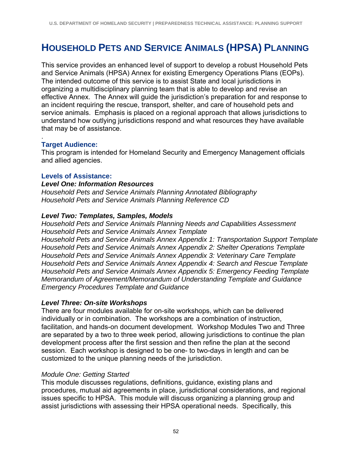# **HOUSEHOLD PETS AND SERVICE ANIMALS (HPSA) PLANNING**

This service provides an enhanced level of support to develop a robust Household Pets and Service Animals (HPSA) Annex for existing Emergency Operations Plans (EOPs). The intended outcome of this service is to assist State and local jurisdictions in organizing a multidisciplinary planning team that is able to develop and revise an effective Annex. The Annex will guide the jurisdiction's preparation for and response to an incident requiring the rescue, transport, shelter, and care of household pets and service animals. Emphasis is placed on a regional approach that allows jurisdictions to understand how outlying jurisdictions respond and what resources they have available that may be of assistance.

#### . **Target Audience:**

This program is intended for Homeland Security and Emergency Management officials and allied agencies.

#### **Levels of Assistance:**

#### *Level One: Information Resources*

*Household Pets and Service Animals Planning Annotated Bibliography Household Pets and Service Animals Planning Reference CD* 

#### *Level Two: Templates, Samples, Models*

*Household Pets and Service Animals Planning Needs and Capabilities Assessment Household Pets and Service Animals Annex Template Household Pets and Service Animals Annex Appendix 1: Transportation Support Template Household Pets and Service Animals Annex Appendix 2: Shelter Operations Template Household Pets and Service Animals Annex Appendix 3: Veterinary Care Template Household Pets and Service Animals Annex Appendix 4: Search and Rescue Template Household Pets and Service Animals Annex Appendix 5: Emergency Feeding Template Memorandum of Agreement/Memorandum of Understanding Template and Guidance Emergency Procedures Template and Guidance* 

#### *Level Three: On-site Workshops*

There are four modules available for on-site workshops, which can be delivered individually or in combination. The workshops are a combination of instruction, facilitation, and hands-on document development. Workshop Modules Two and Three are separated by a two to three week period, allowing jurisdictions to continue the plan development process after the first session and then refine the plan at the second session. Each workshop is designed to be one- to two-days in length and can be customized to the unique planning needs of the jurisdiction.

#### *Module One: Getting Started*

This module discusses regulations, definitions, guidance, existing plans and procedures, mutual aid agreements in place, jurisdictional considerations, and regional issues specific to HPSA. This module will discuss organizing a planning group and assist jurisdictions with assessing their HPSA operational needs. Specifically, this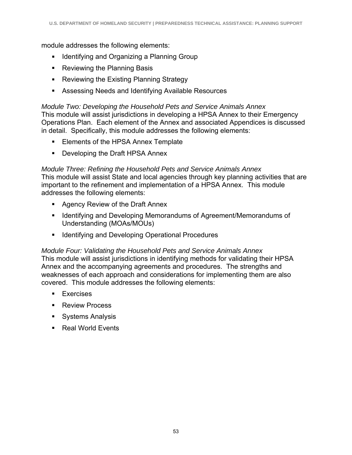module addresses the following elements:

- **IDENTIFY** Identifying and Organizing a Planning Group
- Reviewing the Planning Basis
- **Reviewing the Existing Planning Strategy**
- Assessing Needs and Identifying Available Resources

#### *Module Two: Developing the Household Pets and Service Animals Annex*

This module will assist jurisdictions in developing a HPSA Annex to their Emergency Operations Plan. Each element of the Annex and associated Appendices is discussed in detail. Specifically, this module addresses the following elements:

- **Elements of the HPSA Annex Template**
- **Developing the Draft HPSA Annex**

*Module Three: Refining the Household Pets and Service Animals Annex*  This module will assist State and local agencies through key planning activities that are important to the refinement and implementation of a HPSA Annex. This module addresses the following elements:

- Agency Review of the Draft Annex
- **If Identifying and Developing Memorandums of Agreement/Memorandums of** Understanding (MOAs/MOUs)
- **IDENTIFY** Identifying and Developing Operational Procedures

#### *Module Four: Validating the Household Pets and Service Animals Annex*  This module will assist jurisdictions in identifying methods for validating their HPSA Annex and the accompanying agreements and procedures. The strengths and weaknesses of each approach and considerations for implementing them are also covered. This module addresses the following elements:

- **Exercises**
- **Review Process**
- **Systems Analysis**
- Real World Events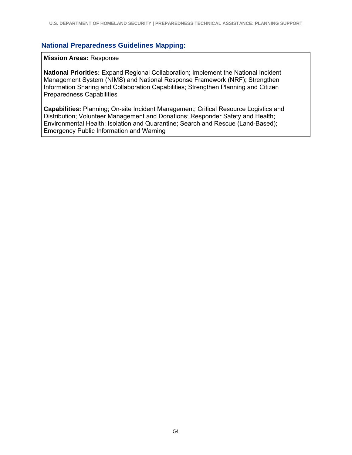#### **Mission Areas:** Response

**National Priorities:** Expand Regional Collaboration; Implement the National Incident Management System (NIMS) and National Response Framework (NRF); Strengthen Information Sharing and Collaboration Capabilities; Strengthen Planning and Citizen Preparedness Capabilities

**Capabilities:** Planning; On-site Incident Management; Critical Resource Logistics and Distribution; Volunteer Management and Donations; Responder Safety and Health; Environmental Health; Isolation and Quarantine; Search and Rescue (Land-Based); Emergency Public Information and Warning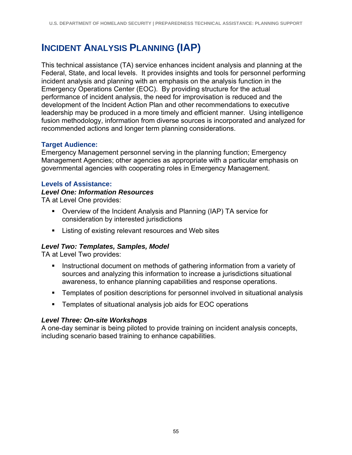# **INCIDENT ANALYSIS PLANNING (IAP)**

This technical assistance (TA) service enhances incident analysis and planning at the Federal, State, and local levels. It provides insights and tools for personnel performing incident analysis and planning with an emphasis on the analysis function in the Emergency Operations Center (EOC). By providing structure for the actual performance of incident analysis, the need for improvisation is reduced and the development of the Incident Action Plan and other recommendations to executive leadership may be produced in a more timely and efficient manner. Using intelligence fusion methodology, information from diverse sources is incorporated and analyzed for recommended actions and longer term planning considerations.

### **Target Audience:**

Emergency Management personnel serving in the planning function; Emergency Management Agencies; other agencies as appropriate with a particular emphasis on governmental agencies with cooperating roles in Emergency Management.

#### **Levels of Assistance:**

#### *Level One: Information Resources*

TA at Level One provides:

- Overview of the Incident Analysis and Planning (IAP) TA service for consideration by interested jurisdictions
- **EXECT** Listing of existing relevant resources and Web sites

### *Level Two: Templates, Samples, Model*

TA at Level Two provides:

- **Instructional document on methods of gathering information from a variety of** sources and analyzing this information to increase a jurisdictions situational awareness, to enhance planning capabilities and response operations.
- Templates of position descriptions for personnel involved in situational analysis
- Templates of situational analysis job aids for EOC operations

#### *Level Three: On-site Workshops*

A one-day seminar is being piloted to provide training on incident analysis concepts, including scenario based training to enhance capabilities.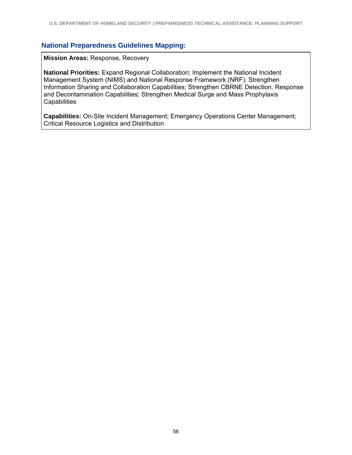**Mission Areas:** Response, Recovery

**National Priorities:** Expand Regional Collaboration; Implement the National Incident Management System (NIMS) and National Response Framework (NRF); Strengthen Information Sharing and Collaboration Capabilities; Strengthen CBRNE Detection, Response and Decontamination Capabilities; Strengthen Medical Surge and Mass Prophylaxis **Capabilities** 

**Capabilities:** On-Site Incident Management; Emergency Operations Center Management; Critical Resource Logistics and Distribution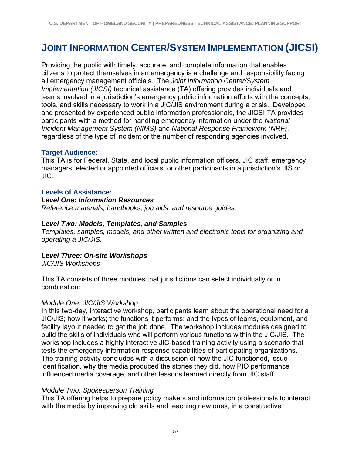# **JOINT INFORMATION CENTER/SYSTEM IMPLEMENTATION (JICSI)**

Providing the public with timely, accurate, and complete information that enables citizens to protect themselves in an emergency is a challenge and responsibility facing all emergency management officials. The *Joint Information Center/System Implementation (JICSI)* technical assistance (TA) offering provides individuals and teams involved in a jurisdiction's emergency public information efforts with the concepts, tools, and skills necessary to work in a JIC/JIS environment during a crisis. Developed and presented by experienced public information professionals, the JICSI TA provides participants with a method for handling emergency information under the *National Incident Management System (NIMS)* and *National Response Framework (NRF)*, regardless of the type of incident or the number of responding agencies involved.

#### **Target Audience:**

This TA is for Federal, State, and local public information officers, JIC staff, emergency managers, elected or appointed officials, or other participants in a jurisdiction's JIS or JIC.

#### **Levels of Assistance:**

#### *Level One: Information Resources*

*Reference materials, handbooks, job aids, and resource guides.*

#### *Level Two: Models, Templates, and Samples*

*Templates, samples, models, and other written and electronic tools for organizing and operating a JIC/JIS.* 

### *Level Three: On-site Workshops*

*JIC/JIS Workshops* 

This TA consists of three modules that jurisdictions can select individually or in combination:

#### *Module One: JIC/JIS Workshop*

In this two-day, interactive workshop, participants learn about the operational need for a JIC/JIS; how it works; the functions it performs; and the types of teams, equipment, and facility layout needed to get the job done. The workshop includes modules designed to build the skills of individuals who will perform various functions within the JIC/JIS. The workshop includes a highly interactive JIC-based training activity using a scenario that tests the emergency information response capabilities of participating organizations. The training activity concludes with a discussion of how the JIC functioned, issue identification, why the media produced the stories they did, how PIO performance influenced media coverage, and other lessons learned directly from JIC staff.

#### *Module Two: Spokesperson Training*

This TA offering helps to prepare policy makers and information professionals to interact with the media by improving old skills and teaching new ones, in a constructive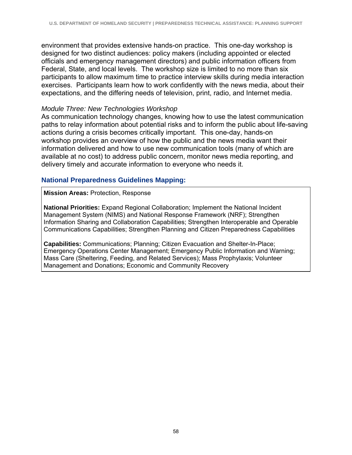environment that provides extensive hands-on practice. This one-day workshop is designed for two distinct audiences: policy makers (including appointed or elected officials and emergency management directors) and public information officers from Federal, State, and local levels. The workshop size is limited to no more than six participants to allow maximum time to practice interview skills during media interaction exercises. Participants learn how to work confidently with the news media, about their expectations, and the differing needs of television, print, radio, and Internet media.

#### *Module Three: New Technologies Workshop*

As communication technology changes, knowing how to use the latest communication paths to relay information about potential risks and to inform the public about life-saving actions during a crisis becomes critically important. This one-day, hands-on workshop provides an overview of how the public and the news media want their information delivered and how to use new communication tools (many of which are available at no cost) to address public concern, monitor news media reporting, and delivery timely and accurate information to everyone who needs it.

#### **National Preparedness Guidelines Mapping:**

**Mission Areas:** Protection, Response

**National Priorities:** Expand Regional Collaboration; Implement the National Incident Management System (NIMS) and National Response Framework (NRF); Strengthen Information Sharing and Collaboration Capabilities; Strengthen Interoperable and Operable Communications Capabilities; Strengthen Planning and Citizen Preparedness Capabilities

**Capabilities:** Communications; Planning; Citizen Evacuation and Shelter-In-Place; Emergency Operations Center Management; Emergency Public Information and Warning; Mass Care (Sheltering, Feeding, and Related Services); Mass Prophylaxis; Volunteer Management and Donations; Economic and Community Recovery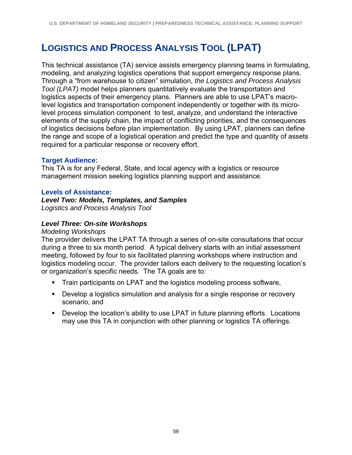# **LOGISTICS AND PROCESS ANALYSIS TOOL (LPAT)**

This technical assistance (TA) service assists emergency planning teams in formulating, modeling, and analyzing logistics operations that support emergency response plans. Through a "from warehouse to citizen" simulation, *the Logistics and Process Analysis Tool (LPAT)* model helps planners quantitatively evaluate the transportation and logistics aspects of their emergency plans. Planners are able to use LPAT's macrolevel logistics and transportation component independently or together with its microlevel process simulation component to test, analyze, and understand the interactive elements of the supply chain, the impact of conflicting priorities, and the consequences of logistics decisions before plan implementation. By using LPAT, planners can define the range and scope of a logistical operation and predict the type and quantity of assets required for a particular response or recovery effort.

#### **Target Audience:**

This TA is for any Federal, State, and local agency with a logistics or resource management mission seeking logistics planning support and assistance.

#### **Levels of Assistance:**

*Level Two: Models, Templates, and Samples Logistics and Process Analysis Tool* 

#### *Level Three: On-site Workshops*

#### *Modeling Workshops*

The provider delivers the LPAT TA through a series of on-site consultations that occur during a three to six month period. A typical delivery starts with an initial assessment meeting, followed by four to six facilitated planning workshops where instruction and logistics modeling occur. The provider tailors each delivery to the requesting location's or organization's specific needs. The TA goals are to:

- **Train participants on LPAT and the logistics modeling process software,**
- **Develop a logistics simulation and analysis for a single response or recovery** scenario, and
- Develop the location's ability to use LPAT in future planning efforts. Locations may use this TA in conjunction with other planning or logistics TA offerings.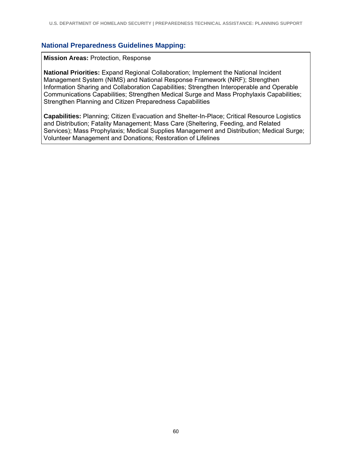**Mission Areas:** Protection, Response

**National Priorities:** Expand Regional Collaboration; Implement the National Incident Management System (NIMS) and National Response Framework (NRF); Strengthen Information Sharing and Collaboration Capabilities; Strengthen Interoperable and Operable Communications Capabilities; Strengthen Medical Surge and Mass Prophylaxis Capabilities; Strengthen Planning and Citizen Preparedness Capabilities

**Capabilities:** Planning; Citizen Evacuation and Shelter-In-Place; Critical Resource Logistics and Distribution; Fatality Management; Mass Care (Sheltering, Feeding, and Related Services); Mass Prophylaxis; Medical Supplies Management and Distribution; Medical Surge; Volunteer Management and Donations; Restoration of Lifelines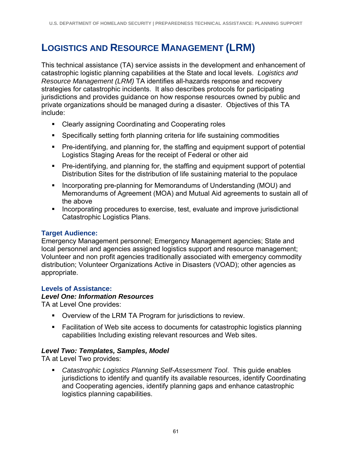# **LOGISTICS AND RESOURCE MANAGEMENT (LRM)**

This technical assistance (TA) service assists in the development and enhancement of catastrophic logistic planning capabilities at the State and local levels. *Logistics and Resource Management (LRM)* TA identifies all-hazards response and recovery strategies for catastrophic incidents. It also describes protocols for participating jurisdictions and provides guidance on how response resources owned by public and private organizations should be managed during a disaster. Objectives of this TA include:

- **EXECTE 25 In An Exercise 21 Inc.** Separation **Cooperating roles**
- Specifically setting forth planning criteria for life sustaining commodities
- Pre-identifying, and planning for, the staffing and equipment support of potential Logistics Staging Areas for the receipt of Federal or other aid
- Pre-identifying, and planning for, the staffing and equipment support of potential Distribution Sites for the distribution of life sustaining material to the populace
- **Incorporating pre-planning for Memorandums of Understanding (MOU) and** Memorandums of Agreement (MOA) and Mutual Aid agreements to sustain all of the above
- **Incorporating procedures to exercise, test, evaluate and improve jurisdictional** Catastrophic Logistics Plans.

### **Target Audience:**

Emergency Management personnel; Emergency Management agencies; State and local personnel and agencies assigned logistics support and resource management; Volunteer and non profit agencies traditionally associated with emergency commodity distribution; Volunteer Organizations Active in Disasters (VOAD); other agencies as appropriate.

#### **Levels of Assistance:**

#### *Level One: Information Resources*

TA at Level One provides:

- Overview of the LRM TA Program for jurisdictions to review.
- Facilitation of Web site access to documents for catastrophic logistics planning capabilities Including existing relevant resources and Web sites.

#### *Level Two: Templates, Samples, Model*

TA at Level Two provides:

 *Catastrophic Logistics Planning Self-Assessment Tool*. This guide enables jurisdictions to identify and quantify its available resources, identify Coordinating and Cooperating agencies, identify planning gaps and enhance catastrophic logistics planning capabilities.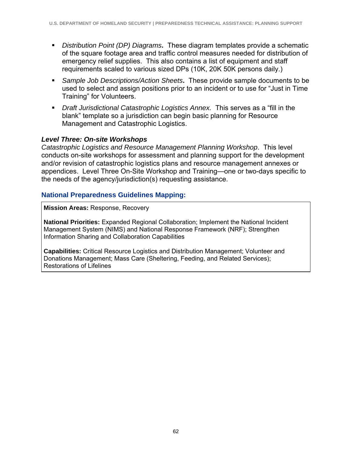- *Distribution Point (DP) Diagrams***.** These diagram templates provide a schematic of the square footage area and traffic control measures needed for distribution of emergency relief supplies. This also contains a list of equipment and staff requirements scaled to various sized DPs (10K, 20K 50K persons daily.)
- *Sample Job Descriptions/Action Sheets***.** These provide sample documents to be used to select and assign positions prior to an incident or to use for "Just in Time Training" for Volunteers.
- *Draft Jurisdictional Catastrophic Logistics Annex.* This serves as a "fill in the blank" template so a jurisdiction can begin basic planning for Resource Management and Catastrophic Logistics.

#### *Level Three: On-site Workshops*

*Catastrophic Logistics and Resource Management Planning Workshop*. This level conducts on-site workshops for assessment and planning support for the development and/or revision of catastrophic logistics plans and resource management annexes or appendices. Level Three On-Site Workshop and Training—one or two-days specific to the needs of the agency/jurisdiction(s) requesting assistance.

#### **National Preparedness Guidelines Mapping:**

**Mission Areas:** Response, Recovery

**National Priorities:** Expanded Regional Collaboration; Implement the National Incident Management System (NIMS) and National Response Framework (NRF); Strengthen Information Sharing and Collaboration Capabilities

**Capabilities:** Critical Resource Logistics and Distribution Management; Volunteer and Donations Management; Mass Care (Sheltering, Feeding, and Related Services); Restorations of Lifelines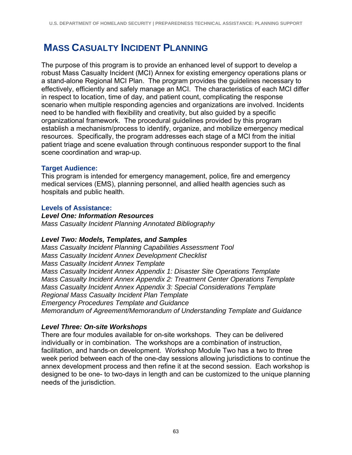# **MASS CASUALTY INCIDENT PLANNING**

The purpose of this program is to provide an enhanced level of support to develop a robust Mass Casualty Incident (MCI) Annex for existing emergency operations plans or a stand-alone Regional MCI Plan. The program provides the guidelines necessary to effectively, efficiently and safely manage an MCI. The characteristics of each MCI differ in respect to location, time of day, and patient count, complicating the response scenario when multiple responding agencies and organizations are involved. Incidents need to be handled with flexibility and creativity, but also guided by a specific organizational framework. The procedural guidelines provided by this program establish a mechanism/process to identify, organize, and mobilize emergency medical resources. Specifically, the program addresses each stage of a MCI from the initial patient triage and scene evaluation through continuous responder support to the final scene coordination and wrap-up.

## **Target Audience:**

This program is intended for emergency management, police, fire and emergency medical services (EMS), planning personnel, and allied health agencies such as hospitals and public health.

## **Levels of Assistance:**

### *Level One: Information Resources*

*Mass Casualty Incident Planning Annotated Bibliography* 

### *Level Two: Models, Templates, and Samples*

*Mass Casualty Incident Planning Capabilities Assessment Tool Mass Casualty Incident Annex Development Checklist Mass Casualty Incident Annex Template Mass Casualty Incident Annex Appendix 1: Disaster Site Operations Template Mass Casualty Incident Annex Appendix 2: Treatment Center Operations Template Mass Casualty Incident Annex Appendix 3: Special Considerations Template Regional Mass Casualty Incident Plan Template Emergency Procedures Template and Guidance Memorandum of Agreement/Memorandum of Understanding Template and Guidance* 

## *Level Three: On-site Workshops*

There are four modules available for on-site workshops. They can be delivered individually or in combination. The workshops are a combination of instruction, facilitation, and hands-on development. Workshop Module Two has a two to three week period between each of the one-day sessions allowing jurisdictions to continue the annex development process and then refine it at the second session. Each workshop is designed to be one- to two-days in length and can be customized to the unique planning needs of the jurisdiction.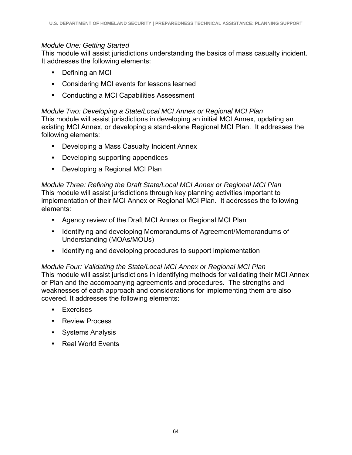## *Module One: Getting Started*

This module will assist jurisdictions understanding the basics of mass casualty incident. It addresses the following elements:

- Defining an MCI
- Considering MCI events for lessons learned
- Conducting a MCI Capabilities Assessment

## *Module Two: Developing a State/Local MCI Annex or Regional MCI Plan*

This module will assist jurisdictions in developing an initial MCI Annex, updating an existing MCI Annex, or developing a stand-alone Regional MCI Plan. It addresses the following elements:

- Developing a Mass Casualty Incident Annex
- **-** Developing supporting appendices
- Developing a Regional MCI Plan

## *Module Three: Refining the Draft State/Local MCI Annex or Regional MCI Plan*

This module will assist jurisdictions through key planning activities important to implementation of their MCI Annex or Regional MCI Plan. It addresses the following elements:

- Agency review of the Draft MCI Annex or Regional MCI Plan
- **If Identifying and developing Memorandums of Agreement/Memorandums of** Understanding (MOAs/MOUs)
- **If Identifying and developing procedures to support implementation**

## *Module Four: Validating the State/Local MCI Annex or Regional MCI Plan*  This module will assist jurisdictions in identifying methods for validating their MCI Annex or Plan and the accompanying agreements and procedures. The strengths and weaknesses of each approach and considerations for implementing them are also covered. It addresses the following elements:

- **Exercises**
- **Review Process**
- **Systems Analysis**
- Real World Events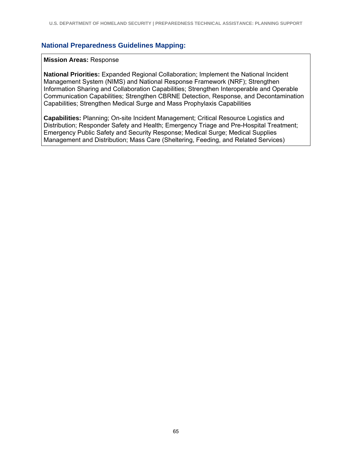#### **National Preparedness Guidelines Mapping:**

#### **Mission Areas:** Response

**National Priorities:** Expanded Regional Collaboration; Implement the National Incident Management System (NIMS) and National Response Framework (NRF); Strengthen Information Sharing and Collaboration Capabilities; Strengthen Interoperable and Operable Communication Capabilities; Strengthen CBRNE Detection, Response, and Decontamination Capabilities; Strengthen Medical Surge and Mass Prophylaxis Capabilities

**Capabilities:** Planning; On-site Incident Management; Critical Resource Logistics and Distribution; Responder Safety and Health; Emergency Triage and Pre-Hospital Treatment; Emergency Public Safety and Security Response; Medical Surge; Medical Supplies Management and Distribution; Mass Care (Sheltering, Feeding, and Related Services)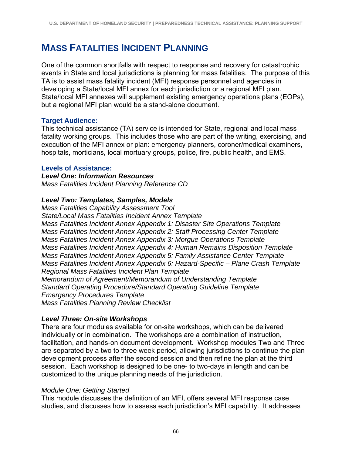# **MASS FATALITIES INCIDENT PLANNING**

One of the common shortfalls with respect to response and recovery for catastrophic events in State and local jurisdictions is planning for mass fatalities. The purpose of this TA is to assist mass fatality incident (MFI) response personnel and agencies in developing a State/local MFI annex for each jurisdiction or a regional MFI plan. State/local MFI annexes will supplement existing emergency operations plans (EOPs), but a regional MFI plan would be a stand-alone document.

## **Target Audience:**

This technical assistance (TA) service is intended for State, regional and local mass fatality working groups. This includes those who are part of the writing, exercising, and execution of the MFI annex or plan: emergency planners, coroner/medical examiners, hospitals, morticians, local mortuary groups, police, fire, public health, and EMS.

### **Levels of Assistance:**

*Level One: Information Resources Mass Fatalities Incident Planning Reference CD* 

## *Level Two: Templates, Samples, Models*

*Mass Fatalities Capability Assessment Tool State/Local Mass Fatalities Incident Annex Template Mass Fatalities Incident Annex Appendix 1: Disaster Site Operations Template Mass Fatalities Incident Annex Appendix 2: Staff Processing Center Template Mass Fatalities Incident Annex Appendix 3: Morgue Operations Template Mass Fatalities Incident Annex Appendix 4: Human Remains Disposition Template Mass Fatalities Incident Annex Appendix 5: Family Assistance Center Template Mass Fatalities Incident Annex Appendix 6: Hazard-Specific – Plane Crash Template Regional Mass Fatalities Incident Plan Template Memorandum of Agreement/Memorandum of Understanding Template Standard Operating Procedure/Standard Operating Guideline Template Emergency Procedures Template Mass Fatalities Planning Review Checklist* 

## *Level Three: On-site Workshops*

There are four modules available for on-site workshops, which can be delivered individually or in combination. The workshops are a combination of instruction, facilitation, and hands-on document development. Workshop modules Two and Three are separated by a two to three week period, allowing jurisdictions to continue the plan development process after the second session and then refine the plan at the third session. Each workshop is designed to be one- to two-days in length and can be customized to the unique planning needs of the jurisdiction.

### *Module One: Getting Started*

This module discusses the definition of an MFI, offers several MFI response case studies, and discusses how to assess each jurisdiction's MFI capability. It addresses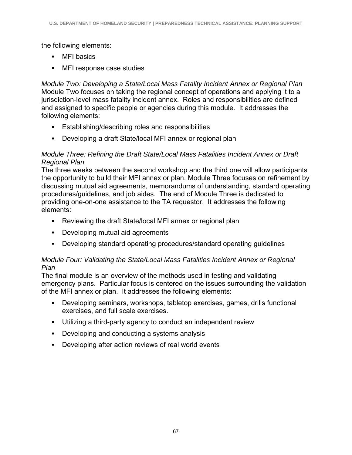the following elements:

- MFI basics
- MFI response case studies

*Module Two: Developing a State/Local Mass Fatality Incident Annex or Regional Plan*  Module Two focuses on taking the regional concept of operations and applying it to a jurisdiction-level mass fatality incident annex. Roles and responsibilities are defined and assigned to specific people or agencies during this module. It addresses the following elements:

- Establishing/describing roles and responsibilities
- Developing a draft State/local MFI annex or regional plan

### *Module Three: Refining the Draft State/Local Mass Fatalities Incident Annex or Draft Regional Plan*

The three weeks between the second workshop and the third one will allow participants the opportunity to build their MFI annex or plan. Module Three focuses on refinement by discussing mutual aid agreements, memorandums of understanding, standard operating procedures/guidelines, and job aides. The end of Module Three is dedicated to providing one-on-one assistance to the TA requestor. It addresses the following elements:

- Reviewing the draft State/local MFI annex or regional plan
- Developing mutual aid agreements
- Developing standard operating procedures/standard operating guidelines

## *Module Four: Validating the State/Local Mass Fatalities Incident Annex or Regional Plan*

The final module is an overview of the methods used in testing and validating emergency plans. Particular focus is centered on the issues surrounding the validation of the MFI annex or plan. It addresses the following elements:

- Developing seminars, workshops, tabletop exercises, games, drills functional exercises, and full scale exercises.
- Utilizing a third-party agency to conduct an independent review
- Developing and conducting a systems analysis
- Developing after action reviews of real world events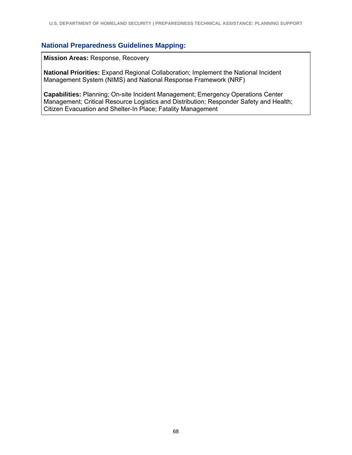## **National Preparedness Guidelines Mapping:**

**Mission Areas:** Response, Recovery

**National Priorities:** Expand Regional Collaboration; Implement the National Incident Management System (NIMS) and National Response Framework (NRF)

**Capabilities:** Planning; On-site Incident Management; Emergency Operations Center Management; Critical Resource Logistics and Distribution; Responder Safety and Health; Citizen Evacuation and Shelter-In Place; Fatality Management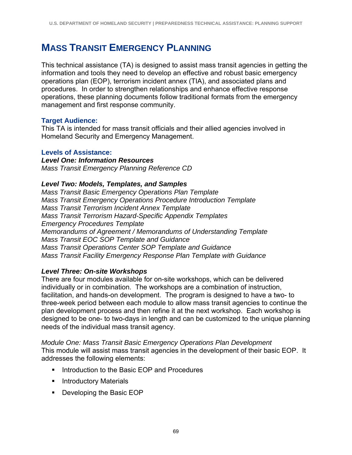# **MASS TRANSIT EMERGENCY PLANNING**

This technical assistance (TA) is designed to assist mass transit agencies in getting the information and tools they need to develop an effective and robust basic emergency operations plan (EOP), terrorism incident annex (TIA), and associated plans and procedures. In order to strengthen relationships and enhance effective response operations, these planning documents follow traditional formats from the emergency management and first response community.

## **Target Audience:**

This TA is intended for mass transit officials and their allied agencies involved in Homeland Security and Emergency Management.

#### **Levels of Assistance:**

*Level One: Information Resources Mass Transit Emergency Planning Reference CD* 

#### *Level Two: Models, Templates, and Samples*

*Mass Transit Basic Emergency Operations Plan Template Mass Transit Emergency Operations Procedure Introduction Template Mass Transit Terrorism Incident Annex Template Mass Transit Terrorism Hazard-Specific Appendix Templates Emergency Procedures Template Memorandums of Agreement / Memorandums of Understanding Template Mass Transit EOC SOP Template and Guidance Mass Transit Operations Center SOP Template and Guidance Mass Transit Facility Emergency Response Plan Template with Guidance* 

### *Level Three: On-site Workshops*

There are four modules available for on-site workshops, which can be delivered individually or in combination. The workshops are a combination of instruction, facilitation, and hands-on development. The program is designed to have a two- to three-week period between each module to allow mass transit agencies to continue the plan development process and then refine it at the next workshop. Each workshop is designed to be one- to two-days in length and can be customized to the unique planning needs of the individual mass transit agency.

*Module One: Mass Transit Basic Emergency Operations Plan Development*  This module will assist mass transit agencies in the development of their basic EOP. It addresses the following elements:

- **Introduction to the Basic EOP and Procedures**
- **Introductory Materials**
- **Developing the Basic EOP**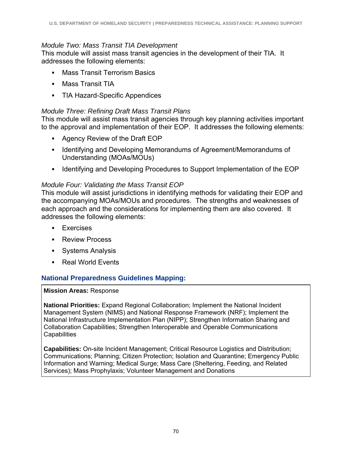## *Module Two: Mass Transit TIA Development*

This module will assist mass transit agencies in the development of their TIA. It addresses the following elements:

- **Mass Transit Terrorism Basics**
- **Mass Transit TIA**
- TIA Hazard-Specific Appendices

## *Module Three: Refining Draft Mass Transit Plans*

This module will assist mass transit agencies through key planning activities important to the approval and implementation of their EOP. It addresses the following elements:

- Agency Review of the Draft EOP
- **I** Identifying and Developing Memorandums of Agreement/Memorandums of Understanding (MOAs/MOUs)
- Intertuality and Developing Procedures to Support Implementation of the EOP

## *Module Four: Validating the Mass Transit EOP*

This module will assist jurisdictions in identifying methods for validating their EOP and the accompanying MOAs/MOUs and procedures. The strengths and weaknesses of each approach and the considerations for implementing them are also covered. It addresses the following elements:

- **Exercises**
- **Review Process**
- Systems Analysis
- Real World Events

## **National Preparedness Guidelines Mapping:**

### **Mission Areas:** Response

**National Priorities:** Expand Regional Collaboration; Implement the National Incident Management System (NIMS) and National Response Framework (NRF); Implement the National Infrastructure Implementation Plan (NIPP); Strengthen Information Sharing and Collaboration Capabilities; Strengthen Interoperable and Operable Communications **Capabilities** 

**Capabilities:** On-site Incident Management; Critical Resource Logistics and Distribution; Communications; Planning; Citizen Protection; Isolation and Quarantine; Emergency Public Information and Warning; Medical Surge; Mass Care (Sheltering, Feeding, and Related Services); Mass Prophylaxis; Volunteer Management and Donations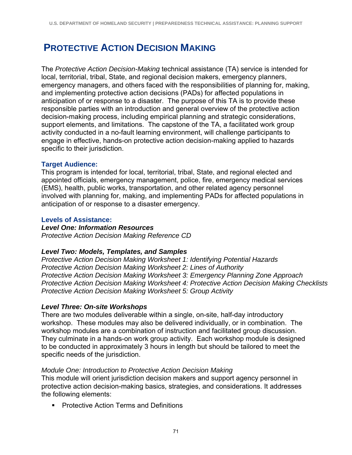# **PROTECTIVE ACTION DECISION MAKING**

The *Protective Action Decision-Making* technical assistance (TA) service is intended for local, territorial, tribal, State, and regional decision makers, emergency planners, emergency managers, and others faced with the responsibilities of planning for, making, and implementing protective action decisions (PADs) for affected populations in anticipation of or response to a disaster. The purpose of this TA is to provide these responsible parties with an introduction and general overview of the protective action decision-making process, including empirical planning and strategic considerations, support elements, and limitations. The capstone of the TA, a facilitated work group activity conducted in a no-fault learning environment, will challenge participants to engage in effective, hands-on protective action decision-making applied to hazards specific to their jurisdiction.

### **Target Audience:**

This program is intended for local, territorial, tribal, State, and regional elected and appointed officials, emergency management, police, fire, emergency medical services (EMS), health, public works, transportation, and other related agency personnel involved with planning for, making, and implementing PADs for affected populations in anticipation of or response to a disaster emergency.

### **Levels of Assistance:**

## *Level One: Information Resources*

*Protective Action Decision Making Reference CD* 

### *Level Two: Models, Templates, and Samples*

*Protective Action Decision Making Worksheet 1: Identifying Potential Hazards Protective Action Decision Making Worksheet 2: Lines of Authority Protective Action Decision Making Worksheet 3: Emergency Planning Zone Approach Protective Action Decision Making Worksheet 4: Protective Action Decision Making Checklists Protective Action Decision Making Worksheet 5: Group Activity* 

### *Level Three: On-site Workshops*

There are two modules deliverable within a single, on-site, half-day introductory workshop. These modules may also be delivered individually, or in combination. The workshop modules are a combination of instruction and facilitated group discussion. They culminate in a hands-on work group activity. Each workshop module is designed to be conducted in approximately 3 hours in length but should be tailored to meet the specific needs of the jurisdiction.

### *Module One: Introduction to Protective Action Decision Making*

This module will orient jurisdiction decision makers and support agency personnel in protective action decision-making basics, strategies, and considerations. It addresses the following elements:

**• Protective Action Terms and Definitions**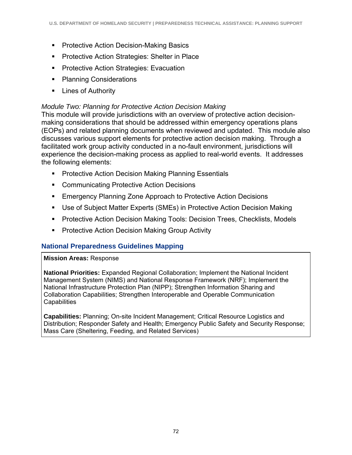- **Protective Action Decision-Making Basics**
- **Protective Action Strategies: Shelter in Place**
- **Protective Action Strategies: Evacuation**
- Planning Considerations
- **Lines of Authority**

## *Module Two: Planning for Protective Action Decision Making*

This module will provide jurisdictions with an overview of protective action decisionmaking considerations that should be addressed within emergency operations plans (EOPs) and related planning documents when reviewed and updated. This module also discusses various support elements for protective action decision making. Through a facilitated work group activity conducted in a no-fault environment, jurisdictions will experience the decision-making process as applied to real-world events. It addresses the following elements:

- **Protective Action Decision Making Planning Essentials**
- Communicating Protective Action Decisions
- **Emergency Planning Zone Approach to Protective Action Decisions**
- Use of Subject Matter Experts (SMEs) in Protective Action Decision Making
- **Protective Action Decision Making Tools: Decision Trees, Checklists, Models**
- **Protective Action Decision Making Group Activity**

## **National Preparedness Guidelines Mapping**

### **Mission Areas:** Response

**National Priorities:** Expanded Regional Collaboration; Implement the National Incident Management System (NIMS) and National Response Framework (NRF); Implement the National Infrastructure Protection Plan (NIPP); Strengthen Information Sharing and Collaboration Capabilities; Strengthen Interoperable and Operable Communication **Capabilities** 

**Capabilities:** Planning; On-site Incident Management; Critical Resource Logistics and Distribution; Responder Safety and Health; Emergency Public Safety and Security Response; Mass Care (Sheltering, Feeding, and Related Services)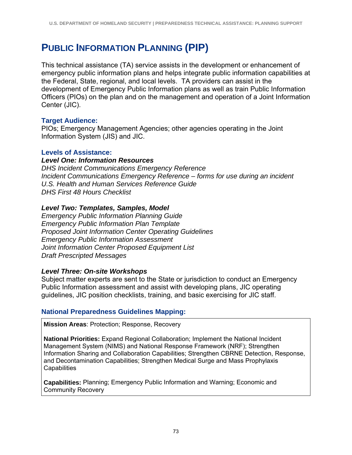# **PUBLIC INFORMATION PLANNING (PIP)**

This technical assistance (TA) service assists in the development or enhancement of emergency public information plans and helps integrate public information capabilities at the Federal, State, regional, and local levels. TA providers can assist in the development of Emergency Public Information plans as well as train Public Information Officers (PIOs) on the plan and on the management and operation of a Joint Information Center (JIC).

## **Target Audience:**

PIOs; Emergency Management Agencies; other agencies operating in the Joint Information System (JIS) and JIC.

### **Levels of Assistance:**

*Level One: Information Resources DHS Incident Communications Emergency Reference Incident Communications Emergency Reference – forms for use during an incident U.S. Health and Human Services Reference Guide* 

*DHS First 48 Hours Checklist*

## *Level Two: Templates, Samples, Model*

*Emergency Public Information Planning Guide Emergency Public Information Plan Template Proposed Joint Information Center Operating Guidelines Emergency Public Information Assessment Joint Information Center Proposed Equipment List Draft Prescripted Messages* 

## *Level Three: On-site Workshops*

Subject matter experts are sent to the State or jurisdiction to conduct an Emergency Public Information assessment and assist with developing plans, JIC operating guidelines, JIC position checklists, training, and basic exercising for JIC staff.

## **National Preparedness Guidelines Mapping:**

**Mission Areas**: Protection; Response, Recovery

**National Priorities:** Expand Regional Collaboration; Implement the National Incident Management System (NIMS) and National Response Framework (NRF); Strengthen Information Sharing and Collaboration Capabilities; Strengthen CBRNE Detection, Response, and Decontamination Capabilities; Strengthen Medical Surge and Mass Prophylaxis **Capabilities** 

**Capabilities:** Planning; Emergency Public Information and Warning; Economic and Community Recovery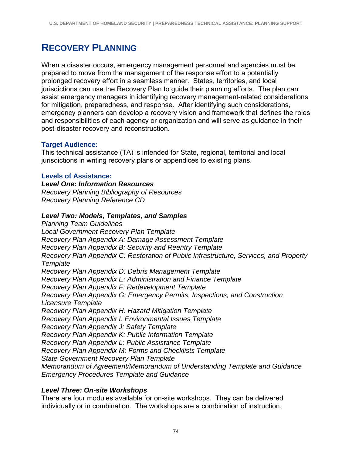# **RECOVERY PLANNING**

When a disaster occurs, emergency management personnel and agencies must be prepared to move from the management of the response effort to a potentially prolonged recovery effort in a seamless manner. States, territories, and local jurisdictions can use the Recovery Plan to guide their planning efforts. The plan can assist emergency managers in identifying recovery management-related considerations for mitigation, preparedness, and response. After identifying such considerations, emergency planners can develop a recovery vision and framework that defines the roles and responsibilities of each agency or organization and will serve as guidance in their post-disaster recovery and reconstruction.

## **Target Audience:**

This technical assistance (TA) is intended for State, regional, territorial and local jurisdictions in writing recovery plans or appendices to existing plans.

## **Levels of Assistance:**

*Level One: Information Resources Recovery Planning Bibliography of Resources Recovery Planning Reference CD* 

## *Level Two: Models, Templates, and Samples*

*Planning Team Guidelines Local Government Recovery Plan Template Recovery Plan Appendix A: Damage Assessment Template Recovery Plan Appendix B: Security and Reentry Template Recovery Plan Appendix C: Restoration of Public Infrastructure, Services, and Property Template Recovery Plan Appendix D: Debris Management Template Recovery Plan Appendix E: Administration and Finance Template Recovery Plan Appendix F: Redevelopment Template Recovery Plan Appendix G: Emergency Permits, Inspections, and Construction Licensure Template Recovery Plan Appendix H: Hazard Mitigation Template Recovery Plan Appendix I: Environmental Issues Template Recovery Plan Appendix J: Safety Template Recovery Plan Appendix K: Public Information Template Recovery Plan Appendix L: Public Assistance Template Recovery Plan Appendix M: Forms and Checklists Template State Government Recovery Plan Template Memorandum of Agreement/Memorandum of Understanding Template and Guidance Emergency Procedures Template and Guidance* 

## *Level Three: On-site Workshops*

There are four modules available for on-site workshops. They can be delivered individually or in combination. The workshops are a combination of instruction,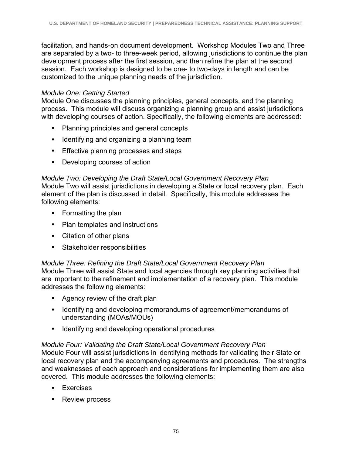facilitation, and hands-on document development. Workshop Modules Two and Three are separated by a two- to three-week period, allowing jurisdictions to continue the plan development process after the first session, and then refine the plan at the second session. Each workshop is designed to be one- to two-days in length and can be customized to the unique planning needs of the jurisdiction.

## *Module One: Getting Started*

Module One discusses the planning principles, general concepts, and the planning process. This module will discuss organizing a planning group and assist jurisdictions with developing courses of action. Specifically, the following elements are addressed:

- Planning principles and general concepts
- **I** Identifying and organizing a planning team
- **Effective planning processes and steps**
- Developing courses of action

### *Module Two: Developing the Draft State/Local Government Recovery Plan*  Module Two will assist jurisdictions in developing a State or local recovery plan. Each element of the plan is discussed in detail. Specifically, this module addresses the following elements:

- Formatting the plan
- Plan templates and instructions
- Citation of other plans
- Stakeholder responsibilities

## *Module Three: Refining the Draft State/Local Government Recovery Plan*

Module Three will assist State and local agencies through key planning activities that are important to the refinement and implementation of a recovery plan. This module addresses the following elements:

- Agency review of the draft plan
- **I** Identifying and developing memorandums of agreement/memorandums of understanding (MOAs/MOUs)
- Identifying and developing operational procedures

## *Module Four: Validating the Draft State/Local Government Recovery Plan*

Module Four will assist jurisdictions in identifying methods for validating their State or local recovery plan and the accompanying agreements and procedures. The strengths and weaknesses of each approach and considerations for implementing them are also covered. This module addresses the following elements:

- **Exercises**
- **Review process**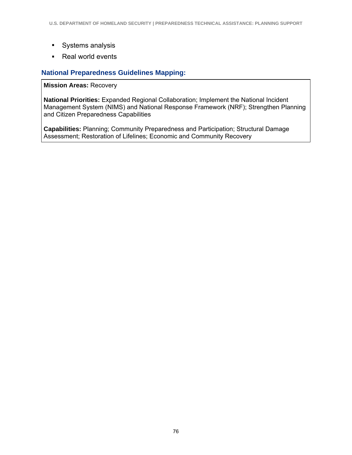- Systems analysis
- Real world events

## **National Preparedness Guidelines Mapping:**

#### **Mission Areas:** Recovery

**National Priorities:** Expanded Regional Collaboration; Implement the National Incident Management System (NIMS) and National Response Framework (NRF); Strengthen Planning and Citizen Preparedness Capabilities

**Capabilities:** Planning; Community Preparedness and Participation; Structural Damage Assessment; Restoration of Lifelines; Economic and Community Recovery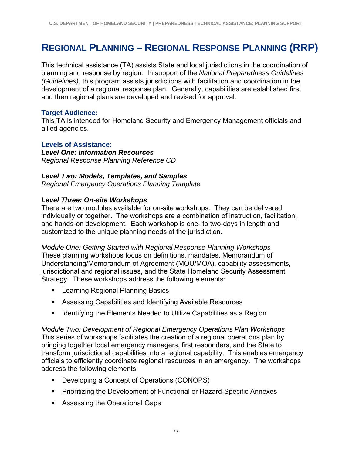# **REGIONAL PLANNING – REGIONAL RESPONSE PLANNING (RRP)**

This technical assistance (TA) assists State and local jurisdictions in the coordination of planning and response by region. In support of the *National Preparedness Guidelines (Guidelines)*, this program assists jurisdictions with facilitation and coordination in the development of a regional response plan. Generally, capabilities are established first and then regional plans are developed and revised for approval.

### **Target Audience:**

This TA is intended for Homeland Security and Emergency Management officials and allied agencies.

### **Levels of Assistance:**

*Level One: Information Resources Regional Response Planning Reference CD* 

### *Level Two: Models, Templates, and Samples*

*Regional Emergency Operations Planning Template* 

## *Level Three: On-site Workshops*

There are two modules available for on-site workshops. They can be delivered individually or together. The workshops are a combination of instruction, facilitation, and hands-on development. Each workshop is one- to two-days in length and customized to the unique planning needs of the jurisdiction.

*Module One: Getting Started with Regional Response Planning Workshops*  These planning workshops focus on definitions, mandates, Memorandum of Understanding/Memorandum of Agreement (MOU/MOA), capability assessments, jurisdictional and regional issues, and the State Homeland Security Assessment Strategy. These workshops address the following elements:

- **E** Learning Regional Planning Basics
- Assessing Capabilities and Identifying Available Resources
- **If Identifying the Elements Needed to Utilize Capabilities as a Region**

*Module Two: Development of Regional Emergency Operations Plan Workshops*  This series of workshops facilitates the creation of a regional operations plan by bringing together local emergency managers, first responders, and the State to transform jurisdictional capabilities into a regional capability. This enables emergency officials to efficiently coordinate regional resources in an emergency. The workshops address the following elements:

- **Developing a Concept of Operations (CONOPS)**
- **Prioritizing the Development of Functional or Hazard-Specific Annexes**
- **Assessing the Operational Gaps**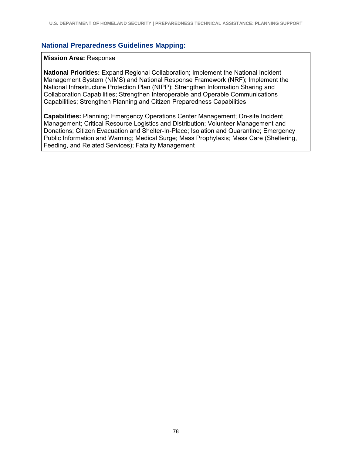#### **National Preparedness Guidelines Mapping:**

#### **Mission Area:** Response

**National Priorities:** Expand Regional Collaboration; Implement the National Incident Management System (NIMS) and National Response Framework (NRF); Implement the National Infrastructure Protection Plan (NIPP); Strengthen Information Sharing and Collaboration Capabilities; Strengthen Interoperable and Operable Communications Capabilities; Strengthen Planning and Citizen Preparedness Capabilities

**Capabilities:** Planning; Emergency Operations Center Management; On-site Incident Management; Critical Resource Logistics and Distribution; Volunteer Management and Donations; Citizen Evacuation and Shelter-In-Place; Isolation and Quarantine; Emergency Public Information and Warning; Medical Surge; Mass Prophylaxis; Mass Care (Sheltering, Feeding, and Related Services); Fatality Management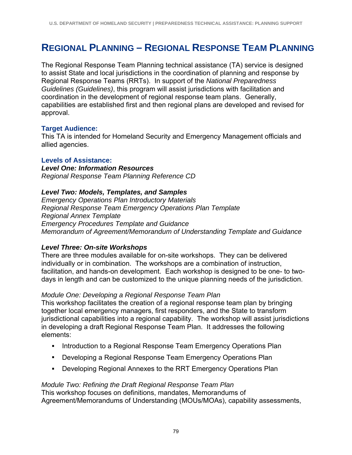# **REGIONAL PLANNING – REGIONAL RESPONSE TEAM PLANNING**

The Regional Response Team Planning technical assistance (TA) service is designed to assist State and local jurisdictions in the coordination of planning and response by Regional Response Teams (RRTs). In support of the *National Preparedness Guidelines (Guidelines)*, this program will assist jurisdictions with facilitation and coordination in the development of regional response team plans. Generally, capabilities are established first and then regional plans are developed and revised for approval.

#### **Target Audience:**

This TA is intended for Homeland Security and Emergency Management officials and allied agencies.

#### **Levels of Assistance:**

*Level One: Information Resources Regional Response Team Planning Reference CD* 

### *Level Two: Models, Templates, and Samples*

*Emergency Operations Plan Introductory Materials Regional Response Team Emergency Operations Plan Template Regional Annex Template Emergency Procedures Template and Guidance Memorandum of Agreement/Memorandum of Understanding Template and Guidance* 

### *Level Three: On-site Workshops*

There are three modules available for on-site workshops. They can be delivered individually or in combination. The workshops are a combination of instruction, facilitation, and hands-on development. Each workshop is designed to be one- to twodays in length and can be customized to the unique planning needs of the jurisdiction.

#### *Module One: Developing a Regional Response Team Plan*

This workshop facilitates the creation of a regional response team plan by bringing together local emergency managers, first responders, and the State to transform jurisdictional capabilities into a regional capability. The workshop will assist jurisdictions in developing a draft Regional Response Team Plan. It addresses the following elements:

- **Introduction to a Regional Response Team Emergency Operations Plan**
- **-** Developing a Regional Response Team Emergency Operations Plan
- Developing Regional Annexes to the RRT Emergency Operations Plan

## *Module Two: Refining the Draft Regional Response Team Plan*

This workshop focuses on definitions, mandates, Memorandums of Agreement/Memorandums of Understanding (MOUs/MOAs), capability assessments,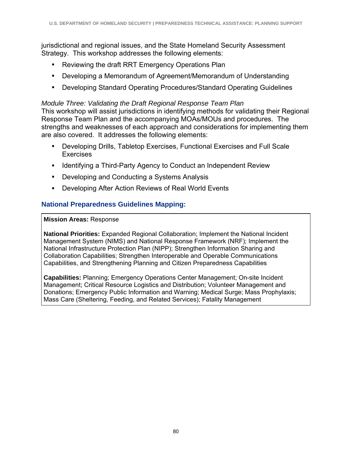jurisdictional and regional issues, and the State Homeland Security Assessment Strategy. This workshop addresses the following elements:

- Reviewing the draft RRT Emergency Operations Plan
- Developing a Memorandum of Agreement/Memorandum of Understanding
- Developing Standard Operating Procedures/Standard Operating Guidelines

## *Module Three: Validating the Draft Regional Response Team Plan*

This workshop will assist jurisdictions in identifying methods for validating their Regional Response Team Plan and the accompanying MOAs/MOUs and procedures. The strengths and weaknesses of each approach and considerations for implementing them are also covered. It addresses the following elements:

- Developing Drills, Tabletop Exercises, Functional Exercises and Full Scale Exercises
- **IDENTIFY 19 Index 11 Agency 12 Index 12 Independent Review Fig. 2** Independent Review
- **Developing and Conducting a Systems Analysis**
- Developing After Action Reviews of Real World Events

## **National Preparedness Guidelines Mapping:**

#### **Mission Areas:** Response

**National Priorities:** Expanded Regional Collaboration; Implement the National Incident Management System (NIMS) and National Response Framework (NRF); Implement the National Infrastructure Protection Plan (NIPP); Strengthen Information Sharing and Collaboration Capabilities; Strengthen Interoperable and Operable Communications Capabilities, and Strengthening Planning and Citizen Preparedness Capabilities

**Capabilities:** Planning; Emergency Operations Center Management; On-site Incident Management; Critical Resource Logistics and Distribution; Volunteer Management and Donations; Emergency Public Information and Warning; Medical Surge; Mass Prophylaxis; Mass Care (Sheltering, Feeding, and Related Services); Fatality Management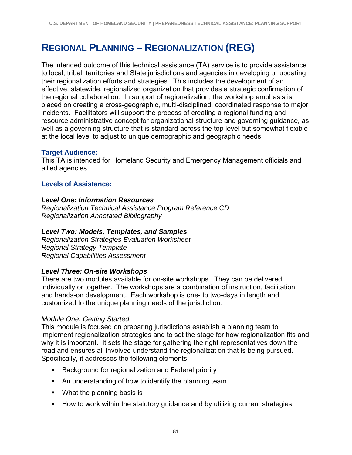# **REGIONAL PLANNING – REGIONALIZATION (REG)**

The intended outcome of this technical assistance (TA) service is to provide assistance to local, tribal, territories and State jurisdictions and agencies in developing or updating their regionalization efforts and strategies. This includes the development of an effective, statewide, regionalized organization that provides a strategic confirmation of the regional collaboration. In support of regionalization, the workshop emphasis is placed on creating a cross-geographic, multi-disciplined, coordinated response to major incidents. Facilitators will support the process of creating a regional funding and resource administrative concept for organizational structure and governing guidance, as well as a governing structure that is standard across the top level but somewhat flexible at the local level to adjust to unique demographic and geographic needs.

## **Target Audience:**

This TA is intended for Homeland Security and Emergency Management officials and allied agencies.

## **Levels of Assistance:**

### *Level One: Information Resources*

*Regionalization Technical Assistance Program Reference CD Regionalization Annotated Bibliography* 

## *Level Two: Models, Templates, and Samples*

*Regionalization Strategies Evaluation Worksheet Regional Strategy Template Regional Capabilities Assessment* 

### *Level Three: On-site Workshops*

There are two modules available for on-site workshops. They can be delivered individually or together. The workshops are a combination of instruction, facilitation, and hands-on development. Each workshop is one- to two-days in length and customized to the unique planning needs of the jurisdiction.

### *Module One: Getting Started*

This module is focused on preparing jurisdictions establish a planning team to implement regionalization strategies and to set the stage for how regionalization fits and why it is important. It sets the stage for gathering the right representatives down the road and ensures all involved understand the regionalization that is being pursued. Specifically, it addresses the following elements:

- **Background for regionalization and Federal priority**
- An understanding of how to identify the planning team
- **What the planning basis is**
- **How to work within the statutory guidance and by utilizing current strategies**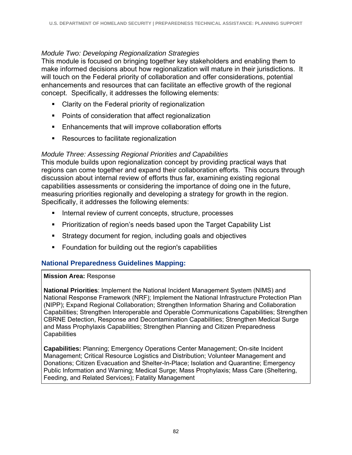### *Module Two: Developing Regionalization Strategies*

This module is focused on bringing together key stakeholders and enabling them to make informed decisions about how regionalization will mature in their jurisdictions. It will touch on the Federal priority of collaboration and offer considerations, potential enhancements and resources that can facilitate an effective growth of the regional concept. Specifically, it addresses the following elements:

- **Clarity on the Federal priority of regionalization**
- **Points of consideration that affect regionalization**
- **Enhancements that will improve collaboration efforts**
- **Resources to facilitate regionalization**

## *Module Three: Assessing Regional Priorities and Capabilities*

This module builds upon regionalization concept by providing practical ways that regions can come together and expand their collaboration efforts. This occurs through discussion about internal review of efforts thus far, examining existing regional capabilities assessments or considering the importance of doing one in the future, measuring priorities regionally and developing a strategy for growth in the region. Specifically, it addresses the following elements:

- Internal review of current concepts, structure, processes
- **Prioritization of region's needs based upon the Target Capability List**
- Strategy document for region, including goals and objectives
- **F** Foundation for building out the region's capabilities

## **National Preparedness Guidelines Mapping:**

### **Mission Area:** Response

**National Priorities**: Implement the National Incident Management System (NIMS) and National Response Framework (NRF); Implement the National Infrastructure Protection Plan (NIPP); Expand Regional Collaboration; Strengthen Information Sharing and Collaboration Capabilities; Strengthen Interoperable and Operable Communications Capabilities; Strengthen CBRNE Detection, Response and Decontamination Capabilities; Strengthen Medical Surge and Mass Prophylaxis Capabilities; Strengthen Planning and Citizen Preparedness **Capabilities** 

**Capabilities:** Planning; Emergency Operations Center Management; On-site Incident Management; Critical Resource Logistics and Distribution; Volunteer Management and Donations; Citizen Evacuation and Shelter-In-Place; Isolation and Quarantine; Emergency Public Information and Warning; Medical Surge; Mass Prophylaxis; Mass Care (Sheltering, Feeding, and Related Services); Fatality Management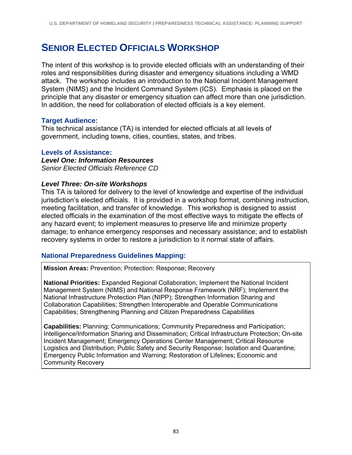## **SENIOR ELECTED OFFICIALS WORKSHOP**

The intent of this workshop is to provide elected officials with an understanding of their roles and responsibilities during disaster and emergency situations including a WMD attack. The workshop includes an introduction to the National Incident Management System (NIMS) and the Incident Command System (ICS). Emphasis is placed on the principle that any disaster or emergency situation can affect more than one jurisdiction. In addition, the need for collaboration of elected officials is a key element.

## **Target Audience:**

This technical assistance (TA) is intended for elected officials at all levels of government, including towns, cities, counties, states, and tribes.

### **Levels of Assistance:**

*Level One: Information Resources Senior Elected Officials Reference CD* 

### *Level Three: On-site Workshops*

This TA is tailored for delivery to the level of knowledge and expertise of the individual jurisdiction's elected officials. It is provided in a workshop format, combining instruction, meeting facilitation, and transfer of knowledge. This workshop is designed to assist elected officials in the examination of the most effective ways to mitigate the effects of any hazard event; to implement measures to preserve life and minimize property damage; to enhance emergency responses and necessary assistance; and to establish recovery systems in order to restore a jurisdiction to it normal state of affairs.

### **National Preparedness Guidelines Mapping:**

**Mission Areas:** Prevention; Protection: Response; Recovery

**National Priorities:** Expanded Regional Collaboration; Implement the National Incident Management System (NIMS) and National Response Framework (NRF); Implement the National Infrastructure Protection Plan (NIPP); Strengthen Information Sharing and Collaboration Capabilities; Strengthen Interoperable and Operable Communications Capabilities; Strengthening Planning and Citizen Preparedness Capabilities

**Capabilities:** Planning; Communications; Community Preparedness and Participation; Intelligence/Information Sharing and Dissemination; Critical Infrastructure Protection; On-site Incident Management; Emergency Operations Center Management; Critical Resource Logistics and Distribution; Public Safety and Security Response; Isolation and Quarantine; Emergency Public Information and Warning; Restoration of Lifelines; Economic and Community Recovery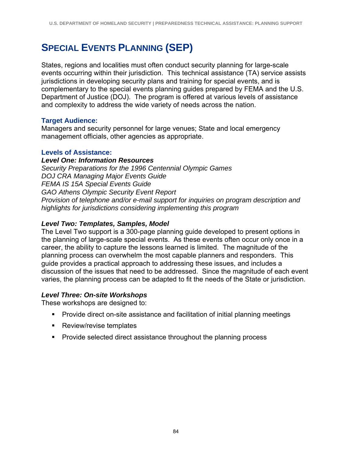# **SPECIAL EVENTS PLANNING (SEP)**

States, regions and localities must often conduct security planning for large-scale events occurring within their jurisdiction. This technical assistance (TA) service assists jurisdictions in developing security plans and training for special events, and is complementary to the special events planning guides prepared by FEMA and the U.S. Department of Justice (DOJ). The program is offered at various levels of assistance and complexity to address the wide variety of needs across the nation.

## **Target Audience:**

Managers and security personnel for large venues; State and local emergency management officials, other agencies as appropriate.

### **Levels of Assistance:**

*Level One: Information Resources Security Preparations for the 1996 Centennial Olympic Games DOJ CRA Managing Major Events Guide FEMA IS 15A Special Events Guide GAO Athens Olympic Security Event Report Provision of telephone and/or e-mail support for inquiries on program description and highlights for jurisdictions considering implementing this program* 

## *Level Two: Templates, Samples, Model*

The Level Two support is a 300-page planning guide developed to present options in the planning of large-scale special events. As these events often occur only once in a career, the ability to capture the lessons learned is limited. The magnitude of the planning process can overwhelm the most capable planners and responders. This guide provides a practical approach to addressing these issues, and includes a discussion of the issues that need to be addressed. Since the magnitude of each event varies, the planning process can be adapted to fit the needs of the State or jurisdiction.

## *Level Three: On-site Workshops*

These workshops are designed to:

- Provide direct on-site assistance and facilitation of initial planning meetings
- Review/revise templates
- **Provide selected direct assistance throughout the planning process**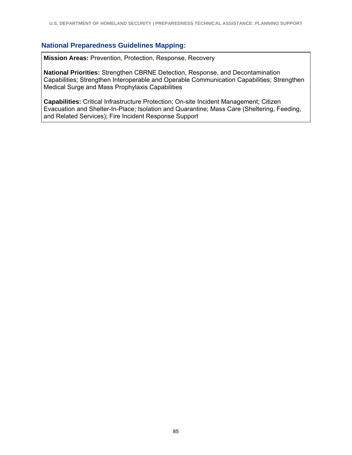### **National Preparedness Guidelines Mapping:**

**Mission Areas:** Prevention, Protection, Response, Recovery

**National Priorities:** Strengthen CBRNE Detection, Response, and Decontamination Capabilities; Strengthen Interoperable and Operable Communication Capabilities; Strengthen Medical Surge and Mass Prophylaxis Capabilities

**Capabilities:** Critical Infrastructure Protection; On-site Incident Management; Citizen Evacuation and Shelter-In-Place; Isolation and Quarantine; Mass Care (Sheltering, Feeding, and Related Services); Fire Incident Response Support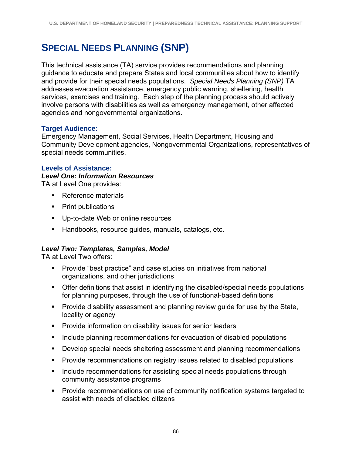# **SPECIAL NEEDS PLANNING (SNP)**

This technical assistance (TA) service provides recommendations and planning guidance to educate and prepare States and local communities about how to identify and provide for their special needs populations. *Special Needs Planning (SNP)* TA addresses evacuation assistance, emergency public warning, sheltering, health services, exercises and training. Each step of the planning process should actively involve persons with disabilities as well as emergency management, other affected agencies and nongovernmental organizations.

## **Target Audience:**

Emergency Management, Social Services, Health Department, Housing and Community Development agencies, Nongovernmental Organizations, representatives of special needs communities.

## **Levels of Assistance:**

### *Level One: Information Resources*

TA at Level One provides:

- Reference materials
- Print publications
- **Up-to-date Web or online resources**
- Handbooks, resource guides, manuals, catalogs, etc.

## *Level Two: Templates, Samples, Model*

TA at Level Two offers:

- **Provide "best practice" and case studies on initiatives from national** organizations, and other jurisdictions
- Offer definitions that assist in identifying the disabled/special needs populations for planning purposes, through the use of functional-based definitions
- **Provide disability assessment and planning review guide for use by the State,** locality or agency
- **Provide information on disability issues for senior leaders**
- **Include planning recommendations for evacuation of disabled populations**
- Develop special needs sheltering assessment and planning recommendations
- **Provide recommendations on registry issues related to disabled populations**
- **Include recommendations for assisting special needs populations through** community assistance programs
- Provide recommendations on use of community notification systems targeted to assist with needs of disabled citizens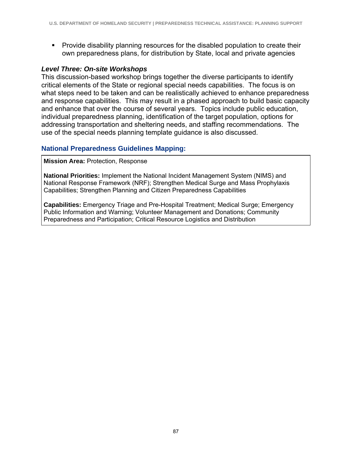Provide disability planning resources for the disabled population to create their own preparedness plans, for distribution by State, local and private agencies

### *Level Three: On-site Workshops*

This discussion-based workshop brings together the diverse participants to identify critical elements of the State or regional special needs capabilities. The focus is on what steps need to be taken and can be realistically achieved to enhance preparedness and response capabilities. This may result in a phased approach to build basic capacity and enhance that over the course of several years. Topics include public education, individual preparedness planning, identification of the target population, options for addressing transportation and sheltering needs, and staffing recommendations. The use of the special needs planning template guidance is also discussed.

### **National Preparedness Guidelines Mapping:**

**Mission Area:** Protection, Response

**National Priorities:** Implement the National Incident Management System (NIMS) and National Response Framework (NRF); Strengthen Medical Surge and Mass Prophylaxis Capabilities; Strengthen Planning and Citizen Preparedness Capabilities

**Capabilities:** Emergency Triage and Pre-Hospital Treatment; Medical Surge; Emergency Public Information and Warning; Volunteer Management and Donations; Community Preparedness and Participation; Critical Resource Logistics and Distribution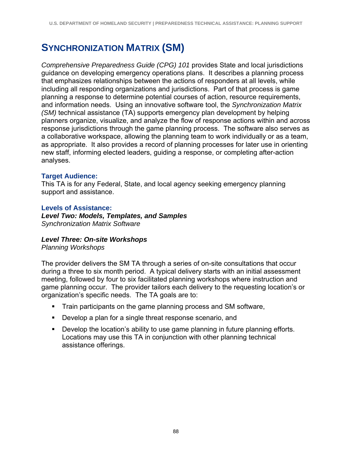# **SYNCHRONIZATION MATRIX (SM)**

*Comprehensive Preparedness Guide (CPG) 101* provides State and local jurisdictions guidance on developing emergency operations plans. It describes a planning process that emphasizes relationships between the actions of responders at all levels, while including all responding organizations and jurisdictions. Part of that process is game planning a response to determine potential courses of action, resource requirements, and information needs. Using an innovative software tool, the *Synchronization Matrix (SM)* technical assistance (TA) supports emergency plan development by helping planners organize, visualize, and analyze the flow of response actions within and across response jurisdictions through the game planning process. The software also serves as a collaborative workspace, allowing the planning team to work individually or as a team, as appropriate. It also provides a record of planning processes for later use in orienting new staff, informing elected leaders, guiding a response, or completing after-action analyses.

## **Target Audience:**

This TA is for any Federal, State, and local agency seeking emergency planning support and assistance.

## **Levels of Assistance:**

*Level Two: Models, Templates, and Samples Synchronization Matrix Software* 

## *Level Three: On-site Workshops*

*Planning Workshops* 

The provider delivers the SM TA through a series of on-site consultations that occur during a three to six month period. A typical delivery starts with an initial assessment meeting, followed by four to six facilitated planning workshops where instruction and game planning occur. The provider tailors each delivery to the requesting location's or organization's specific needs. The TA goals are to:

- **Train participants on the game planning process and SM software,**
- Develop a plan for a single threat response scenario, and
- **Develop the location's ability to use game planning in future planning efforts.** Locations may use this TA in conjunction with other planning technical assistance offerings.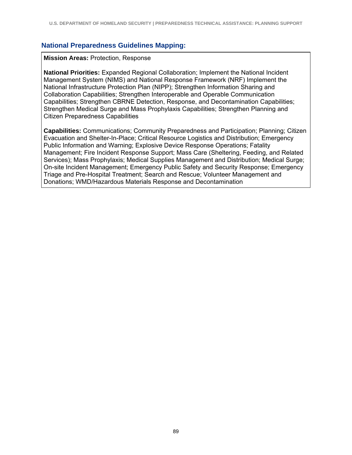#### **National Preparedness Guidelines Mapping:**

#### **Mission Areas:** Protection, Response

**National Priorities:** Expanded Regional Collaboration; Implement the National Incident Management System (NIMS) and National Response Framework (NRF) Implement the National Infrastructure Protection Plan (NIPP); Strengthen Information Sharing and Collaboration Capabilities; Strengthen Interoperable and Operable Communication Capabilities; Strengthen CBRNE Detection, Response, and Decontamination Capabilities; Strengthen Medical Surge and Mass Prophylaxis Capabilities; Strengthen Planning and Citizen Preparedness Capabilities

**Capabilities:** Communications; Community Preparedness and Participation; Planning; Citizen Evacuation and Shelter-In-Place; Critical Resource Logistics and Distribution; Emergency Public Information and Warning; Explosive Device Response Operations; Fatality Management; Fire Incident Response Support; Mass Care (Sheltering, Feeding, and Related Services); Mass Prophylaxis; Medical Supplies Management and Distribution; Medical Surge; On-site Incident Management; Emergency Public Safety and Security Response; Emergency Triage and Pre-Hospital Treatment; Search and Rescue; Volunteer Management and Donations; WMD/Hazardous Materials Response and Decontamination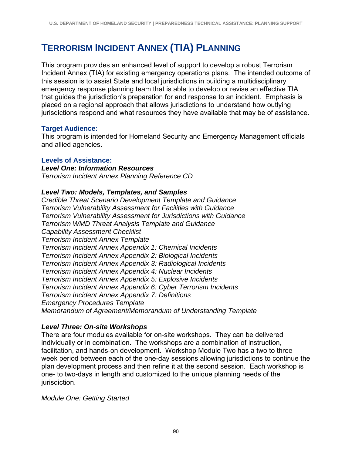# **TERRORISM INCIDENT ANNEX (TIA) PLANNING**

This program provides an enhanced level of support to develop a robust Terrorism Incident Annex (TIA) for existing emergency operations plans. The intended outcome of this session is to assist State and local jurisdictions in building a multidisciplinary emergency response planning team that is able to develop or revise an effective TIA that guides the jurisdiction's preparation for and response to an incident. Emphasis is placed on a regional approach that allows jurisdictions to understand how outlying jurisdictions respond and what resources they have available that may be of assistance.

## **Target Audience:**

This program is intended for Homeland Security and Emergency Management officials and allied agencies.

## **Levels of Assistance:**

*Level One: Information Resources Terrorism Incident Annex Planning Reference CD* 

## *Level Two: Models, Templates, and Samples*

*Credible Threat Scenario Development Template and Guidance Terrorism Vulnerability Assessment for Facilities with Guidance Terrorism Vulnerability Assessment for Jurisdictions with Guidance Terrorism WMD Threat Analysis Template and Guidance Capability Assessment Checklist Terrorism Incident Annex Template Terrorism Incident Annex Appendix 1: Chemical Incidents Terrorism Incident Annex Appendix 2: Biological Incidents Terrorism Incident Annex Appendix 3: Radiological Incidents Terrorism Incident Annex Appendix 4: Nuclear Incidents Terrorism Incident Annex Appendix 5: Explosive Incidents Terrorism Incident Annex Appendix 6: Cyber Terrorism Incidents Terrorism Incident Annex Appendix 7: Definitions Emergency Procedures Template Memorandum of Agreement/Memorandum of Understanding Template* 

## *Level Three: On-site Workshops*

There are four modules available for on-site workshops. They can be delivered individually or in combination. The workshops are a combination of instruction, facilitation, and hands-on development. Workshop Module Two has a two to three week period between each of the one-day sessions allowing jurisdictions to continue the plan development process and then refine it at the second session. Each workshop is one- to two-days in length and customized to the unique planning needs of the jurisdiction.

*Module One: Getting Started*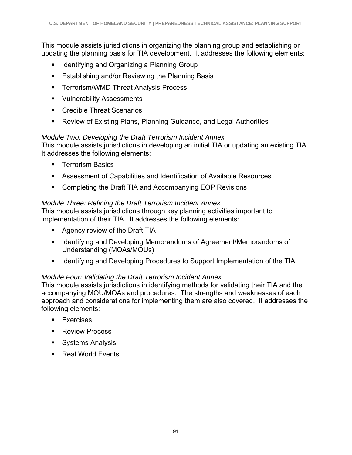This module assists jurisdictions in organizing the planning group and establishing or updating the planning basis for TIA development. It addresses the following elements:

- **IDENTIFY** Identifying and Organizing a Planning Group
- **Establishing and/or Reviewing the Planning Basis**
- **FREE TERRIGHT THREAT Analysis Process**
- **Vulnerability Assessments**
- Credible Threat Scenarios
- Review of Existing Plans, Planning Guidance, and Legal Authorities

## *Module Two: Developing the Draft Terrorism Incident Annex*

This module assists jurisdictions in developing an initial TIA or updating an existing TIA. It addresses the following elements:

- **Terrorism Basics**
- Assessment of Capabilities and Identification of Available Resources
- Completing the Draft TIA and Accompanying EOP Revisions

## *Module Three: Refining the Draft Terrorism Incident Annex*

This module assists jurisdictions through key planning activities important to implementation of their TIA. It addresses the following elements:

- **Agency review of the Draft TIA**
- **I** Identifying and Developing Memorandums of Agreement/Memorandoms of Understanding (MOAs/MOUs)
- **If Identifying and Developing Procedures to Support Implementation of the TIA**

## *Module Four: Validating the Draft Terrorism Incident Annex*

This module assists jurisdictions in identifying methods for validating their TIA and the accompanying MOU/MOAs and procedures. The strengths and weaknesses of each approach and considerations for implementing them are also covered. It addresses the following elements:

- **Exercises**
- **Review Process**
- **Systems Analysis**
- Real World Events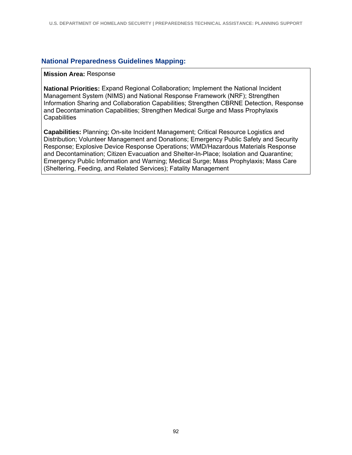#### **National Preparedness Guidelines Mapping:**

#### **Mission Area:** Response

**National Priorities:** Expand Regional Collaboration; Implement the National Incident Management System (NIMS) and National Response Framework (NRF); Strengthen Information Sharing and Collaboration Capabilities; Strengthen CBRNE Detection, Response and Decontamination Capabilities; Strengthen Medical Surge and Mass Prophylaxis **Capabilities** 

**Capabilities:** Planning; On-site Incident Management; Critical Resource Logistics and Distribution; Volunteer Management and Donations; Emergency Public Safety and Security Response; Explosive Device Response Operations; WMD/Hazardous Materials Response and Decontamination; Citizen Evacuation and Shelter-In-Place; Isolation and Quarantine; Emergency Public Information and Warning; Medical Surge; Mass Prophylaxis; Mass Care (Sheltering, Feeding, and Related Services); Fatality Management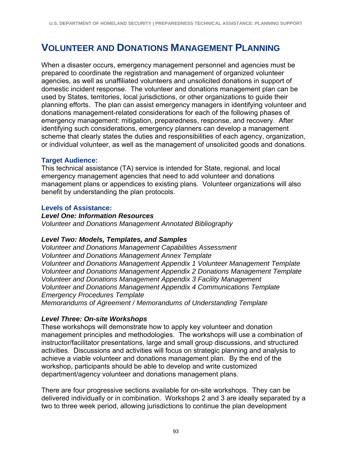## **VOLUNTEER AND DONATIONS MANAGEMENT PLANNING**

When a disaster occurs, emergency management personnel and agencies must be prepared to coordinate the registration and management of organized volunteer agencies, as well as unaffiliated volunteers and unsolicited donations in support of domestic incident response. The volunteer and donations management plan can be used by States, territories, local jurisdictions, or other organizations to guide their planning efforts. The plan can assist emergency managers in identifying volunteer and donations management-related considerations for each of the following phases of emergency management: mitigation, preparedness, response, and recovery. After identifying such considerations, emergency planners can develop a management scheme that clearly states the duties and responsibilities of each agency, organization, or individual volunteer, as well as the management of unsolicited goods and donations.

### **Target Audience:**

This technical assistance (TA) service is intended for State, regional, and local emergency management agencies that need to add volunteer and donations management plans or appendices to existing plans. Volunteer organizations will also benefit by understanding the plan protocols.

### **Levels of Assistance:**

#### *Level One: Information Resources*

*Volunteer and Donations Management Annotated Bibliography*

### *Level Two: Models, Templates, and Samples*

*Volunteer and Donations Management Capabilities Assessment Volunteer and Donations Management Annex Template Volunteer and Donations Management Appendix 1 Volunteer Management Template Volunteer and Donations Management Appendix 2 Donations Management Template Volunteer and Donations Management Appendix 3 Facility Management Volunteer and Donations Management Appendix 4 Communications Template Emergency Procedures Template Memorandums of Agreement / Memorandums of Understanding Template* 

### *Level Three: On-site Workshops*

These workshops will demonstrate how to apply key volunteer and donation management principles and methodologies. The workshops will use a combination of instructor/facilitator presentations, large and small group discussions, and structured activities. Discussions and activities will focus on strategic planning and analysis to achieve a viable volunteer and donations management plan. By the end of the workshop, participants should be able to develop and write customized department/agency volunteer and donations management plans.

There are four progressive sections available for on-site workshops. They can be delivered individually or in combination. Workshops 2 and 3 are ideally separated by a two to three week period, allowing jurisdictions to continue the plan development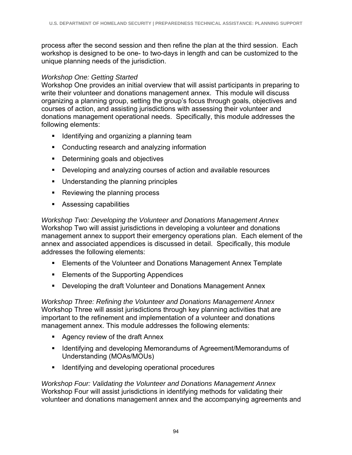process after the second session and then refine the plan at the third session. Each workshop is designed to be one- to two-days in length and can be customized to the unique planning needs of the jurisdiction.

## *Workshop One: Getting Started*

Workshop One provides an initial overview that will assist participants in preparing to write their volunteer and donations management annex. This module will discuss organizing a planning group, setting the group's focus through goals, objectives and courses of action, and assisting jurisdictions with assessing their volunteer and donations management operational needs. Specifically, this module addresses the following elements:

- **I** Identifying and organizing a planning team
- Conducting research and analyzing information
- Determining goals and objectives
- Developing and analyzing courses of action and available resources
- **Understanding the planning principles**
- Reviewing the planning process
- **Assessing capabilities**

*Workshop Two: Developing the Volunteer and Donations Management Annex*  Workshop Two will assist jurisdictions in developing a volunteer and donations management annex to support their emergency operations plan. Each element of the annex and associated appendices is discussed in detail. Specifically, this module addresses the following elements:

- Elements of the Volunteer and Donations Management Annex Template
- **Elements of the Supporting Appendices**
- **Developing the draft Volunteer and Donations Management Annex**

*Workshop Three: Refining the Volunteer and Donations Management Annex*  Workshop Three will assist jurisdictions through key planning activities that are important to the refinement and implementation of a volunteer and donations management annex. This module addresses the following elements:

- Agency review of the draft Annex
- **If Identifying and developing Memorandums of Agreement/Memorandums of** Understanding (MOAs/MOUs)
- **IDENTIFY** Identifying and developing operational procedures

*Workshop Four: Validating the Volunteer and Donations Management Annex*  Workshop Four will assist jurisdictions in identifying methods for validating their volunteer and donations management annex and the accompanying agreements and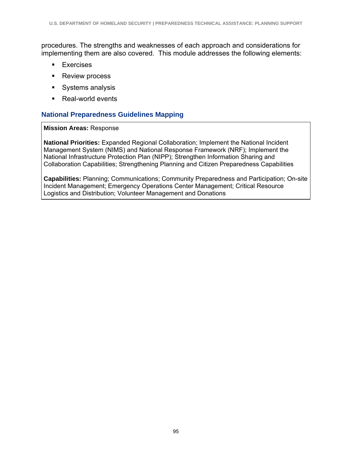procedures. The strengths and weaknesses of each approach and considerations for implementing them are also covered. This module addresses the following elements:

- **Exercises**
- **Review process**
- Systems analysis
- Real-world events

## **National Preparedness Guidelines Mapping**

#### **Mission Areas:** Response

**National Priorities:** Expanded Regional Collaboration; Implement the National Incident Management System (NIMS) and National Response Framework (NRF); Implement the National Infrastructure Protection Plan (NIPP); Strengthen Information Sharing and Collaboration Capabilities; Strengthening Planning and Citizen Preparedness Capabilities

**Capabilities:** Planning; Communications; Community Preparedness and Participation; On-site Incident Management; Emergency Operations Center Management; Critical Resource Logistics and Distribution; Volunteer Management and Donations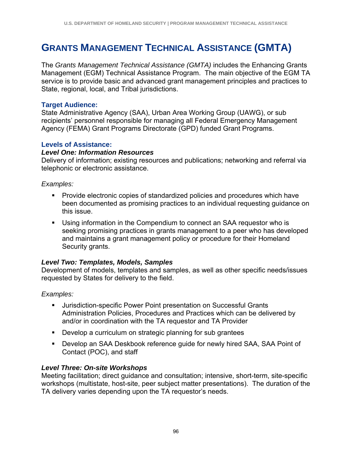# **GRANTS MANAGEMENT TECHNICAL ASSISTANCE (GMTA)**

The *Grants Management Technical Assistance (GMTA)* includes the Enhancing Grants Management (EGM) Technical Assistance Program. The main objective of the EGM TA service is to provide basic and advanced grant management principles and practices to State, regional, local, and Tribal jurisdictions.

#### **Target Audience:**

State Administrative Agency (SAA), Urban Area Working Group (UAWG), or sub recipients' personnel responsible for managing all Federal Emergency Management Agency (FEMA) Grant Programs Directorate (GPD) funded Grant Programs.

### **Levels of Assistance:**

#### *Level One: Information Resources*

Delivery of information; existing resources and publications; networking and referral via telephonic or electronic assistance.

#### *Examples:*

- **Provide electronic copies of standardized policies and procedures which have** been documented as promising practices to an individual requesting guidance on this issue.
- Using information in the Compendium to connect an SAA requestor who is seeking promising practices in grants management to a peer who has developed and maintains a grant management policy or procedure for their Homeland Security grants.

### *Level Two: Templates, Models, Samples*

Development of models, templates and samples, as well as other specific needs/issues requested by States for delivery to the field.

### *Examples:*

- Jurisdiction-specific Power Point presentation on Successful Grants Administration Policies, Procedures and Practices which can be delivered by and/or in coordination with the TA requestor and TA Provider
- **Develop a curriculum on strategic planning for sub grantees**
- Develop an SAA Deskbook reference guide for newly hired SAA, SAA Point of Contact (POC), and staff

#### *Level Three: On-site Workshops*

Meeting facilitation; direct guidance and consultation; intensive, short-term, site-specific workshops (multistate, host-site, peer subject matter presentations). The duration of the TA delivery varies depending upon the TA requestor's needs.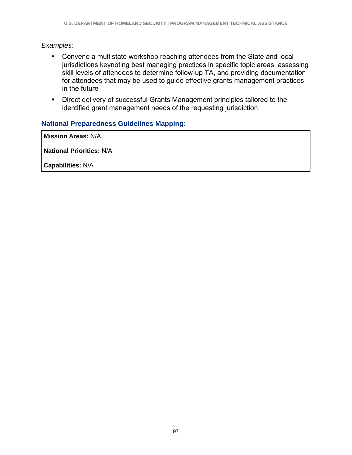## *Examples:*

- Convene a multistate workshop reaching attendees from the State and local jurisdictions keynoting best managing practices in specific topic areas, assessing skill levels of attendees to determine follow-up TA, and providing documentation for attendees that may be used to guide effective grants management practices in the future
- **Direct delivery of successful Grants Management principles tailored to the** identified grant management needs of the requesting jurisdiction

## **National Preparedness Guidelines Mapping:**

**Mission Areas:** N/A

**National Priorities:** N/A

**Capabilities:** N/A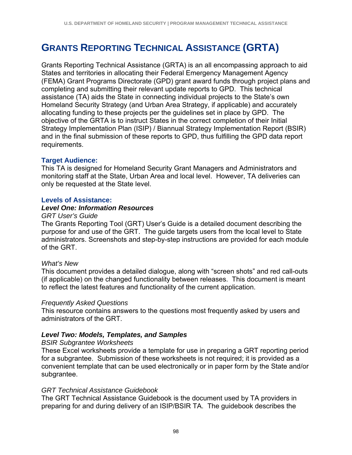# **GRANTS REPORTING TECHNICAL ASSISTANCE (GRTA)**

Grants Reporting Technical Assistance (GRTA) is an all encompassing approach to aid States and territories in allocating their Federal Emergency Management Agency (FEMA) Grant Programs Directorate (GPD) grant award funds through project plans and completing and submitting their relevant update reports to GPD. This technical assistance (TA) aids the State in connecting individual projects to the State's own Homeland Security Strategy (and Urban Area Strategy, if applicable) and accurately allocating funding to these projects per the guidelines set in place by GPD. The objective of the GRTA is to instruct States in the correct completion of their Initial Strategy Implementation Plan (ISIP) / Biannual Strategy Implementation Report (BSIR) and in the final submission of these reports to GPD, thus fulfilling the GPD data report requirements.

### **Target Audience:**

This TA is designed for Homeland Security Grant Managers and Administrators and monitoring staff at the State, Urban Area and local level. However, TA deliveries can only be requested at the State level.

#### **Levels of Assistance:**

#### *Level One: Information Resources*

#### *GRT User's Guide*

The Grants Reporting Tool (GRT) User's Guide is a detailed document describing the purpose for and use of the GRT. The guide targets users from the local level to State administrators. Screenshots and step-by-step instructions are provided for each module of the GRT.

#### *What's New*

This document provides a detailed dialogue, along with "screen shots" and red call-outs (if applicable) on the changed functionality between releases. This document is meant to reflect the latest features and functionality of the current application.

#### *Frequently Asked Questions*

This resource contains answers to the questions most frequently asked by users and administrators of the GRT.

### *Level Two: Models, Templates, and Samples*

#### *BSIR Subgrantee Worksheets*

These Excel worksheets provide a template for use in preparing a GRT reporting period for a subgrantee. Submission of these worksheets is not required; it is provided as a convenient template that can be used electronically or in paper form by the State and/or subgrantee.

#### *GRT Technical Assistance Guidebook*

The GRT Technical Assistance Guidebook is the document used by TA providers in preparing for and during delivery of an ISIP/BSIR TA. The guidebook describes the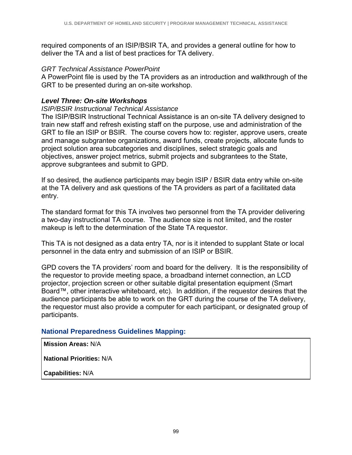required components of an ISIP/BSIR TA, and provides a general outline for how to deliver the TA and a list of best practices for TA delivery.

#### *GRT Technical Assistance PowerPoint*

A PowerPoint file is used by the TA providers as an introduction and walkthrough of the GRT to be presented during an on-site workshop.

## *Level Three: On-site Workshops*

#### *ISIP/BSIR Instructional Technical Assistance*

The ISIP/BSIR Instructional Technical Assistance is an on-site TA delivery designed to train new staff and refresh existing staff on the purpose, use and administration of the GRT to file an ISIP or BSIR. The course covers how to: register, approve users, create and manage subgrantee organizations, award funds, create projects, allocate funds to project solution area subcategories and disciplines, select strategic goals and objectives, answer project metrics, submit projects and subgrantees to the State, approve subgrantees and submit to GPD.

If so desired, the audience participants may begin ISIP / BSIR data entry while on-site at the TA delivery and ask questions of the TA providers as part of a facilitated data entry.

The standard format for this TA involves two personnel from the TA provider delivering a two-day instructional TA course. The audience size is not limited, and the roster makeup is left to the determination of the State TA requestor.

This TA is not designed as a data entry TA, nor is it intended to supplant State or local personnel in the data entry and submission of an ISIP or BSIR.

GPD covers the TA providers' room and board for the delivery. It is the responsibility of the requestor to provide meeting space, a broadband internet connection, an LCD projector, projection screen or other suitable digital presentation equipment (Smart Board™, other interactive whiteboard, etc). In addition, if the requestor desires that the audience participants be able to work on the GRT during the course of the TA delivery, the requestor must also provide a computer for each participant, or designated group of participants.

# **National Preparedness Guidelines Mapping:**

**Mission Areas:** N/A

**National Priorities:** N/A

**Capabilities:** N/A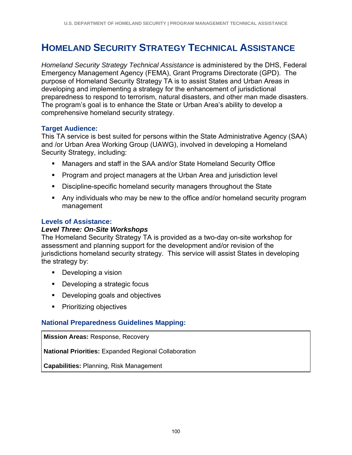# **HOMELAND SECURITY STRATEGY TECHNICAL ASSISTANCE**

*Homeland Security Strategy Technical Assistance* is administered by the DHS, Federal Emergency Management Agency (FEMA), Grant Programs Directorate (GPD). The purpose of Homeland Security Strategy TA is to assist States and Urban Areas in developing and implementing a strategy for the enhancement of jurisdictional preparedness to respond to terrorism, natural disasters, and other man made disasters. The program's goal is to enhance the State or Urban Area's ability to develop a comprehensive homeland security strategy.

#### **Target Audience:**

This TA service is best suited for persons within the State Administrative Agency (SAA) and /or Urban Area Working Group (UAWG), involved in developing a Homeland Security Strategy, including:

- Managers and staff in the SAA and/or State Homeland Security Office
- Program and project managers at the Urban Area and jurisdiction level
- **Discipline-specific homeland security managers throughout the State**
- Any individuals who may be new to the office and/or homeland security program management

#### **Levels of Assistance:**

#### *Level Three: On-Site Workshops*

The Homeland Security Strategy TA is provided as a two-day on-site workshop for assessment and planning support for the development and/or revision of the jurisdictions homeland security strategy. This service will assist States in developing the strategy by:

- **Developing a vision**
- **Developing a strategic focus**
- **Developing goals and objectives**
- **•** Prioritizing objectives

#### **National Preparedness Guidelines Mapping:**

**Mission Areas:** Response, Recovery

**National Priorities:** Expanded Regional Collaboration

**Capabilities:** Planning, Risk Management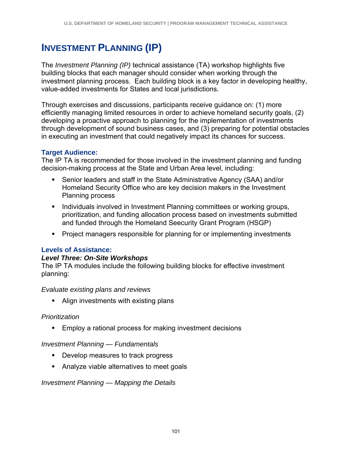# **INVESTMENT PLANNING (IP)**

The *Investment Planning (IP)* technical assistance (TA) workshop highlights five building blocks that each manager should consider when working through the investment planning process. Each building block is a key factor in developing healthy, value-added investments for States and local jurisdictions.

Through exercises and discussions, participants receive guidance on: (1) more efficiently managing limited resources in order to achieve homeland security goals, (2) developing a proactive approach to planning for the implementation of investments through development of sound business cases, and (3) preparing for potential obstacles in executing an investment that could negatively impact its chances for success.

# **Target Audience:**

The IP TA is recommended for those involved in the investment planning and funding decision-making process at the State and Urban Area level, including:

- Senior leaders and staff in the State Administrative Agency (SAA) and/or Homeland Security Office who are key decision makers in the Investment Planning process
- **Individuals involved in Investment Planning committees or working groups,** prioritization, and funding allocation process based on investments submitted and funded through the Homeland Seecurity Grant Program (HSGP)
- Project managers responsible for planning for or implementing investments

#### **Levels of Assistance:**

#### *Level Three: On-Site Workshops*

The IP TA modules include the following building blocks for effective investment planning:

#### *Evaluate existing plans and reviews*

• Align investments with existing plans

# *Prioritization*

**Employ a rational process for making investment decisions** 

# *Investment Planning — Fundamentals*

- **Develop measures to track progress**
- **Analyze viable alternatives to meet goals**

#### *Investment Planning — Mapping the Details*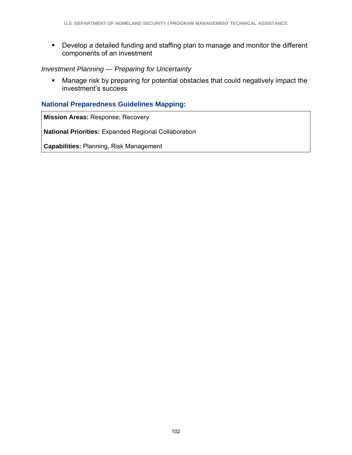Develop a detailed funding and staffing plan to manage and monitor the different components of an investment

### *Investment Planning — Preparing for Uncertainty*

 Manage risk by preparing for potential obstacles that could negatively impact the investment's success

### **National Preparedness Guidelines Mapping:**

**Mission Areas:** Response; Recovery

**National Priorities:** Expanded Regional Collaboration

**Capabilities:** Planning, Risk Management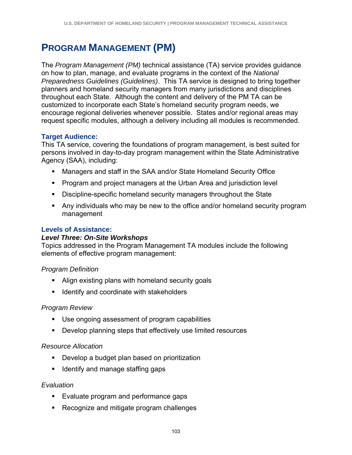# **PROGRAM MANAGEMENT (PM)**

The *Program Management (PM)* technical assistance (TA) service provides guidance on how to plan, manage, and evaluate programs in the context of the *National Preparedness Guidelines (Guidelines)*. This TA service is designed to bring together planners and homeland security managers from many jurisdictions and disciplines throughout each State. Although the content and delivery of the PM TA can be customized to incorporate each State's homeland security program needs, we encourage regional deliveries whenever possible. States and/or regional areas may request specific modules, although a delivery including all modules is recommended.

# **Target Audience:**

This TA service, covering the foundations of program management, is best suited for persons involved in day-to-day program management within the State Administrative Agency (SAA), including:

- Managers and staff in the SAA and/or State Homeland Security Office
- **Program and project managers at the Urban Area and jurisdiction level**
- Discipline-specific homeland security managers throughout the State
- Any individuals who may be new to the office and/or homeland security program management

# **Levels of Assistance:**

# *Level Three: On-Site Workshops*

Topics addressed in the Program Management TA modules include the following elements of effective program management:

# *Program Definition*

- Align existing plans with homeland security goals
- Identify and coordinate with stakeholders

# *Program Review*

- Use ongoing assessment of program capabilities
- Develop planning steps that effectively use limited resources

# *Resource Allocation*

- **Develop a budget plan based on prioritization**
- **I** Identify and manage staffing gaps

# *Evaluation*

- **Evaluate program and performance gaps**
- Recognize and mitigate program challenges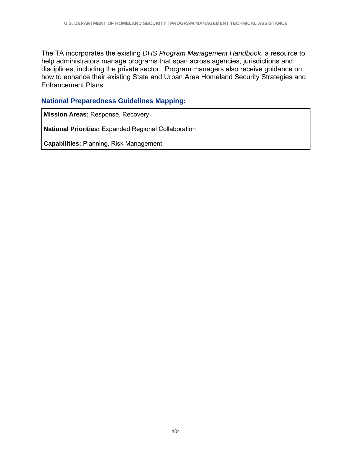The TA incorporates the existing *DHS Program Management Handbook*, a resource to help administrators manage programs that span across agencies, jurisdictions and disciplines, including the private sector. Program managers also receive guidance on how to enhance their existing State and Urban Area Homeland Security Strategies and Enhancement Plans.

#### **National Preparedness Guidelines Mapping:**

**Mission Areas:** Response, Recovery

**National Priorities:** Expanded Regional Collaboration

**Capabilities:** Planning, Risk Management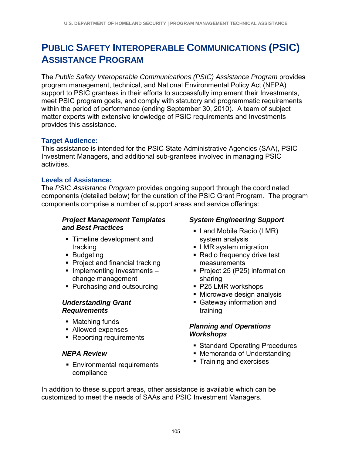# **PUBLIC SAFETY INTEROPERABLE COMMUNICATIONS (PSIC) ASSISTANCE PROGRAM**

The *Public Safety Interoperable Communications (PSIC) Assistance Program* provides program management, technical, and National Environmental Policy Act (NEPA) support to PSIC grantees in their efforts to successfully implement their Investments, meet PSIC program goals, and comply with statutory and programmatic requirements within the period of performance (ending September 30, 2010). A team of subject matter experts with extensive knowledge of PSIC requirements and Investments provides this assistance.

# **Target Audience:**

This assistance is intended for the PSIC State Administrative Agencies (SAA), PSIC Investment Managers, and additional sub-grantees involved in managing PSIC activities.

## **Levels of Assistance:**

The *PSIC Assistance Program* provides ongoing support through the coordinated components (detailed below) for the duration of the PSIC Grant Program. The program components comprise a number of support areas and service offerings:

### *Project Management Templates and Best Practices*

- **Timeline development and** tracking
- **Budgeting**
- Project and financial tracking
- $\blacksquare$  Implementing Investments change management
- Purchasing and outsourcing

#### *Understanding Grant Requirements*

- Matching funds
- Allowed expenses
- Reporting requirements

# *NEPA Review*

**Environmental requirements** compliance

## *System Engineering Support*

- **Land Mobile Radio (LMR)** system analysis
- **LMR** system migration
- Radio frequency drive test measurements
- Project 25 (P25) information sharing
- P25 LMR workshops
- Microwave design analysis
- Gateway information and training

## *Planning and Operations Workshops*

- Standard Operating Procedures
- Memoranda of Understanding
- **Training and exercises**

In addition to these support areas, other assistance is available which can be customized to meet the needs of SAAs and PSIC Investment Managers.